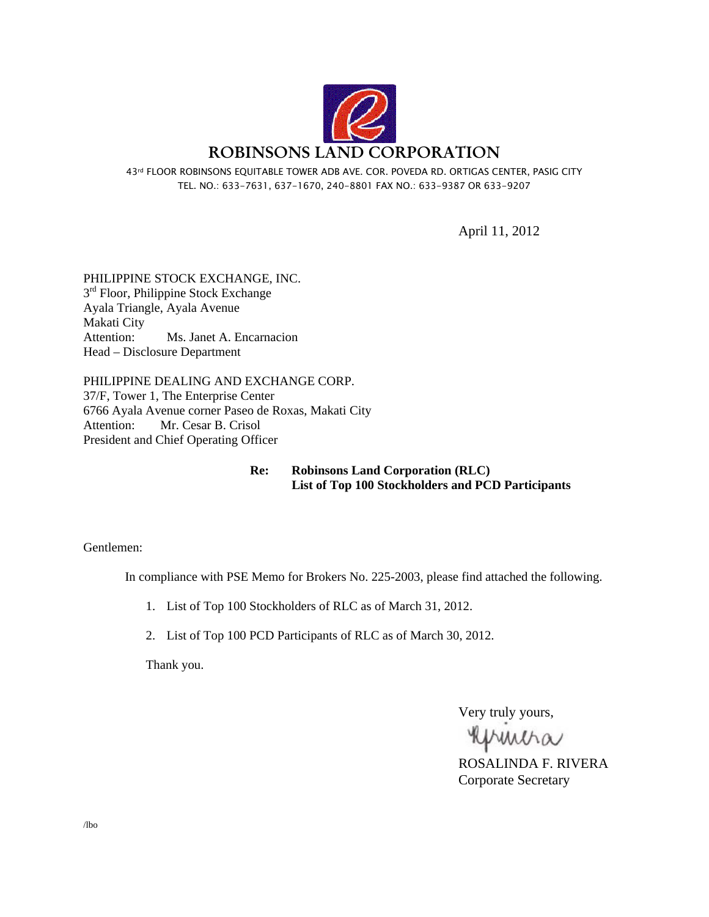

43rd FLOOR ROBINSONS EQUITABLE TOWER ADB AVE. COR. POVEDA RD. ORTIGAS CENTER, PASIG CITY TEL. NO.: 633-7631, 637-1670, 240-8801 FAX NO.: 633-9387 OR 633-9207

April 11, 2012

PHILIPPINE STOCK EXCHANGE, INC.  $3<sup>rd</sup>$  Floor, Philippine Stock Exchange Ayala Triangle, Ayala Avenue Makati City Attention: Ms. Janet A. Encarnacion Head – Disclosure Department

PHILIPPINE DEALING AND EXCHANGE CORP. 37/F, Tower 1, The Enterprise Center 6766 Ayala Avenue corner Paseo de Roxas, Makati City Attention: Mr. Cesar B. Crisol President and Chief Operating Officer

> **Re: Robinsons Land Corporation (RLC) List of Top 100 Stockholders and PCD Participants**

Gentlemen:

In compliance with PSE Memo for Brokers No. 225-2003, please find attached the following.

1. List of Top 100 Stockholders of RLC as of March 31, 2012.

2. List of Top 100 PCD Participants of RLC as of March 30, 2012.

Thank you.

Very truly yours,

primitia

ROSALINDA F. RIVERA Corporate Secretary

/lbo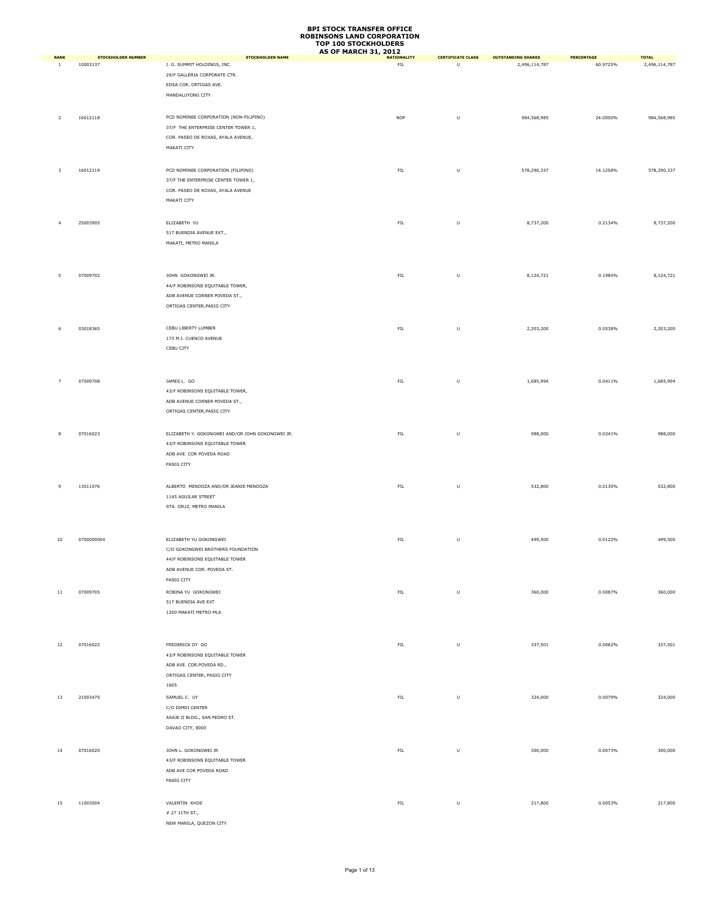|                             |                                       |                                                        | <b>AS OF MARCH 31, 2012</b> |                               |                                            |                        |                               |
|-----------------------------|---------------------------------------|--------------------------------------------------------|-----------------------------|-------------------------------|--------------------------------------------|------------------------|-------------------------------|
| <b>RANK</b><br><sup>1</sup> | <b>STOCKHOLDER NUMBER</b><br>10003137 | <b>STOCKHOLDER NAME</b><br>J. G. SUMMIT HOLDINGS, INC. | <b>NATIONALITY</b><br>FIL   | <b>CERTIFICATE CLASS</b><br>U | <b>OUTSTANDING SHARES</b><br>2,496,114,787 | PERCENTAGE<br>60.9725% | <b>TOTAL</b><br>2,496,114,787 |
|                             |                                       |                                                        |                             |                               |                                            |                        |                               |
|                             |                                       | 29/F GALLERIA CORPORATE CTR.                           |                             |                               |                                            |                        |                               |
|                             |                                       | EDSA COR. ORTIGAS AVE.                                 |                             |                               |                                            |                        |                               |
|                             |                                       | MANDALUYONG CITY                                       |                             |                               |                                            |                        |                               |
|                             |                                       |                                                        |                             |                               |                                            |                        |                               |
|                             |                                       |                                                        |                             |                               |                                            |                        |                               |
| $\overline{2}$              | 16012118                              | PCD NOMINEE CORPORATION (NON-FILIPINO)                 | <b>NOF</b>                  | U                             | 984,568,985                                | 24.0500%               | 984,568,985                   |
|                             |                                       | 37/F THE ENTERPRISE CENTER TOWER 1,                    |                             |                               |                                            |                        |                               |
|                             |                                       | COR. PASEO DE ROXAS, AYALA AVENUE,                     |                             |                               |                                            |                        |                               |
|                             |                                       | MAKATI CITY                                            |                             |                               |                                            |                        |                               |
|                             |                                       |                                                        |                             |                               |                                            |                        |                               |
|                             |                                       |                                                        |                             |                               |                                            |                        |                               |
| $\overline{\mathbf{3}}$     | 16012119                              | PCD NOMINEE CORPORATION (FILIPINO)                     | <b>FIL</b>                  | U                             | 578,290,337                                | 14.1258%               | 578,290,337                   |
|                             |                                       | 37/F THE ENTERPRISE CENTER TOWER 1,                    |                             |                               |                                            |                        |                               |
|                             |                                       | COR. PASEO DE ROXAS, AYALA AVENUE                      |                             |                               |                                            |                        |                               |
|                             |                                       | MAKATI CITY                                            |                             |                               |                                            |                        |                               |
|                             |                                       |                                                        |                             |                               |                                            |                        |                               |
|                             |                                       |                                                        |                             |                               |                                            |                        |                               |
| $\overline{4}$              | 25003905                              | ELIZABETH YU                                           | <b>FIL</b>                  | U                             | 8,737,200                                  | 0.2134%                | 8,737,200                     |
|                             |                                       | 517 BUENDIA AVENUE EXT.,                               |                             |                               |                                            |                        |                               |
|                             |                                       | MAKATI, METRO MANILA                                   |                             |                               |                                            |                        |                               |
|                             |                                       |                                                        |                             |                               |                                            |                        |                               |
|                             |                                       |                                                        |                             |                               |                                            |                        |                               |
|                             |                                       |                                                        |                             |                               |                                            |                        |                               |
| 5                           | 07009702                              | JOHN GOKONGWEI JR.                                     | ${\sf FIL}$                 | U                             | 8,124,721                                  | 0.1984%                | 8,124,721                     |
|                             |                                       | 44/F ROBINSONS EQUITABLE TOWER,                        |                             |                               |                                            |                        |                               |
|                             |                                       | ADB AVENUE CORNER POVEDA ST.,                          |                             |                               |                                            |                        |                               |
|                             |                                       |                                                        |                             |                               |                                            |                        |                               |
|                             |                                       | ORTIGAS CENTER, PASIG CITY                             |                             |                               |                                            |                        |                               |
|                             |                                       |                                                        |                             |                               |                                            |                        |                               |
| 6                           | 03018365                              | CEBU LIBERTY LUMBER                                    | ${\sf FIL}$                 | U                             | 2,203,200                                  | 0.0538%                | 2,203,200                     |
|                             |                                       |                                                        |                             |                               |                                            |                        |                               |
|                             |                                       | 173 M.J. CUENCO AVENUE                                 |                             |                               |                                            |                        |                               |
|                             |                                       | CEBU CITY                                              |                             |                               |                                            |                        |                               |
|                             |                                       |                                                        |                             |                               |                                            |                        |                               |
|                             |                                       |                                                        |                             |                               |                                            |                        |                               |
|                             |                                       |                                                        |                             |                               |                                            |                        |                               |
| $\overline{7}$              | 07009708                              | JAMES L. GO                                            | FIL                         | U                             | 1,685,994                                  | 0.0411%                | 1,685,994                     |
|                             |                                       | 43/F ROBINSONS EQUITABLE TOWER,                        |                             |                               |                                            |                        |                               |
|                             |                                       | ADB AVENUE CORNER POVEDA ST.,                          |                             |                               |                                            |                        |                               |
|                             |                                       | ORTIGAS CENTER, PASIG CITY                             |                             |                               |                                            |                        |                               |
|                             |                                       |                                                        |                             |                               |                                            |                        |                               |
|                             |                                       |                                                        |                             |                               |                                            |                        |                               |
| 8                           | 07016023                              | ELIZABETH Y. GOKONGWEI AND/OR JOHN GOKONGWEI JR.       | <b>FIL</b>                  | U                             | 988,000                                    | 0.0241%                | 988,000                       |
|                             |                                       | 43/F ROBINSONS EQUITABLE TOWER                         |                             |                               |                                            |                        |                               |
|                             |                                       | ADB AVE. COR POVEDA ROAD                               |                             |                               |                                            |                        |                               |
|                             |                                       | PASIG CITY                                             |                             |                               |                                            |                        |                               |
|                             |                                       |                                                        |                             |                               |                                            |                        |                               |
|                             |                                       |                                                        |                             |                               |                                            |                        |                               |
| 9                           | 13011076                              | ALBERTO MENDOZA AND/OR JEANIE MENDOZA                  | ${\sf FIL}$                 | U                             | 532,800                                    | 0.0130%                | 532,800                       |
|                             |                                       | 1145 AGUILAR STREET                                    |                             |                               |                                            |                        |                               |
|                             |                                       | STA. CRUZ, METRO MANILA                                |                             |                               |                                            |                        |                               |
|                             |                                       |                                                        |                             |                               |                                            |                        |                               |
|                             |                                       |                                                        |                             |                               |                                            |                        |                               |
|                             |                                       |                                                        |                             |                               |                                            |                        |                               |
| $10\,$                      | 0700000004                            | ELIZABETH YU GOKONGWEI                                 | FIL.                        | U                             | 499,500                                    | 0.0122%                | 499,500                       |
|                             |                                       |                                                        |                             |                               |                                            |                        |                               |
|                             |                                       | C/O GOKONGWEI BROTHERS FOUNDATION                      |                             |                               |                                            |                        |                               |
|                             |                                       | 44/F ROBINSONS EQUITABLE TOWER                         |                             |                               |                                            |                        |                               |
|                             |                                       | ADB AVENUE COR. POVEDA ST.                             |                             |                               |                                            |                        |                               |
|                             |                                       | PASIG CITY                                             |                             |                               |                                            |                        |                               |
|                             |                                       |                                                        |                             |                               |                                            |                        |                               |
| $11\,$                      | 07009705                              | ROBINA YU GOKONGWEI                                    | ${\sf FIL}$                 | U                             | 360,000                                    | 0.0087%                | 360,000                       |
|                             |                                       | 517 BUENDIA AVE EXT                                    |                             |                               |                                            |                        |                               |
|                             |                                       | 1200 MAKATI METRO MLA                                  |                             |                               |                                            |                        |                               |
|                             |                                       |                                                        |                             |                               |                                            |                        |                               |
|                             |                                       |                                                        |                             |                               |                                            |                        |                               |
|                             |                                       |                                                        |                             |                               |                                            |                        |                               |
| 12                          | 07016022                              | FREDERICK DY GO                                        | ${\sf FIL}$                 | $\cup$                        | 337,501                                    | 0.0082%                | 337,501                       |
|                             |                                       | 43/F ROBINSONS EQUITABLE TOWER                         |                             |                               |                                            |                        |                               |
|                             |                                       | ADB AVE. COR.POVEDA RD.,                               |                             |                               |                                            |                        |                               |
|                             |                                       | ORTIGAS CENTER, PASIG CITY                             |                             |                               |                                            |                        |                               |
|                             |                                       |                                                        |                             |                               |                                            |                        |                               |
|                             |                                       | 1605                                                   |                             |                               |                                            |                        |                               |
| 13                          | 21003475                              | SAMUEL C. UY                                           | ${\sf FIL}$                 | U                             | 324,000                                    | 0.0079%                | 324,000                       |
|                             |                                       | C/O DIMDI CENTER                                       |                             |                               |                                            |                        |                               |
|                             |                                       | ASAJE II BLDG., SAN PEDRO ST.                          |                             |                               |                                            |                        |                               |
|                             |                                       |                                                        |                             |                               |                                            |                        |                               |
|                             |                                       | DAVAO CITY, 8000                                       |                             |                               |                                            |                        |                               |
|                             |                                       |                                                        |                             |                               |                                            |                        |                               |
| 14                          | 07016020                              | JOHN L. GOKONGWEI JR                                   | ${\sf FIL}$                 | U                             | 300,000                                    | 0.0073%                | 300,000                       |
|                             |                                       | 43/F ROBINSONS EQUITABLE TOWER                         |                             |                               |                                            |                        |                               |
|                             |                                       |                                                        |                             |                               |                                            |                        |                               |
|                             |                                       | ADB AVE COR POVEDA ROAD                                |                             |                               |                                            |                        |                               |
|                             |                                       | PASIG CITY                                             |                             |                               |                                            |                        |                               |
|                             |                                       |                                                        |                             |                               |                                            |                        |                               |
|                             |                                       |                                                        |                             |                               |                                            |                        |                               |
| 15                          | 11003004                              | VALENTIN KHOE                                          | ${\sf FIL}$                 | U                             | 217,800                                    | 0.0053%                | 217,800                       |
|                             |                                       | $\#$ 27 11TH ST.,                                      |                             |                               |                                            |                        |                               |
|                             |                                       | NEW MANILA, QUEZON CITY                                |                             |                               |                                            |                        |                               |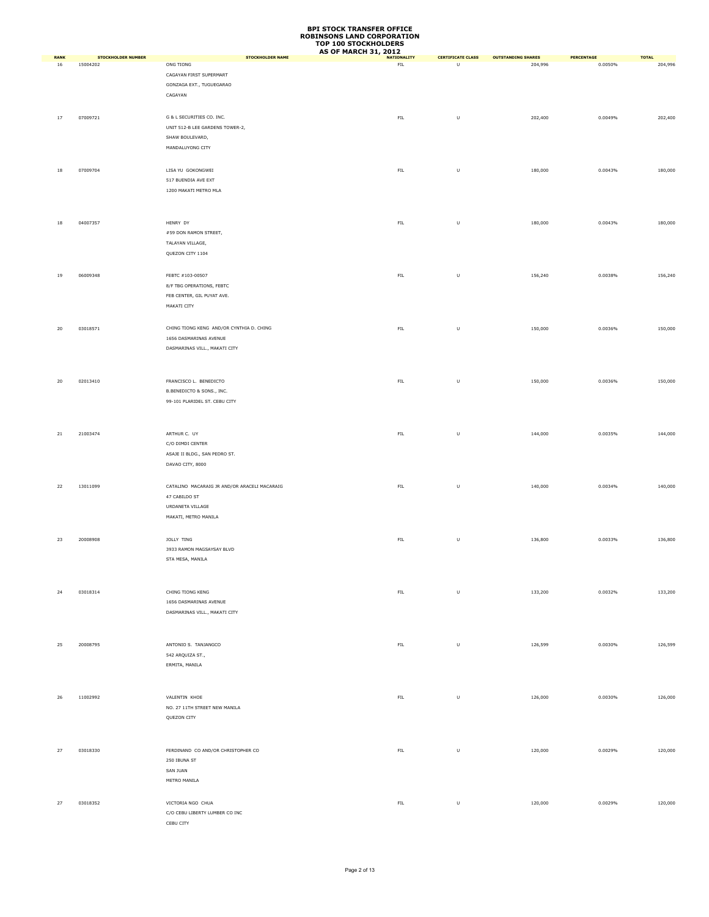|                   |                                |                                              | <b>AS OF MARCH 31, 2012</b>       |                               |                                      |                       |                         |
|-------------------|--------------------------------|----------------------------------------------|-----------------------------------|-------------------------------|--------------------------------------|-----------------------|-------------------------|
| <b>RANK</b><br>16 | STOCKHOLDER NUMBER<br>15004202 | <b>STOCKHOLDER NAME</b><br>ONG TIONG         | <b>NATIONALITY</b><br>${\sf FIL}$ | <b>CERTIFICATE CLASS</b><br>U | <b>OUTSTANDING SHARES</b><br>204,996 | PERCENTAGE<br>0.0050% | <b>TOTAL</b><br>204,996 |
|                   |                                | CAGAYAN FIRST SUPERMART                      |                                   |                               |                                      |                       |                         |
|                   |                                | GONZAGA EXT., TUGUEGARAO                     |                                   |                               |                                      |                       |                         |
|                   |                                |                                              |                                   |                               |                                      |                       |                         |
|                   |                                | CAGAYAN                                      |                                   |                               |                                      |                       |                         |
|                   |                                |                                              |                                   |                               |                                      |                       |                         |
| $17\,$            | 07009721                       | G & L SECURITIES CO. INC.                    | ${\sf FIL}$                       | U                             | 202,400                              | 0.0049%               | 202,400                 |
|                   |                                | UNIT 512-B LEE GARDENS TOWER-2,              |                                   |                               |                                      |                       |                         |
|                   |                                | SHAW BOULEVARD,                              |                                   |                               |                                      |                       |                         |
|                   |                                | MANDALUYONG CITY                             |                                   |                               |                                      |                       |                         |
|                   |                                |                                              |                                   |                               |                                      |                       |                         |
| 18                | 07009704                       | LISA YU GOKONGWEI                            | ${\sf FIL}$                       | $\sf U$                       | 180,000                              | 0.0043%               | 180,000                 |
|                   |                                |                                              |                                   |                               |                                      |                       |                         |
|                   |                                | 517 BUENDIA AVE EXT                          |                                   |                               |                                      |                       |                         |
|                   |                                | 1200 MAKATI METRO MLA                        |                                   |                               |                                      |                       |                         |
|                   |                                |                                              |                                   |                               |                                      |                       |                         |
|                   |                                |                                              |                                   |                               |                                      |                       |                         |
| 18                | 04007357                       | HENRY DY                                     | ${\sf FIL}$                       | U                             | 180,000                              | 0.0043%               | 180,000                 |
|                   |                                | #59 DON RAMON STREET,                        |                                   |                               |                                      |                       |                         |
|                   |                                | TALAYAN VILLAGE,                             |                                   |                               |                                      |                       |                         |
|                   |                                | QUEZON CITY 1104                             |                                   |                               |                                      |                       |                         |
|                   |                                |                                              |                                   |                               |                                      |                       |                         |
|                   | 06009348                       |                                              |                                   |                               |                                      |                       |                         |
| 19                |                                | FEBTC #103-00507                             | ${\sf FIL}$                       | $\sf U$                       | 156,240                              | 0.0038%               | 156,240                 |
|                   |                                | 8/F TBG OPERATIONS, FEBTC                    |                                   |                               |                                      |                       |                         |
|                   |                                | FEB CENTER, GIL PUYAT AVE.                   |                                   |                               |                                      |                       |                         |
|                   |                                | MAKATI CITY                                  |                                   |                               |                                      |                       |                         |
|                   |                                |                                              |                                   |                               |                                      |                       |                         |
| 20                | 03018571                       | CHING TIONG KENG AND/OR CYNTHIA D. CHING     | ${\sf FIL}$                       | U                             | 150,000                              | 0.0036%               | 150,000                 |
|                   |                                | 1656 DASMARINAS AVENUE                       |                                   |                               |                                      |                       |                         |
|                   |                                | DASMARINAS VILL., MAKATI CITY                |                                   |                               |                                      |                       |                         |
|                   |                                |                                              |                                   |                               |                                      |                       |                         |
|                   |                                |                                              |                                   |                               |                                      |                       |                         |
|                   |                                |                                              |                                   |                               |                                      |                       |                         |
| 20                | 02013410                       | FRANCISCO L. BENEDICTO                       | ${\sf FIL}$                       | U                             | 150,000                              | 0.0036%               | 150,000                 |
|                   |                                | B.BENEDICTO & SONS., INC.                    |                                   |                               |                                      |                       |                         |
|                   |                                | 99-101 PLARIDEL ST. CEBU CITY                |                                   |                               |                                      |                       |                         |
|                   |                                |                                              |                                   |                               |                                      |                       |                         |
|                   |                                |                                              |                                   |                               |                                      |                       |                         |
|                   |                                |                                              |                                   |                               |                                      |                       |                         |
| $21\,$            | 21003474                       | ARTHUR C. UY                                 | ${\sf FIL}$                       | U                             | 144,000                              | 0.0035%               | 144,000                 |
|                   |                                | C/O DIMDI CENTER                             |                                   |                               |                                      |                       |                         |
|                   |                                | ASAJE II BLDG., SAN PEDRO ST.                |                                   |                               |                                      |                       |                         |
|                   |                                | DAVAO CITY, 8000                             |                                   |                               |                                      |                       |                         |
|                   |                                |                                              |                                   |                               |                                      |                       |                         |
| 22                | 13011099                       | CATALINO MACARAIG JR AND/OR ARACELI MACARAIG | ${\sf FIL}$                       | $\sf U$                       | 140,000                              | 0.0034%               | 140,000                 |
|                   |                                | 47 CABILDO ST                                |                                   |                               |                                      |                       |                         |
|                   |                                | URDANETA VILLAGE                             |                                   |                               |                                      |                       |                         |
|                   |                                | MAKATI, METRO MANILA                         |                                   |                               |                                      |                       |                         |
|                   |                                |                                              |                                   |                               |                                      |                       |                         |
|                   |                                |                                              |                                   |                               |                                      |                       |                         |
| 23                | 20008908                       | JOLLY TING                                   | ${\sf FIL}$                       | U                             | 136,800                              | 0.0033%               | 136,800                 |
|                   |                                | 3933 RAMON MAGSAYSAY BLVD                    |                                   |                               |                                      |                       |                         |
|                   |                                | STA MESA, MANILA                             |                                   |                               |                                      |                       |                         |
|                   |                                |                                              |                                   |                               |                                      |                       |                         |
|                   |                                |                                              |                                   |                               |                                      |                       |                         |
|                   | 03018314                       | CHING TIONG KENG                             | ${\sf FIL}$                       | $\sf U$                       |                                      | 0.0032%               | 133,200                 |
| 24                |                                |                                              |                                   |                               | 133,200                              |                       |                         |
|                   |                                | 1656 DASMARINAS AVENUE                       |                                   |                               |                                      |                       |                         |
|                   |                                | DASMARINAS VILL., MAKATI CITY                |                                   |                               |                                      |                       |                         |
|                   |                                |                                              |                                   |                               |                                      |                       |                         |
|                   |                                |                                              |                                   |                               |                                      |                       |                         |
| 25                | 20008795                       | ANTONIO S. TANJANGCO                         | ${\sf FIL}$                       | $\sf U$                       | 126,599                              | 0.0030%               | 126,599                 |
|                   |                                | 542 ARQUIZA ST.,                             |                                   |                               |                                      |                       |                         |
|                   |                                | ERMITA, MANILA                               |                                   |                               |                                      |                       |                         |
|                   |                                |                                              |                                   |                               |                                      |                       |                         |
|                   |                                |                                              |                                   |                               |                                      |                       |                         |
|                   |                                |                                              |                                   |                               |                                      |                       |                         |
| 26                | 11002992                       | VALENTIN KHOE                                | ${\sf FIL}$                       | $\sf U$                       | 126,000                              | 0.0030%               | 126,000                 |
|                   |                                | NO. 27 11TH STREET NEW MANILA                |                                   |                               |                                      |                       |                         |
|                   |                                | QUEZON CITY                                  |                                   |                               |                                      |                       |                         |
|                   |                                |                                              |                                   |                               |                                      |                       |                         |
|                   |                                |                                              |                                   |                               |                                      |                       |                         |
| 27                | 03018330                       | FERDINAND CO AND/OR CHRISTOPHER CO           | ${\sf FIL}$                       | $\sf U$                       | 120,000                              | 0.0029%               | 120,000                 |
|                   |                                | 250 IBUNA ST                                 |                                   |                               |                                      |                       |                         |
|                   |                                | SAN JUAN                                     |                                   |                               |                                      |                       |                         |
|                   |                                |                                              |                                   |                               |                                      |                       |                         |
|                   |                                | METRO MANILA                                 |                                   |                               |                                      |                       |                         |
|                   |                                |                                              |                                   |                               |                                      |                       |                         |
| 27                | 03018352                       | VICTORIA NGO CHUA                            | ${\sf FIL}$                       | $\sf U$                       | 120,000                              | 0.0029%               | 120,000                 |
|                   |                                | C/O CEBU LIBERTY LUMBER CO INC               |                                   |                               |                                      |                       |                         |
|                   |                                | CEBU CITY                                    |                                   |                               |                                      |                       |                         |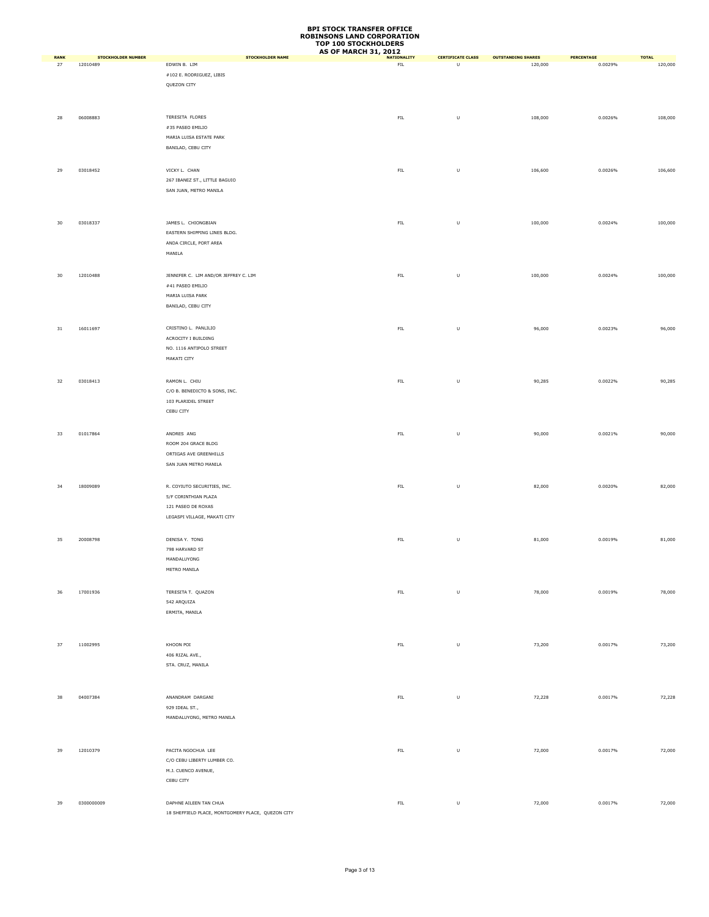|                       |                                       |                                                     | <b>AS OF MARCH 31, 2012</b>       |                               |                                      |                              |                         |
|-----------------------|---------------------------------------|-----------------------------------------------------|-----------------------------------|-------------------------------|--------------------------------------|------------------------------|-------------------------|
| <b>RANK</b><br>$27\,$ | <b>STOCKHOLDER NUMBER</b><br>12010489 | <b>STOCKHOLDER NAME</b><br>EDWIN B. LIM             | <b>NATIONALITY</b><br>${\sf FIL}$ | <b>CERTIFICATE CLASS</b><br>U | <b>OUTSTANDING SHARES</b><br>120,000 | <b>PERCENTAGE</b><br>0.0029% | <b>TOTAL</b><br>120,000 |
|                       |                                       | #102 E. RODRIGUEZ, LIBIS                            |                                   |                               |                                      |                              |                         |
|                       |                                       | QUEZON CITY                                         |                                   |                               |                                      |                              |                         |
|                       |                                       |                                                     |                                   |                               |                                      |                              |                         |
|                       |                                       |                                                     |                                   |                               |                                      |                              |                         |
| 28                    | 06008883                              | TERESITA FLORES                                     | ${\sf FIL}$                       | $\sf U$                       | 108,000                              | 0.0026%                      | 108,000                 |
|                       |                                       | #35 PASEO EMILIO                                    |                                   |                               |                                      |                              |                         |
|                       |                                       | MARIA LUISA ESTATE PARK                             |                                   |                               |                                      |                              |                         |
|                       |                                       | BANILAD, CEBU CITY                                  |                                   |                               |                                      |                              |                         |
|                       |                                       |                                                     |                                   |                               |                                      |                              |                         |
| 29                    | 03018452                              | VICKY L. CHAN                                       | ${\sf FIL}$                       | $\sf U$                       | 106,600                              | 0.0026%                      | 106,600                 |
|                       |                                       | 267 IBANEZ ST., LITTLE BAGUIO                       |                                   |                               |                                      |                              |                         |
|                       |                                       | SAN JUAN, METRO MANILA                              |                                   |                               |                                      |                              |                         |
|                       |                                       |                                                     |                                   |                               |                                      |                              |                         |
|                       |                                       |                                                     |                                   |                               |                                      |                              |                         |
| 30                    | 03018337                              | JAMES L. CHIONGBIAN                                 | ${\sf FIL}$                       | U                             | 100,000                              | 0.0024%                      | 100,000                 |
|                       |                                       | EASTERN SHIPPING LINES BLDG.                        |                                   |                               |                                      |                              |                         |
|                       |                                       | ANDA CIRCLE, PORT AREA                              |                                   |                               |                                      |                              |                         |
|                       |                                       | MANILA                                              |                                   |                               |                                      |                              |                         |
|                       |                                       |                                                     |                                   |                               |                                      |                              |                         |
| 30                    | 12010488                              | JENNIFER C. LIM AND/OR JEFFREY C. LIM               | ${\sf FIL}$                       | $\sf U$                       | 100,000                              | 0.0024%                      | 100,000                 |
|                       |                                       | #41 PASEO EMILIO                                    |                                   |                               |                                      |                              |                         |
|                       |                                       | MARIA LUISA PARK                                    |                                   |                               |                                      |                              |                         |
|                       |                                       | BANILAD, CEBU CITY                                  |                                   |                               |                                      |                              |                         |
|                       |                                       |                                                     |                                   |                               |                                      |                              |                         |
| $31\,$                | 16011697                              | CRISTINO L. PANLILIO                                | ${\sf FIL}$                       | U                             | 96,000                               | 0.0023%                      | 96,000                  |
|                       |                                       | ACROCITY I BUILDING                                 |                                   |                               |                                      |                              |                         |
|                       |                                       | NO. 1116 ANTIPOLO STREET                            |                                   |                               |                                      |                              |                         |
|                       |                                       | MAKATI CITY                                         |                                   |                               |                                      |                              |                         |
|                       |                                       |                                                     |                                   |                               |                                      |                              |                         |
| 32                    | 03018413                              | RAMON L. CHIU                                       | ${\sf FIL}$                       | U                             | 90,285                               | 0.0022%                      | 90,285                  |
|                       |                                       | C/O B. BENEDICTO & SONS, INC.                       |                                   |                               |                                      |                              |                         |
|                       |                                       | 103 PLARIDEL STREET                                 |                                   |                               |                                      |                              |                         |
|                       |                                       | CEBU CITY                                           |                                   |                               |                                      |                              |                         |
|                       |                                       |                                                     |                                   |                               |                                      |                              |                         |
| 33                    | 01017864                              | ANDRES ANG                                          | ${\sf FIL}$                       | $\sf U$                       | 90,000                               | 0.0021%                      | 90,000                  |
|                       |                                       | ROOM 204 GRACE BLDG                                 |                                   |                               |                                      |                              |                         |
|                       |                                       | ORTIGAS AVE GREENHILLS<br>SAN JUAN METRO MANILA     |                                   |                               |                                      |                              |                         |
|                       |                                       |                                                     |                                   |                               |                                      |                              |                         |
|                       |                                       |                                                     |                                   |                               |                                      |                              |                         |
| 34                    | 18009089                              | R. COYIUTO SECURITIES, INC.<br>5/F CORINTHIAN PLAZA | ${\sf FIL}$                       | U                             | 82,000                               | 0.0020%                      | 82,000                  |
|                       |                                       | 121 PASEO DE ROXAS                                  |                                   |                               |                                      |                              |                         |
|                       |                                       | LEGASPI VILLAGE, MAKATI CITY                        |                                   |                               |                                      |                              |                         |
|                       |                                       |                                                     |                                   |                               |                                      |                              |                         |
| 35                    | 20008798                              | DENISA Y. TONG                                      | ${\sf FIL}$                       | $\sf U$                       | 81,000                               | 0.0019%                      | 81,000                  |
|                       |                                       | 798 HARVARD ST                                      |                                   |                               |                                      |                              |                         |
|                       |                                       | MANDALUYONG                                         |                                   |                               |                                      |                              |                         |
|                       |                                       | METRO MANILA                                        |                                   |                               |                                      |                              |                         |
|                       |                                       |                                                     |                                   |                               |                                      |                              |                         |
| 36                    | 17001936                              | TERESITA T. QUAZON                                  | ${\sf FIL}$                       | $\sf U$                       | 78,000                               | 0.0019%                      | 78,000                  |
|                       |                                       | 542 ARQUIZA                                         |                                   |                               |                                      |                              |                         |
|                       |                                       | ERMITA, MANILA                                      |                                   |                               |                                      |                              |                         |
|                       |                                       |                                                     |                                   |                               |                                      |                              |                         |
|                       |                                       |                                                     |                                   |                               |                                      |                              |                         |
| 37                    | 11002995                              | KHOON POI                                           | ${\sf FIL}$                       | $\sf U$                       | 73,200                               | 0.0017%                      | 73,200                  |
|                       |                                       | 406 RIZAL AVE.,                                     |                                   |                               |                                      |                              |                         |
|                       |                                       | STA. CRUZ, MANILA                                   |                                   |                               |                                      |                              |                         |
|                       |                                       |                                                     |                                   |                               |                                      |                              |                         |
|                       |                                       |                                                     |                                   |                               |                                      |                              |                         |
| 38                    | 04007384                              | ANANDRAM DARGANI                                    | FL                                | $\sf U$                       | 72,228                               | 0.0017%                      | 72,228                  |
|                       |                                       | 929 IDEAL ST.,                                      |                                   |                               |                                      |                              |                         |
|                       |                                       | MANDALUYONG, METRO MANILA                           |                                   |                               |                                      |                              |                         |
|                       |                                       |                                                     |                                   |                               |                                      |                              |                         |
|                       |                                       |                                                     |                                   |                               |                                      |                              |                         |
| 39                    | 12010379                              | PACITA NGOCHUA LEE                                  | ${\sf FIL}$                       | $\sf U$                       | 72,000                               | 0.0017%                      | 72,000                  |
|                       |                                       | C/O CEBU LIBERTY LUMBER CO.                         |                                   |                               |                                      |                              |                         |
|                       |                                       | M.J. CUENCO AVENUE,                                 |                                   |                               |                                      |                              |                         |
|                       |                                       | CEBU CITY                                           |                                   |                               |                                      |                              |                         |
|                       |                                       |                                                     |                                   |                               |                                      |                              |                         |
| 39                    | 0300000009                            | DAPHNE AILEEN TAN CHUA                              | ${\sf FIL}$                       | $\sf U$                       | 72,000                               | 0.0017%                      | 72,000                  |
|                       |                                       | 18 SHEFFIELD PLACE, MONTGOMERY PLACE, QUEZON CITY   |                                   |                               |                                      |                              |                         |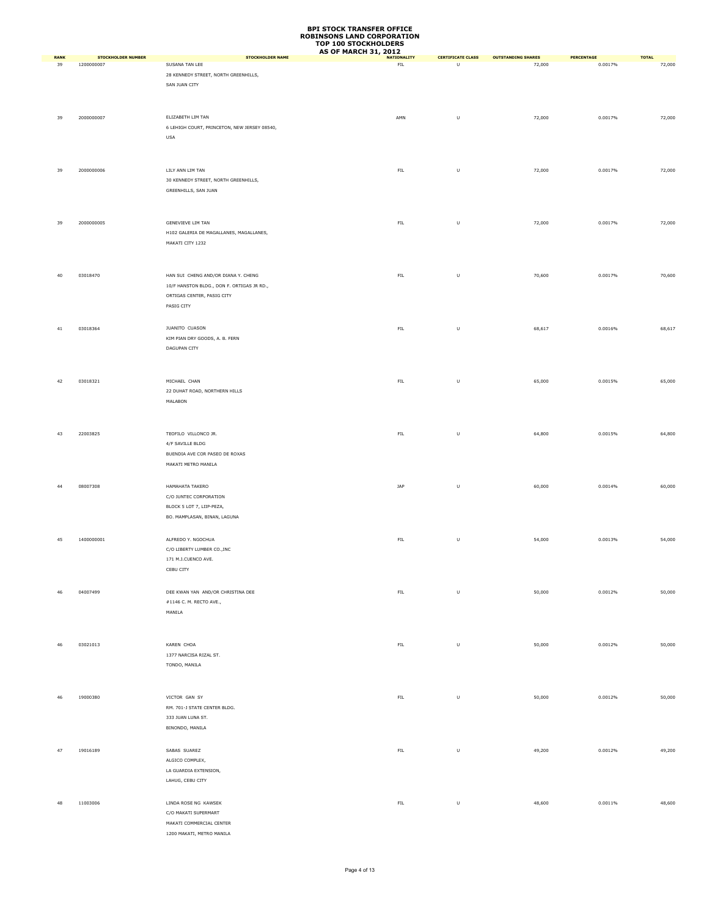|                   |                                  |                                                              | <b>AS OF MARCH 31, 2012</b>       |                               |                                     |                       |                        |
|-------------------|----------------------------------|--------------------------------------------------------------|-----------------------------------|-------------------------------|-------------------------------------|-----------------------|------------------------|
| <b>RANK</b><br>39 | STOCKHOLDER NUMBER<br>1200000007 | <b>STOCKHOLDER NAME</b><br>SUSANA TAN LEE                    | <b>NATIONALITY</b><br>${\sf FIL}$ | <b>CERTIFICATE CLASS</b><br>U | <b>OUTSTANDING SHARES</b><br>72,000 | PERCENTAGE<br>0.0017% | <b>TOTAL</b><br>72,000 |
|                   |                                  | 28 KENNEDY STREET, NORTH GREENHILLS,                         |                                   |                               |                                     |                       |                        |
|                   |                                  | SAN JUAN CITY                                                |                                   |                               |                                     |                       |                        |
|                   |                                  |                                                              |                                   |                               |                                     |                       |                        |
|                   |                                  |                                                              |                                   |                               |                                     |                       |                        |
| 39                | 2000000007                       | ELIZABETH LIM TAN                                            | AMN                               | U                             | 72,000                              | 0.0017%               | 72,000                 |
|                   |                                  | 6 LEHIGH COURT, PRINCETON, NEW JERSEY 08540,                 |                                   |                               |                                     |                       |                        |
|                   |                                  | USA                                                          |                                   |                               |                                     |                       |                        |
|                   |                                  |                                                              |                                   |                               |                                     |                       |                        |
|                   |                                  |                                                              |                                   |                               |                                     |                       |                        |
| 39                | 2000000006                       | LILY ANN LIM TAN                                             | ${\sf FIL}$                       | $\sf U$                       | 72,000                              | 0.0017%               | 72,000                 |
|                   |                                  | 30 KENNEDY STREET, NORTH GREENHILLS,<br>GREENHILLS, SAN JUAN |                                   |                               |                                     |                       |                        |
|                   |                                  |                                                              |                                   |                               |                                     |                       |                        |
|                   |                                  |                                                              |                                   |                               |                                     |                       |                        |
| 39                | 2000000005                       | GENEVIEVE LIM TAN                                            | ${\sf FIL}$                       | $\sf U$                       | 72,000                              | 0.0017%               | 72,000                 |
|                   |                                  | H102 GALERIA DE MAGALLANES, MAGALLANES,                      |                                   |                               |                                     |                       |                        |
|                   |                                  | MAKATI CITY 1232                                             |                                   |                               |                                     |                       |                        |
|                   |                                  |                                                              |                                   |                               |                                     |                       |                        |
|                   |                                  |                                                              |                                   |                               |                                     |                       |                        |
| 40                | 03018470                         | HAN SUI CHENG AND/OR DIANA Y. CHENG                          | ${\sf FIL}$                       | $\sf U$                       | 70,600                              | 0.0017%               | 70,600                 |
|                   |                                  | 10/F HANSTON BLDG., DON F. ORTIGAS JR RD.,                   |                                   |                               |                                     |                       |                        |
|                   |                                  | ORTIGAS CENTER, PASIG CITY                                   |                                   |                               |                                     |                       |                        |
|                   |                                  | PASIG CITY                                                   |                                   |                               |                                     |                       |                        |
|                   |                                  |                                                              |                                   |                               |                                     |                       |                        |
| 41                | 03018364                         | JUANITO CUASON<br>KIM PIAN DRY GOODS, A. B. FERN             | ${\sf FIL}$                       | $\sf U$                       | 68,617                              | 0.0016%               | 68,617                 |
|                   |                                  | DAGUPAN CITY                                                 |                                   |                               |                                     |                       |                        |
|                   |                                  |                                                              |                                   |                               |                                     |                       |                        |
|                   |                                  |                                                              |                                   |                               |                                     |                       |                        |
| 42                | 03018321                         | MICHAEL CHAN                                                 | ${\sf FIL}$                       | U                             | 65,000                              | 0.0015%               | 65,000                 |
|                   |                                  | 22 DUHAT ROAD, NORTHERN HILLS                                |                                   |                               |                                     |                       |                        |
|                   |                                  | MALABON                                                      |                                   |                               |                                     |                       |                        |
|                   |                                  |                                                              |                                   |                               |                                     |                       |                        |
|                   |                                  |                                                              |                                   |                               |                                     |                       |                        |
| 43                | 22003825                         | TEOFILO VILLONCO JR.                                         | ${\sf FIL}$                       | U                             | 64,800                              | 0.0015%               | 64,800                 |
|                   |                                  | 4/F SAVILLE BLDG                                             |                                   |                               |                                     |                       |                        |
|                   |                                  | BUENDIA AVE COR PASEO DE ROXAS                               |                                   |                               |                                     |                       |                        |
|                   |                                  | MAKATI METRO MANILA                                          |                                   |                               |                                     |                       |                        |
|                   |                                  |                                                              |                                   |                               |                                     |                       |                        |
| 44                | 08007308                         | HAMAHATA TAKERO                                              | JAP                               | $\sf U$                       | 60,000                              | 0.0014%               | 60,000                 |
|                   |                                  | C/O JUNTEC CORPORATION<br>BLOCK 5 LOT 7, LIIP-PEZA,          |                                   |                               |                                     |                       |                        |
|                   |                                  | BO. MAMPLASAN, BINAN, LAGUNA                                 |                                   |                               |                                     |                       |                        |
|                   |                                  |                                                              |                                   |                               |                                     |                       |                        |
| 45                | 1400000001                       | ALFREDO Y. NGOCHUA                                           | ${\sf FIL}$                       | U                             | 54,000                              | 0.0013%               | 54,000                 |
|                   |                                  | C/O LIBERTY LUMBER CO., INC                                  |                                   |                               |                                     |                       |                        |
|                   |                                  | 171 M.J.CUENCO AVE.                                          |                                   |                               |                                     |                       |                        |
|                   |                                  | CEBU CITY                                                    |                                   |                               |                                     |                       |                        |
|                   |                                  |                                                              |                                   |                               |                                     |                       |                        |
| 46                | 04007499                         | DEE KWAN YAN AND/OR CHRISTINA DEE                            | ${\sf FIL}$                       | $\sf U$                       | 50,000                              | 0.0012%               | 50,000                 |
|                   |                                  | #1146 C. M. RECTO AVE.,                                      |                                   |                               |                                     |                       |                        |
|                   |                                  | MANILA                                                       |                                   |                               |                                     |                       |                        |
|                   |                                  |                                                              |                                   |                               |                                     |                       |                        |
|                   |                                  |                                                              |                                   |                               |                                     |                       |                        |
| 46                | 03021013                         | KAREN CHOA                                                   | ${\sf FIL}$                       | $\sf U$                       | 50,000                              | 0.0012%               | 50,000                 |
|                   |                                  | 1377 NARCISA RIZAL ST.<br>TONDO, MANILA                      |                                   |                               |                                     |                       |                        |
|                   |                                  |                                                              |                                   |                               |                                     |                       |                        |
|                   |                                  |                                                              |                                   |                               |                                     |                       |                        |
| 46                | 19000380                         | VICTOR GAN SY                                                | ${\sf FIL}$                       | $\sf U$                       | 50,000                              | 0.0012%               | 50,000                 |
|                   |                                  | RM. 701-J STATE CENTER BLDG.                                 |                                   |                               |                                     |                       |                        |
|                   |                                  | 333 JUAN LUNA ST.                                            |                                   |                               |                                     |                       |                        |
|                   |                                  | BINONDO, MANILA                                              |                                   |                               |                                     |                       |                        |
|                   |                                  |                                                              |                                   |                               |                                     |                       |                        |
| 47                | 19016189                         | SABAS SUAREZ                                                 | ${\sf FIL}$                       | $\sf U$                       | 49,200                              | 0.0012%               | 49,200                 |
|                   |                                  | ALGICO COMPLEX,                                              |                                   |                               |                                     |                       |                        |
|                   |                                  | LA GUARDIA EXTENSION,                                        |                                   |                               |                                     |                       |                        |
|                   |                                  | LAHUG, CEBU CITY                                             |                                   |                               |                                     |                       |                        |
|                   |                                  |                                                              |                                   |                               |                                     |                       |                        |
| 48                | 11003006                         | LINDA ROSE NG KAWSEK                                         | ${\sf FIL}$                       | $\sf U$                       | 48,600                              | 0.0011%               | 48,600                 |
|                   |                                  | C/O MAKATI SUPERMART<br>MAKATI COMMERCIAL CENTER             |                                   |                               |                                     |                       |                        |
|                   |                                  | 1200 MAKATI, METRO MANILA                                    |                                   |                               |                                     |                       |                        |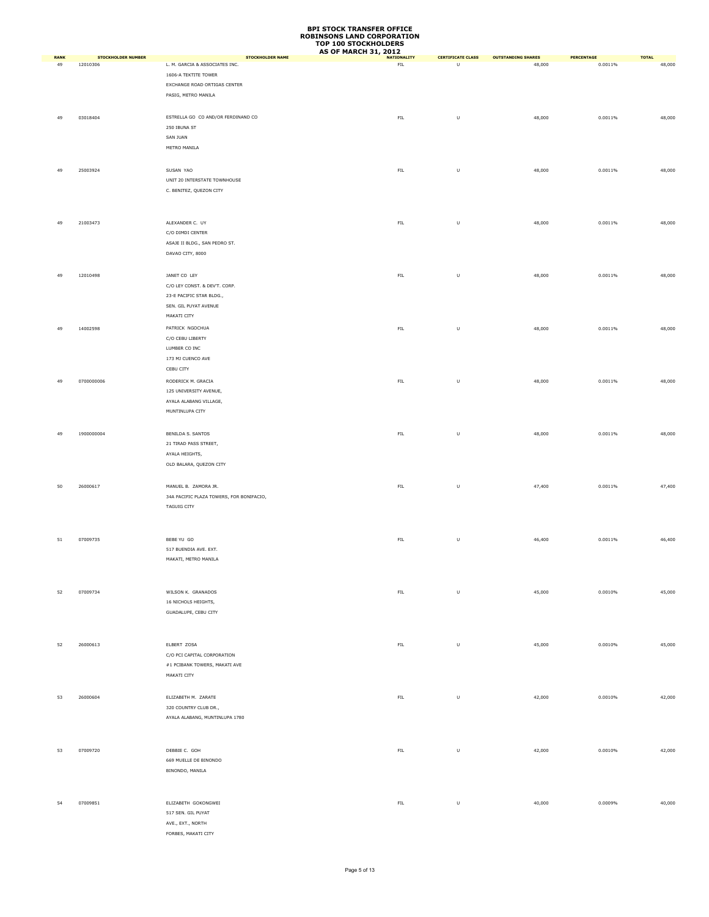|                   |                                       |                                                           | <b>AS OF MARCH 31, 2012</b>       |                               |                                     |                       |                        |
|-------------------|---------------------------------------|-----------------------------------------------------------|-----------------------------------|-------------------------------|-------------------------------------|-----------------------|------------------------|
| <b>RANK</b><br>49 | <b>STOCKHOLDER NUMBER</b><br>12010306 | <b>STOCKHOLDER NAME</b><br>L. M. GARCIA & ASSOCIATES INC. | <b>NATIONALITY</b><br>${\sf FIL}$ | <b>CERTIFICATE CLASS</b><br>U | <b>OUTSTANDING SHARES</b><br>48,000 | PERCENTAGE<br>0.0011% | <b>TOTAL</b><br>48,000 |
|                   |                                       | 1606-A TEKTITE TOWER                                      |                                   |                               |                                     |                       |                        |
|                   |                                       |                                                           |                                   |                               |                                     |                       |                        |
|                   |                                       | EXCHANGE ROAD ORTIGAS CENTER                              |                                   |                               |                                     |                       |                        |
|                   |                                       | PASIG, METRO MANILA                                       |                                   |                               |                                     |                       |                        |
|                   |                                       |                                                           |                                   |                               |                                     |                       |                        |
| 49                | 03018404                              | ESTRELLA GO CO AND/OR FERDINAND CO                        | ${\sf FIL}$                       | $\sf U$                       | 48,000                              | 0.0011%               | 48,000                 |
|                   |                                       | 250 IBUNA ST                                              |                                   |                               |                                     |                       |                        |
|                   |                                       | SAN JUAN                                                  |                                   |                               |                                     |                       |                        |
|                   |                                       | METRO MANILA                                              |                                   |                               |                                     |                       |                        |
|                   |                                       |                                                           |                                   |                               |                                     |                       |                        |
|                   |                                       |                                                           |                                   |                               |                                     |                       |                        |
| 49                | 25003924                              | SUSAN YAO                                                 | ${\sf FIL}$                       | $\sf U$                       | 48,000                              | 0.0011%               | 48,000                 |
|                   |                                       | UNIT 20 INTERSTATE TOWNHOUSE                              |                                   |                               |                                     |                       |                        |
|                   |                                       | C. BENITEZ, QUEZON CITY                                   |                                   |                               |                                     |                       |                        |
|                   |                                       |                                                           |                                   |                               |                                     |                       |                        |
|                   |                                       |                                                           |                                   |                               |                                     |                       |                        |
| 49                | 21003473                              | ALEXANDER C. UY                                           | FIL                               | $\sf U$                       | 48,000                              | 0.0011%               | 48,000                 |
|                   |                                       | C/O DIMDI CENTER                                          |                                   |                               |                                     |                       |                        |
|                   |                                       | ASAJE II BLDG., SAN PEDRO ST.                             |                                   |                               |                                     |                       |                        |
|                   |                                       |                                                           |                                   |                               |                                     |                       |                        |
|                   |                                       | DAVAO CITY, 8000                                          |                                   |                               |                                     |                       |                        |
|                   |                                       |                                                           |                                   |                               |                                     |                       |                        |
| 49                | 12010498                              | JANET CO LEY                                              | ${\sf FIL}$                       | $\sf U$                       | 48,000                              | 0.0011%               | 48,000                 |
|                   |                                       | C/O LEY CONST. & DEV'T. CORP.                             |                                   |                               |                                     |                       |                        |
|                   |                                       | 23-E PACIFIC STAR BLDG.,                                  |                                   |                               |                                     |                       |                        |
|                   |                                       | SEN. GIL PUYAT AVENUE                                     |                                   |                               |                                     |                       |                        |
|                   |                                       | MAKATI CITY                                               |                                   |                               |                                     |                       |                        |
|                   |                                       |                                                           |                                   |                               |                                     |                       |                        |
| 49                | 14002598                              | PATRICK NGOCHUA                                           | ${\sf FIL}$                       | $\sf U$                       | 48,000                              | 0.0011%               | 48,000                 |
|                   |                                       | C/O CEBU LIBERTY                                          |                                   |                               |                                     |                       |                        |
|                   |                                       | LUMBER CO INC                                             |                                   |                               |                                     |                       |                        |
|                   |                                       | 173 MJ CUENCO AVE                                         |                                   |                               |                                     |                       |                        |
|                   |                                       | CEBU CITY                                                 |                                   |                               |                                     |                       |                        |
| 49                | 0700000006                            | RODERICK M. GRACIA                                        | <b>FIL</b>                        | $\sf U$                       | 48,000                              | 0.0011%               | 48,000                 |
|                   |                                       | 125 UNIVERSITY AVENUE,                                    |                                   |                               |                                     |                       |                        |
|                   |                                       | AYALA ALABANG VILLAGE,                                    |                                   |                               |                                     |                       |                        |
|                   |                                       |                                                           |                                   |                               |                                     |                       |                        |
|                   |                                       | MUNTINLUPA CITY                                           |                                   |                               |                                     |                       |                        |
|                   |                                       |                                                           |                                   |                               |                                     |                       |                        |
| 49                | 1900000004                            | BENILDA S. SANTOS                                         | ${\sf FIL}$                       | $\sf U$                       | 48,000                              | 0.0011%               | 48,000                 |
|                   |                                       | 21 TIRAD PASS STREET,                                     |                                   |                               |                                     |                       |                        |
|                   |                                       | AYALA HEIGHTS,                                            |                                   |                               |                                     |                       |                        |
|                   |                                       | OLD BALARA, QUEZON CITY                                   |                                   |                               |                                     |                       |                        |
|                   |                                       |                                                           |                                   |                               |                                     |                       |                        |
|                   |                                       |                                                           |                                   |                               |                                     |                       |                        |
| 50                | 26000617                              | MANUEL B. ZAMORA JR.                                      | ${\sf FIL}$                       | $\sf U$                       | 47,400                              | 0.0011%               | 47,400                 |
|                   |                                       | 34A PACIFIC PLAZA TOWERS, FOR BONIFACIO,                  |                                   |                               |                                     |                       |                        |
|                   |                                       | <b>TAGUIG CITY</b>                                        |                                   |                               |                                     |                       |                        |
|                   |                                       |                                                           |                                   |                               |                                     |                       |                        |
|                   |                                       |                                                           |                                   |                               |                                     |                       |                        |
| 51                | 07009735                              | BEBE YU GO                                                | FIL                               | $\sf U$                       | 46,400                              | 0.0011%               | 46,400                 |
|                   |                                       | 517 BUENDIA AVE. EXT.                                     |                                   |                               |                                     |                       |                        |
|                   |                                       | MAKATI, METRO MANILA                                      |                                   |                               |                                     |                       |                        |
|                   |                                       |                                                           |                                   |                               |                                     |                       |                        |
|                   |                                       |                                                           |                                   |                               |                                     |                       |                        |
|                   |                                       |                                                           |                                   |                               |                                     |                       |                        |
| 52                | 07009734                              | WILSON K. GRANADOS                                        | ${\sf FIL}$                       | $\sf U$                       | 45,000                              | 0.0010%               | 45,000                 |
|                   |                                       | 16 NICHOLS HEIGHTS,                                       |                                   |                               |                                     |                       |                        |
|                   |                                       | GUADALUPE, CEBU CITY                                      |                                   |                               |                                     |                       |                        |
|                   |                                       |                                                           |                                   |                               |                                     |                       |                        |
|                   |                                       |                                                           |                                   |                               |                                     |                       |                        |
|                   |                                       |                                                           |                                   |                               |                                     |                       |                        |
| 52                | 26000613                              | ELBERT ZOSA                                               | ${\sf FIL}$                       | $\sf U$                       | 45,000                              | 0.0010%               | 45,000                 |
|                   |                                       | C/O PCI CAPITAL CORPORATION                               |                                   |                               |                                     |                       |                        |
|                   |                                       | #1 PCIBANK TOWERS, MAKATI AVE                             |                                   |                               |                                     |                       |                        |
|                   |                                       | MAKATI CITY                                               |                                   |                               |                                     |                       |                        |
|                   |                                       |                                                           |                                   |                               |                                     |                       |                        |
| 53                | 26000604                              | ELIZABETH M. ZARATE                                       | FL                                | $\sf U$                       | 42,000                              | 0.0010%               | 42,000                 |
|                   |                                       | 320 COUNTRY CLUB DR.,                                     |                                   |                               |                                     |                       |                        |
|                   |                                       | AYALA ALABANG, MUNTINLUPA 1780                            |                                   |                               |                                     |                       |                        |
|                   |                                       |                                                           |                                   |                               |                                     |                       |                        |
|                   |                                       |                                                           |                                   |                               |                                     |                       |                        |
|                   |                                       |                                                           |                                   |                               |                                     |                       |                        |
| 53                | 07009720                              | DEBBIE C. GOH                                             | ${\sf FIL}$                       | $\sf U$                       | 42,000                              | 0.0010%               | 42,000                 |
|                   |                                       | 669 MUELLE DE BINONDO                                     |                                   |                               |                                     |                       |                        |
|                   |                                       | BINONDO, MANILA                                           |                                   |                               |                                     |                       |                        |
|                   |                                       |                                                           |                                   |                               |                                     |                       |                        |
|                   |                                       |                                                           |                                   |                               |                                     |                       |                        |
|                   |                                       |                                                           |                                   |                               |                                     |                       |                        |
| 54                | 07009851                              | ELIZABETH GOKONGWEI                                       | ${\sf FIL}$                       | $\sf U$                       | 40,000                              | 0.0009%               | 40,000                 |
|                   |                                       | 517 SEN. GIL PUYAT                                        |                                   |                               |                                     |                       |                        |
|                   |                                       | AVE., EXT., NORTH                                         |                                   |                               |                                     |                       |                        |
|                   |                                       | FORBES, MAKATI CITY                                       |                                   |                               |                                     |                       |                        |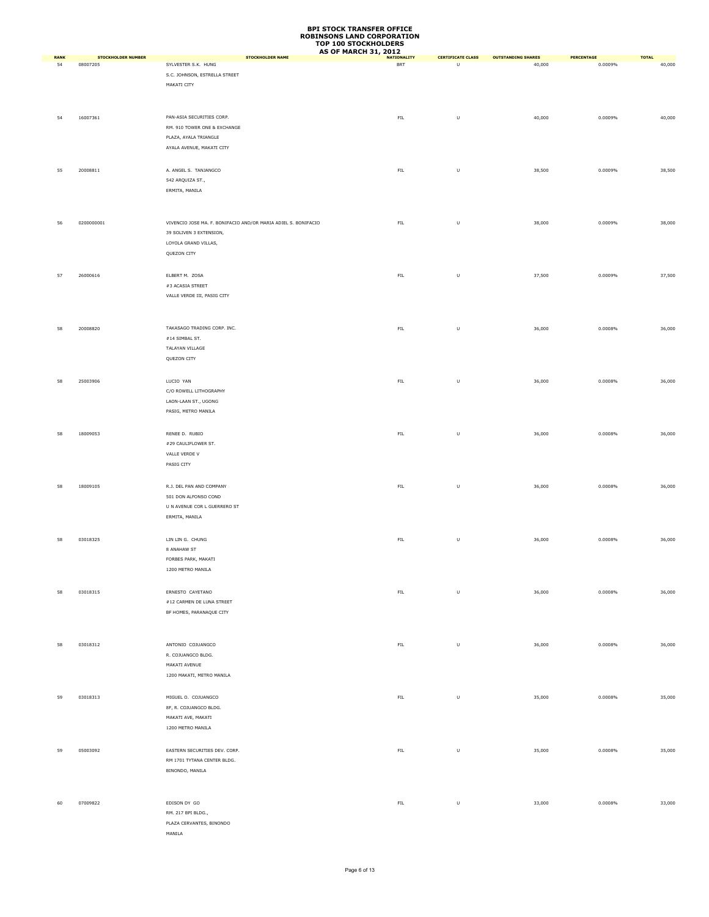|                   |                                       |                                                                | <b>AS OF MARCH 31, 2012</b> |                               |                                     |                              |                        |
|-------------------|---------------------------------------|----------------------------------------------------------------|-----------------------------|-------------------------------|-------------------------------------|------------------------------|------------------------|
| <b>RANK</b><br>54 | <b>STOCKHOLDER NUMBER</b><br>08007205 | <b>STOCKHOLDER NAME</b><br>SYLVESTER S.K. HUNG                 | <b>NATIONALITY</b><br>BRT   | <b>CERTIFICATE CLASS</b><br>U | <b>OUTSTANDING SHARES</b><br>40,000 | <b>PERCENTAGE</b><br>0.0009% | <b>TOTAL</b><br>40,000 |
|                   |                                       | S.C. JOHNSON, ESTRELLA STREET                                  |                             |                               |                                     |                              |                        |
|                   |                                       | MAKATI CITY                                                    |                             |                               |                                     |                              |                        |
|                   |                                       |                                                                |                             |                               |                                     |                              |                        |
|                   |                                       |                                                                |                             |                               |                                     |                              |                        |
|                   | 16007361                              | PAN-ASIA SECURITIES CORP.                                      | ${\sf FIL}$                 |                               |                                     | 0.0009%                      |                        |
| 54                |                                       |                                                                |                             | $\sf U$                       | 40,000                              |                              | 40,000                 |
|                   |                                       | RM. 910 TOWER ONE & EXCHANGE<br>PLAZA, AYALA TRIANGLE          |                             |                               |                                     |                              |                        |
|                   |                                       | AYALA AVENUE, MAKATI CITY                                      |                             |                               |                                     |                              |                        |
|                   |                                       |                                                                |                             |                               |                                     |                              |                        |
|                   |                                       |                                                                |                             |                               |                                     |                              |                        |
| 55                | 20008811                              | A. ANGEL S. TANJANGCO                                          | ${\sf FIL}$                 | $\sf U$                       | 38,500                              | 0.0009%                      | 38,500                 |
|                   |                                       | 542 ARQUIZA ST.,                                               |                             |                               |                                     |                              |                        |
|                   |                                       | ERMITA, MANILA                                                 |                             |                               |                                     |                              |                        |
|                   |                                       |                                                                |                             |                               |                                     |                              |                        |
|                   |                                       |                                                                |                             |                               |                                     |                              |                        |
| 56                | 0200000001                            | VIVENCIO JOSE MA. F. BONIFACIO AND/OR MARIA ADIEL S. BONIFACIO | ${\sf FIL}$                 | $\sf U$                       | 38,000                              | 0.0009%                      | 38,000                 |
|                   |                                       | 39 SOLIVEN 3 EXTENSION,                                        |                             |                               |                                     |                              |                        |
|                   |                                       | LOYOLA GRAND VILLAS,                                           |                             |                               |                                     |                              |                        |
|                   |                                       | QUEZON CITY                                                    |                             |                               |                                     |                              |                        |
|                   |                                       |                                                                |                             |                               |                                     |                              |                        |
| 57                | 26000616                              | ELBERT M. ZOSA                                                 | ${\sf FIL}$                 | $\sf U$                       | 37,500                              | 0.0009%                      | 37,500                 |
|                   |                                       | $\#3$ ACASIA STREET                                            |                             |                               |                                     |                              |                        |
|                   |                                       | VALLE VERDE III, PASIG CITY                                    |                             |                               |                                     |                              |                        |
|                   |                                       |                                                                |                             |                               |                                     |                              |                        |
|                   |                                       |                                                                |                             |                               |                                     |                              |                        |
| 58                | 20008820                              | TAKASAGO TRADING CORP. INC.                                    | ${\sf FIL}$                 | U                             | 36,000                              | 0.0008%                      | 36,000                 |
|                   |                                       | #14 SIMBAL ST.                                                 |                             |                               |                                     |                              |                        |
|                   |                                       | TALAYAN VILLAGE                                                |                             |                               |                                     |                              |                        |
|                   |                                       | QUEZON CITY                                                    |                             |                               |                                     |                              |                        |
|                   |                                       |                                                                |                             |                               |                                     |                              |                        |
|                   |                                       |                                                                |                             |                               |                                     |                              |                        |
| 58                | 25003906                              | LUCIO YAN                                                      | ${\sf FIL}$                 | $\sf U$                       | 36,000                              | 0.0008%                      | 36,000                 |
|                   |                                       | C/O ROWELL LITHOGRAPHY                                         |                             |                               |                                     |                              |                        |
|                   |                                       | LAON-LAAN ST., UGONG                                           |                             |                               |                                     |                              |                        |
|                   |                                       | PASIG, METRO MANILA                                            |                             |                               |                                     |                              |                        |
|                   |                                       |                                                                |                             |                               |                                     |                              |                        |
| 58                | 18009053                              | RENEE D. RUBIO                                                 | ${\sf FIL}$                 | $\sf U$                       | 36,000                              | 0.0008%                      | 36,000                 |
|                   |                                       | #29 CAULIFLOWER ST.                                            |                             |                               |                                     |                              |                        |
|                   |                                       | VALLE VERDE V                                                  |                             |                               |                                     |                              |                        |
|                   |                                       | PASIG CITY                                                     |                             |                               |                                     |                              |                        |
|                   |                                       |                                                                |                             |                               |                                     |                              |                        |
| 58                | 18009105                              | R.J. DEL PAN AND COMPANY                                       | ${\sf FIL}$                 | $\sf U$                       | 36,000                              | 0.0008%                      | 36,000                 |
|                   |                                       | 501 DON ALFONSO COND                                           |                             |                               |                                     |                              |                        |
|                   |                                       | U N AVENUE COR L GUERRERO ST                                   |                             |                               |                                     |                              |                        |
|                   |                                       | ERMITA, MANILA                                                 |                             |                               |                                     |                              |                        |
|                   |                                       |                                                                |                             |                               |                                     |                              |                        |
| 58                | 03018325                              | LIN LIN G. CHUNG                                               | FL                          | $\sf U$                       | 36,000                              | 0.0008%                      | 36,000                 |
|                   |                                       | 8 ANAHAW ST                                                    |                             |                               |                                     |                              |                        |
|                   |                                       | FORBES PARK, MAKATI                                            |                             |                               |                                     |                              |                        |
|                   |                                       |                                                                |                             |                               |                                     |                              |                        |
|                   |                                       | 1200 METRO MANILA                                              |                             |                               |                                     |                              |                        |
|                   |                                       |                                                                |                             |                               |                                     |                              |                        |
| 58                | 03018315                              | ERNESTO CAYETANO                                               | ${\sf FIL}$                 | $\sf U$                       | 36,000                              | 0.0008%                      | 36,000                 |
|                   |                                       | #12 CARMEN DE LUNA STREET                                      |                             |                               |                                     |                              |                        |
|                   |                                       | BF HOMES, PARANAQUE CITY                                       |                             |                               |                                     |                              |                        |
|                   |                                       |                                                                |                             |                               |                                     |                              |                        |
|                   |                                       |                                                                |                             |                               |                                     |                              |                        |
| 58                | 03018312                              | ANTONIO COJUANGCO                                              | ${\sf FIL}$                 | $\sf U$                       | 36,000                              | 0.0008%                      | 36,000                 |
|                   |                                       | R. COJUANGCO BLDG.                                             |                             |                               |                                     |                              |                        |
|                   |                                       | MAKATI AVENUE                                                  |                             |                               |                                     |                              |                        |
|                   |                                       | 1200 MAKATI, METRO MANILA                                      |                             |                               |                                     |                              |                        |
|                   |                                       |                                                                |                             |                               |                                     |                              |                        |
| 59                | 03018313                              | MIGUEL O. COJUANGCO                                            | FL                          | $\sf U$                       | 35,000                              | 0.0008%                      | 35,000                 |
|                   |                                       | 8F, R. COJUANGCO BLDG.                                         |                             |                               |                                     |                              |                        |
|                   |                                       | MAKATI AVE, MAKATI                                             |                             |                               |                                     |                              |                        |
|                   |                                       | 1200 METRO MANILA                                              |                             |                               |                                     |                              |                        |
|                   |                                       |                                                                |                             |                               |                                     |                              |                        |
|                   |                                       |                                                                | FL                          |                               |                                     |                              |                        |
| 59                | 05003092                              | EASTERN SECURITIES DEV. CORP.<br>RM 1701 TYTANA CENTER BLDG.   |                             | $\sf U$                       | 35,000                              | 0.0008%                      | 35,000                 |
|                   |                                       |                                                                |                             |                               |                                     |                              |                        |
|                   |                                       | BINONDO, MANILA                                                |                             |                               |                                     |                              |                        |
|                   |                                       |                                                                |                             |                               |                                     |                              |                        |
|                   |                                       |                                                                |                             |                               |                                     |                              |                        |
| 60                | 07009822                              | EDISON DY GO                                                   | ${\sf FIL}$                 | $\sf U$                       | 33,000                              | 0.0008%                      | 33,000                 |
|                   |                                       | RM. 217 BPI BLDG.,                                             |                             |                               |                                     |                              |                        |
|                   |                                       | PLAZA CERVANTES, BINONDO                                       |                             |                               |                                     |                              |                        |
|                   |                                       | MANILA                                                         |                             |                               |                                     |                              |                        |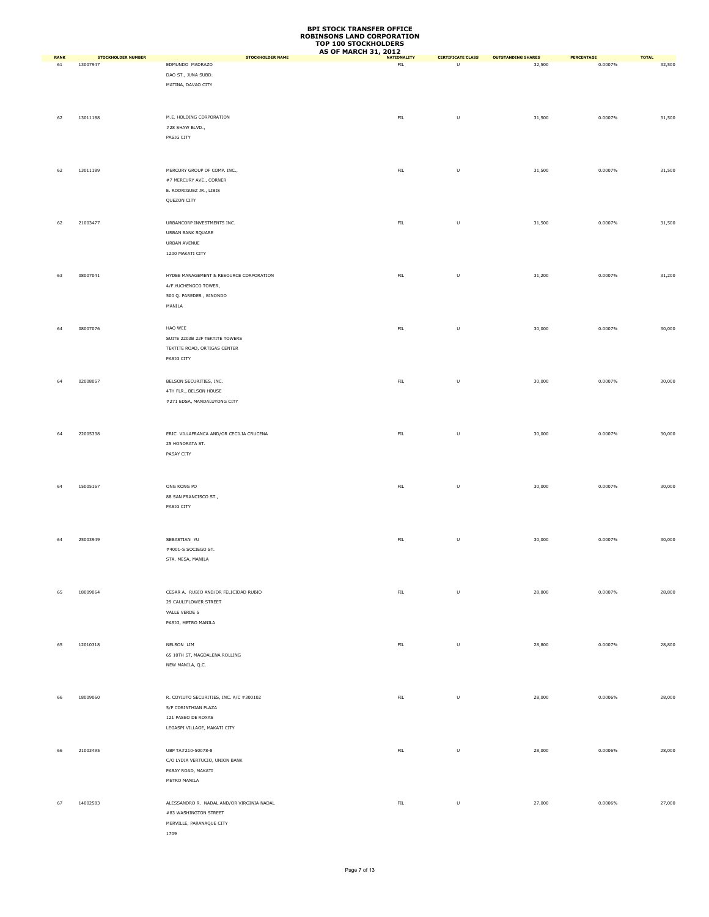|                   |                                       |                                                                                                                       | <b>AS OF MARCH 31, 2012</b>       |                               |                                     |                              |                        |
|-------------------|---------------------------------------|-----------------------------------------------------------------------------------------------------------------------|-----------------------------------|-------------------------------|-------------------------------------|------------------------------|------------------------|
| <b>RANK</b><br>61 | <b>STOCKHOLDER NUMBER</b><br>13007947 | <b>STOCKHOLDER NAME</b><br>EDMUNDO MADRAZO<br>DAO ST., JUNA SUBD.<br>MATINA, DAVAO CITY                               | <b>NATIONALITY</b><br>${\sf FIL}$ | <b>CERTIFICATE CLASS</b><br>U | <b>OUTSTANDING SHARES</b><br>32,500 | <b>PERCENTAGE</b><br>0.0007% | <b>TOTAL</b><br>32,500 |
| 62                | 13011188                              | M.E. HOLDING CORPORATION<br>#28 SHAW BLVD.,<br>PASIG CITY                                                             | ${\sf FIL}$                       | $\sf U$                       | 31,500                              | 0.0007%                      | 31,500                 |
| 62                | 13011189                              | MERCURY GROUP OF COMP. INC.,<br>#7 MERCURY AVE., CORNER<br>E. RODRIGUEZ JR., LIBIS<br>QUEZON CITY                     | ${\sf FIL}$                       | $\sf U$                       | 31,500                              | 0.0007%                      | 31,500                 |
| 62                | 21003477                              | URBANCORP INVESTMENTS INC.<br>URBAN BANK SQUARE<br>URBAN AVENUE<br>1200 MAKATI CITY                                   | ${\sf FIL}$                       | $\sf U$                       | 31,500                              | 0.0007%                      | 31,500                 |
| 63                | 08007041                              | HYDEE MANAGEMENT & RESOURCE CORPORATION<br>4/F YUCHENGCO TOWER,<br>500 Q. PAREDES, BINONDO<br>MANILA                  | ${\sf FIL}$                       | $\sf U$                       | 31,200                              | 0.0007%                      | 31,200                 |
| 64                | 08007076                              | HAO WEE<br>SUITE 2203B 22F TEKTITE TOWERS<br>TEKTITE ROAD, ORTIGAS CENTER<br>PASIG CITY                               | ${\sf FIL}$                       | $\sf U$                       | 30,000                              | 0.0007%                      | 30,000                 |
| 64                | 02008057                              | BELSON SECURITIES, INC.<br>4TH FLR., BELSON HOUSE<br>#271 EDSA, MANDALUYONG CITY                                      | ${\sf FIL}$                       | $\sf U$                       | 30,000                              | 0.0007%                      | 30,000                 |
| 64                | 22005338                              | ERIC VILLAFRANCA AND/OR CECILIA CRUCENA<br>25 HONORATA ST.<br>PASAY CITY                                              | ${\sf FIL}$                       | $\sf U$                       | 30,000                              | 0.0007%                      | 30,000                 |
| 64                | 15005157                              | ONG KONG PO<br>88 SAN FRANCISCO ST.,<br>PASIG CITY                                                                    | ${\sf FIL}$                       | $\sf U$                       | 30,000                              | 0.0007%                      | 30,000                 |
| 64                | 25003949                              | SEBASTIAN YU<br>#4001-S SOCIEGO ST.<br>STA. MESA, MANILA                                                              | FL                                | $\sf U$                       | 30,000                              | 0.0007%                      | 30,000                 |
| 65                | 18009064                              | CESAR A. RUBIO AND/OR FELICIDAD RUBIO<br>29 CAULIFLOWER STREET<br>VALLE VERDE 5<br>PASIG, METRO MANILA                | ${\sf FIL}$                       | $\sf U$                       | 28,800                              | 0.0007%                      | 28,800                 |
| 65                | 12010318                              | NELSON LIM<br>65 10TH ST, MAGDALENA ROLLING<br>NEW MANILA, Q.C.                                                       | FL                                | $\sf U$                       | 28,800                              | 0.0007%                      | 28,800                 |
| 66                | 18009060                              | R. COYIUTO SECURITIES, INC. A/C #300102<br>5/F CORINTHIAN PLAZA<br>121 PASEO DE ROXAS<br>LEGASPI VILLAGE, MAKATI CITY | FIL.                              | $\sf U$                       | 28,000                              | 0.0006%                      | 28,000                 |
| 66                | 21003495                              | UBP TA#210-50078-8<br>C/O LYDIA VERTUCIO, UNION BANK<br>PASAY ROAD, MAKATI<br>METRO MANILA                            | FL                                | $\sf U$                       | 28,000                              | 0.0006%                      | 28,000                 |
| 67                | 14002583                              | ALESSANDRO R. NADAL AND/OR VIRGINIA NADAL<br>#83 WASHINGTON STREET<br>MERVILLE, PARANAQUE CITY<br>1709                | ${\sf FIL}$                       | $\sf U$                       | 27,000                              | 0.0006%                      | 27,000                 |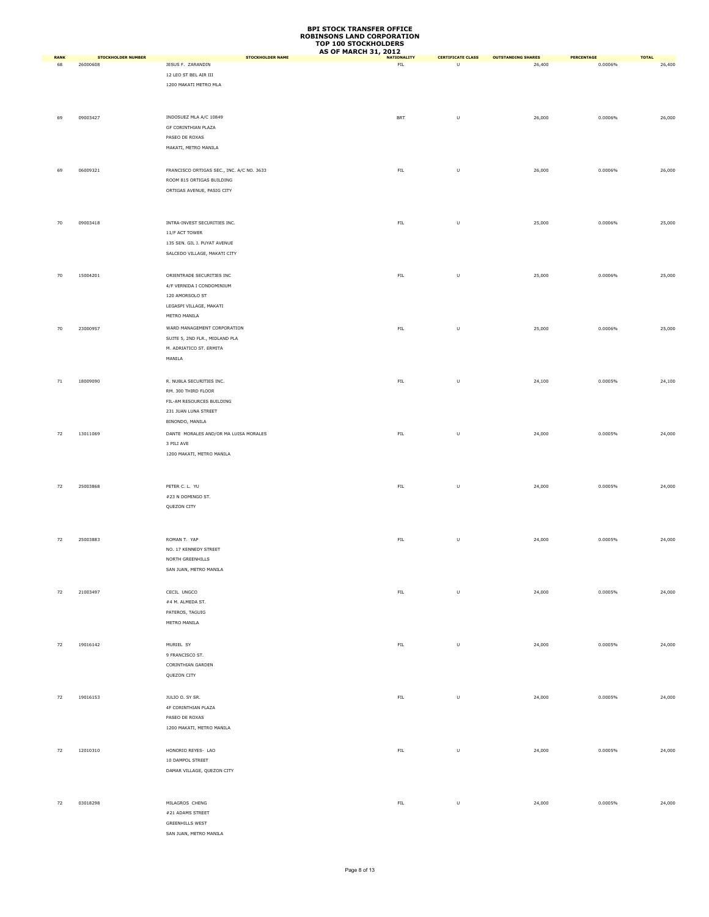|                   |                                       |                                              | <b>AS OF MARCH 31, 2012</b>       |                               |                                     |                       |                        |
|-------------------|---------------------------------------|----------------------------------------------|-----------------------------------|-------------------------------|-------------------------------------|-----------------------|------------------------|
| <b>RANK</b><br>68 | <b>STOCKHOLDER NUMBER</b><br>26000608 | <b>STOCKHOLDER NAME</b><br>JESUS F. ZARANDIN | <b>NATIONALITY</b><br>${\sf FIL}$ | <b>CERTIFICATE CLASS</b><br>U | <b>OUTSTANDING SHARES</b><br>26,400 | PERCENTAGE<br>0.0006% | <b>TOTAL</b><br>26,400 |
|                   |                                       | 12 LEO ST BEL AIR III                        |                                   |                               |                                     |                       |                        |
|                   |                                       |                                              |                                   |                               |                                     |                       |                        |
|                   |                                       | 1200 MAKATI METRO MLA                        |                                   |                               |                                     |                       |                        |
|                   |                                       |                                              |                                   |                               |                                     |                       |                        |
|                   |                                       |                                              |                                   |                               |                                     |                       |                        |
| 69                | 09003427                              | INDOSUEZ MLA A/C 10849                       | <b>BRT</b>                        | $\sf U$                       | 26,000                              | 0.0006%               | 26,000                 |
|                   |                                       | GF CORINTHIAN PLAZA                          |                                   |                               |                                     |                       |                        |
|                   |                                       | PASEO DE ROXAS                               |                                   |                               |                                     |                       |                        |
|                   |                                       | MAKATI, METRO MANILA                         |                                   |                               |                                     |                       |                        |
|                   |                                       |                                              |                                   |                               |                                     |                       |                        |
|                   |                                       |                                              |                                   |                               |                                     |                       |                        |
| 69                | 06009321                              | FRANCISCO ORTIGAS SEC., INC. A/C NO. 3633    | ${\sf FIL}$                       | $\sf U$                       | 26,000                              | 0.0006%               | 26,000                 |
|                   |                                       | ROOM 815 ORTIGAS BUILDING                    |                                   |                               |                                     |                       |                        |
|                   |                                       | ORTIGAS AVENUE, PASIG CITY                   |                                   |                               |                                     |                       |                        |
|                   |                                       |                                              |                                   |                               |                                     |                       |                        |
|                   |                                       |                                              |                                   |                               |                                     |                       |                        |
| 70                | 09003418                              | INTRA-INVEST SECURITIES INC.                 | ${\sf FIL}$                       | $\sf U$                       | 25,000                              | 0.0006%               | 25,000                 |
|                   |                                       | 11/F ACT TOWER                               |                                   |                               |                                     |                       |                        |
|                   |                                       | 135 SEN. GIL J. PUYAT AVENUE                 |                                   |                               |                                     |                       |                        |
|                   |                                       |                                              |                                   |                               |                                     |                       |                        |
|                   |                                       | SALCEDO VILLAGE, MAKATI CITY                 |                                   |                               |                                     |                       |                        |
|                   |                                       |                                              |                                   |                               |                                     |                       |                        |
| 70                | 15004201                              | ORIENTRADE SECURITIES INC                    | ${\sf FIL}$                       | $\sf U$                       | 25,000                              | 0.0006%               | 25,000                 |
|                   |                                       | 4/F VERNIDA I CONDOMINIUM                    |                                   |                               |                                     |                       |                        |
|                   |                                       | 120 AMORSOLO ST                              |                                   |                               |                                     |                       |                        |
|                   |                                       | LEGASPI VILLAGE, MAKATI                      |                                   |                               |                                     |                       |                        |
|                   |                                       | METRO MANILA                                 |                                   |                               |                                     |                       |                        |
|                   |                                       |                                              |                                   |                               |                                     |                       |                        |
| 70                | 23000957                              | WARD MANAGEMENT CORPORATION                  | FL                                | $\sf U$                       | 25,000                              | 0.0006%               | 25,000                 |
|                   |                                       | SUITE 5, 2ND FLR., MIDLAND PLA               |                                   |                               |                                     |                       |                        |
|                   |                                       | M. ADRIATICO ST. ERMITA                      |                                   |                               |                                     |                       |                        |
|                   |                                       | MANILA                                       |                                   |                               |                                     |                       |                        |
|                   |                                       |                                              |                                   |                               |                                     |                       |                        |
| $71\,$            | 18009090                              | R. NUBLA SECURITIES INC.                     | ${\sf FIL}$                       | $\sf U$                       | 24,100                              | 0.0005%               | 24,100                 |
|                   |                                       | RM. 300 THIRD FLOOR                          |                                   |                               |                                     |                       |                        |
|                   |                                       |                                              |                                   |                               |                                     |                       |                        |
|                   |                                       | FIL-AM RESOURCES BUILDING                    |                                   |                               |                                     |                       |                        |
|                   |                                       | 231 JUAN LUNA STREET                         |                                   |                               |                                     |                       |                        |
|                   |                                       | BINONDO, MANILA                              |                                   |                               |                                     |                       |                        |
| 72                | 13011069                              | DANTE MORALES AND/OR MA LUISA MORALES        | ${\sf FIL}$                       | $\sf U$                       | 24,000                              | 0.0005%               | 24,000                 |
|                   |                                       | 3 PILI AVE                                   |                                   |                               |                                     |                       |                        |
|                   |                                       | 1200 MAKATI, METRO MANILA                    |                                   |                               |                                     |                       |                        |
|                   |                                       |                                              |                                   |                               |                                     |                       |                        |
|                   |                                       |                                              |                                   |                               |                                     |                       |                        |
|                   |                                       |                                              |                                   |                               |                                     |                       |                        |
| 72                | 25003868                              | PETER C. L. YU                               | ${\sf FIL}$                       | $\sf U$                       | 24,000                              | 0.0005%               | 24,000                 |
|                   |                                       | #23 N DOMINGO ST.                            |                                   |                               |                                     |                       |                        |
|                   |                                       | QUEZON CITY                                  |                                   |                               |                                     |                       |                        |
|                   |                                       |                                              |                                   |                               |                                     |                       |                        |
|                   |                                       |                                              |                                   |                               |                                     |                       |                        |
| 72                | 25003883                              | ROMAN T. YAP                                 | ${\sf FIL}$                       | $\sf U$                       | 24,000                              | 0.0005%               | 24,000                 |
|                   |                                       | NO. 17 KENNEDY STREET                        |                                   |                               |                                     |                       |                        |
|                   |                                       |                                              |                                   |                               |                                     |                       |                        |
|                   |                                       | NORTH GREENHILLS                             |                                   |                               |                                     |                       |                        |
|                   |                                       | SAN JUAN, METRO MANILA                       |                                   |                               |                                     |                       |                        |
|                   |                                       |                                              |                                   |                               |                                     |                       |                        |
| 72                | 21003497                              | CECIL UNGCO                                  | ${\sf FIL}$                       | $\sf U$                       | 24,000                              | 0.0005%               | 24,000                 |
|                   |                                       | #4 M. ALMEDA ST.                             |                                   |                               |                                     |                       |                        |
|                   |                                       | PATEROS, TAGUIG                              |                                   |                               |                                     |                       |                        |
|                   |                                       | METRO MANILA                                 |                                   |                               |                                     |                       |                        |
|                   |                                       |                                              |                                   |                               |                                     |                       |                        |
|                   |                                       |                                              |                                   |                               |                                     |                       |                        |
| 72                | 19016142                              | MURIEL SY                                    | FL                                | $\sf U$                       | 24,000                              | 0.0005%               | 24,000                 |
|                   |                                       | 9 FRANCISCO ST.                              |                                   |                               |                                     |                       |                        |
|                   |                                       | CORINTHIAN GARDEN                            |                                   |                               |                                     |                       |                        |
|                   |                                       | QUEZON CITY                                  |                                   |                               |                                     |                       |                        |
|                   |                                       |                                              |                                   |                               |                                     |                       |                        |
| 72                | 19016153                              | JULIO O. SY SR.                              | ${\sf FIL}$                       | $\sf U$                       | 24,000                              | 0.0005%               | 24,000                 |
|                   |                                       |                                              |                                   |                               |                                     |                       |                        |
|                   |                                       | 4F CORINTHIAN PLAZA                          |                                   |                               |                                     |                       |                        |
|                   |                                       | PASEO DE ROXAS                               |                                   |                               |                                     |                       |                        |
|                   |                                       | 1200 MAKATI, METRO MANILA                    |                                   |                               |                                     |                       |                        |
|                   |                                       |                                              |                                   |                               |                                     |                       |                        |
| 72                | 12010310                              | HONORIO REYES- LAO                           | ${\sf FIL}$                       | $\sf U$                       | 24,000                              | 0.0005%               | 24,000                 |
|                   |                                       | 10 DAMPOL STREET                             |                                   |                               |                                     |                       |                        |
|                   |                                       | DAMAR VILLAGE, QUEZON CITY                   |                                   |                               |                                     |                       |                        |
|                   |                                       |                                              |                                   |                               |                                     |                       |                        |
|                   |                                       |                                              |                                   |                               |                                     |                       |                        |
|                   |                                       |                                              |                                   |                               |                                     |                       |                        |
| 72                | 03018298                              | MILAGROS CHENG                               | ${\sf FIL}$                       | $\sf U$                       | 24,000                              | 0.0005%               | 24,000                 |
|                   |                                       | #21 ADAMS STREET                             |                                   |                               |                                     |                       |                        |
|                   |                                       | <b>GREENHILLS WEST</b>                       |                                   |                               |                                     |                       |                        |
|                   |                                       | SAN JUAN, METRO MANILA                       |                                   |                               |                                     |                       |                        |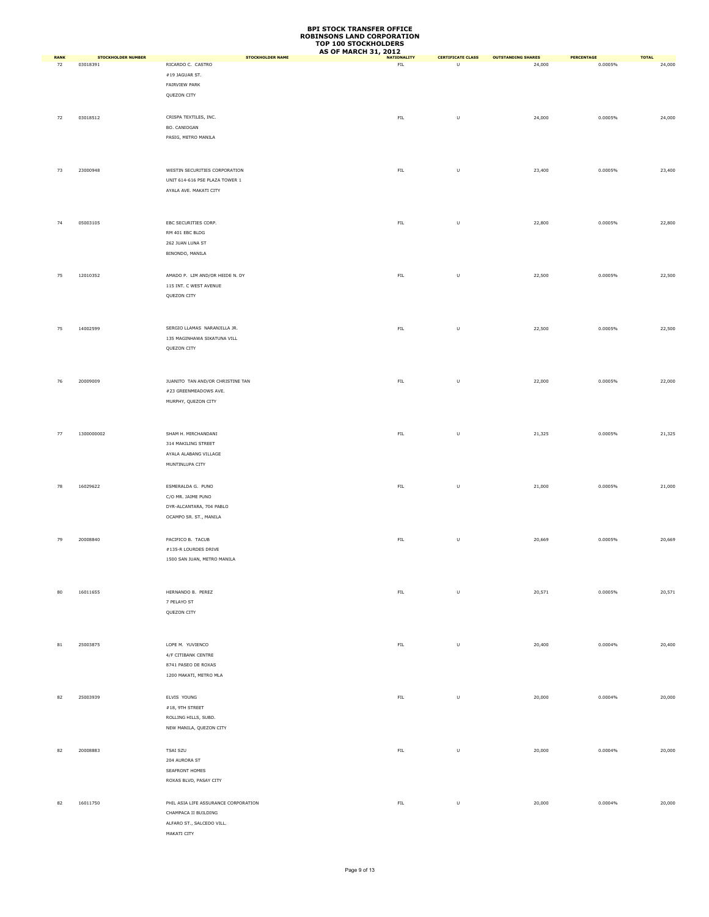|                   | <b>STOCKHOLDER NUMBER</b> | STOCKHOLDER NAME                     | <b>AS OF MARCH 31, 2012</b>       |                                     |                                     |                       |                        |
|-------------------|---------------------------|--------------------------------------|-----------------------------------|-------------------------------------|-------------------------------------|-----------------------|------------------------|
| <b>RANK</b><br>72 | 03018391                  | RICARDO C. CASTRO                    | <b>NATIONALITY</b><br>${\sf FIL}$ | <b>CERTIFICATE CLASS</b><br>$\sf U$ | <b>OUTSTANDING SHARES</b><br>24,000 | PERCENTAGE<br>0.0005% | <b>TOTAL</b><br>24,000 |
|                   |                           | $\#19$ JAGUAR ST.                    |                                   |                                     |                                     |                       |                        |
|                   |                           | FAIRVIEW PARK                        |                                   |                                     |                                     |                       |                        |
|                   |                           |                                      |                                   |                                     |                                     |                       |                        |
|                   |                           | QUEZON CITY                          |                                   |                                     |                                     |                       |                        |
|                   |                           |                                      |                                   |                                     |                                     |                       |                        |
| 72                | 03018512                  | CRISPA TEXTILES, INC.                | ${\sf FIL}$                       | $\sf U$                             | 24,000                              | 0.0005%               | 24,000                 |
|                   |                           | BO. CANIOGAN                         |                                   |                                     |                                     |                       |                        |
|                   |                           | PASIG, METRO MANILA                  |                                   |                                     |                                     |                       |                        |
|                   |                           |                                      |                                   |                                     |                                     |                       |                        |
|                   |                           |                                      |                                   |                                     |                                     |                       |                        |
|                   |                           |                                      |                                   |                                     |                                     |                       |                        |
| 73                | 23000948                  | WESTIN SECURITIES CORPORATION        | ${\sf FIL}$                       | U                                   | 23,400                              | 0.0005%               | 23,400                 |
|                   |                           | UNIT 614-616 PSE PLAZA TOWER 1       |                                   |                                     |                                     |                       |                        |
|                   |                           | AYALA AVE. MAKATI CITY               |                                   |                                     |                                     |                       |                        |
|                   |                           |                                      |                                   |                                     |                                     |                       |                        |
|                   |                           |                                      |                                   |                                     |                                     |                       |                        |
| 74                | 05003105                  | EBC SECURITIES CORP.                 | ${\sf FIL}$                       | $\sf U$                             | 22,800                              | 0.0005%               | 22,800                 |
|                   |                           | RM 401 EBC BLDG                      |                                   |                                     |                                     |                       |                        |
|                   |                           | 262 JUAN LUNA ST                     |                                   |                                     |                                     |                       |                        |
|                   |                           | BINONDO, MANILA                      |                                   |                                     |                                     |                       |                        |
|                   |                           |                                      |                                   |                                     |                                     |                       |                        |
|                   |                           |                                      |                                   |                                     |                                     |                       |                        |
| 75                | 12010352                  | AMADO P. LIM AND/OR HEIDE N. DY      | ${\sf FIL}$                       | $\sf U$                             | 22,500                              | 0.0005%               | 22,500                 |
|                   |                           | 115 INT. C WEST AVENUE               |                                   |                                     |                                     |                       |                        |
|                   |                           | QUEZON CITY                          |                                   |                                     |                                     |                       |                        |
|                   |                           |                                      |                                   |                                     |                                     |                       |                        |
|                   |                           |                                      |                                   |                                     |                                     |                       |                        |
|                   |                           |                                      |                                   |                                     |                                     |                       |                        |
| 75                | 14002599                  | SERGIO LLAMAS NARANJILLA JR.         | ${\sf FIL}$                       | $\sf U$                             | 22,500                              | 0.0005%               | 22,500                 |
|                   |                           | 135 MAGINHAWA SIKATUNA VILL          |                                   |                                     |                                     |                       |                        |
|                   |                           | QUEZON CITY                          |                                   |                                     |                                     |                       |                        |
|                   |                           |                                      |                                   |                                     |                                     |                       |                        |
|                   |                           |                                      |                                   |                                     |                                     |                       |                        |
| 76                | 20009009                  | JUANITO TAN AND/OR CHRISTINE TAN     | ${\sf FIL}$                       | $\sf U$                             | 22,000                              | 0.0005%               | 22,000                 |
|                   |                           | #23 GREENMEADOWS AVE.                |                                   |                                     |                                     |                       |                        |
|                   |                           | MURPHY, QUEZON CITY                  |                                   |                                     |                                     |                       |                        |
|                   |                           |                                      |                                   |                                     |                                     |                       |                        |
|                   |                           |                                      |                                   |                                     |                                     |                       |                        |
|                   |                           |                                      |                                   |                                     |                                     |                       |                        |
| 77                | 1300000002                | SHAM H. MIRCHANDANI                  | ${\sf FIL}$                       | $\sf U$                             | 21,325                              | 0.0005%               | 21,325                 |
|                   |                           | 314 MAKILING STREET                  |                                   |                                     |                                     |                       |                        |
|                   |                           | AYALA ALABANG VILLAGE                |                                   |                                     |                                     |                       |                        |
|                   |                           | MUNTINLUPA CITY                      |                                   |                                     |                                     |                       |                        |
|                   |                           |                                      |                                   |                                     |                                     |                       |                        |
|                   |                           |                                      |                                   |                                     |                                     |                       |                        |
| 78                | 16029622                  | ESMERALDA G. PUNO                    | ${\sf FIL}$                       | $\sf U$                             | 21,000                              | 0.0005%               | 21,000                 |
|                   |                           | C/O MR. JAIME PUNO                   |                                   |                                     |                                     |                       |                        |
|                   |                           | DYR-ALCANTARA, 704 PABLO             |                                   |                                     |                                     |                       |                        |
|                   |                           | OCAMPO SR. ST., MANILA               |                                   |                                     |                                     |                       |                        |
|                   |                           |                                      |                                   |                                     |                                     |                       |                        |
| 79                | 20008840                  | PACIFICO B. TACUB                    | ${\sf FIL}$                       | $\sf U$                             | 20,669                              | 0.0005%               | 20,669                 |
|                   |                           | #135-R LOURDES DRIVE                 |                                   |                                     |                                     |                       |                        |
|                   |                           | 1500 SAN JUAN, METRO MANILA          |                                   |                                     |                                     |                       |                        |
|                   |                           |                                      |                                   |                                     |                                     |                       |                        |
|                   |                           |                                      |                                   |                                     |                                     |                       |                        |
|                   |                           |                                      |                                   |                                     |                                     |                       |                        |
| 80                | 16011655                  | HERNANDO B. PEREZ                    | ${\sf FIL}$                       | $\sf U$                             | 20,571                              | 0.0005%               | 20,571                 |
|                   |                           | 7 PELAYO ST                          |                                   |                                     |                                     |                       |                        |
|                   |                           | QUEZON CITY                          |                                   |                                     |                                     |                       |                        |
|                   |                           |                                      |                                   |                                     |                                     |                       |                        |
|                   |                           |                                      |                                   |                                     |                                     |                       |                        |
|                   |                           |                                      |                                   |                                     |                                     |                       |                        |
| $^{\rm 81}$       | 25003875                  | LOPE M. YUVIENCO                     | ${\sf FIL}$                       | $\sf U$                             | 20,400                              | 0.0004%               | 20,400                 |
|                   |                           | 4/F CITIBANK CENTRE                  |                                   |                                     |                                     |                       |                        |
|                   |                           | 8741 PASEO DE ROXAS                  |                                   |                                     |                                     |                       |                        |
|                   |                           | 1200 MAKATI, METRO MLA               |                                   |                                     |                                     |                       |                        |
|                   |                           |                                      |                                   |                                     |                                     |                       |                        |
| 82                | 25003939                  | ELVIS YOUNG                          | ${\sf FIL}$                       | $\sf U$                             | 20,000                              | 0.0004%               | 20,000                 |
|                   |                           | #18, 9TH STREET                      |                                   |                                     |                                     |                       |                        |
|                   |                           | ROLLING HILLS, SUBD.                 |                                   |                                     |                                     |                       |                        |
|                   |                           |                                      |                                   |                                     |                                     |                       |                        |
|                   |                           | NEW MANILA, QUEZON CITY              |                                   |                                     |                                     |                       |                        |
|                   |                           |                                      |                                   |                                     |                                     |                       |                        |
| 82                | 20008883                  | TSAI SZU                             | ${\sf FIL}$                       | U                                   | 20,000                              | 0.0004%               | 20,000                 |
|                   |                           | 204 AURORA ST                        |                                   |                                     |                                     |                       |                        |
|                   |                           | SEAFRONT HOMES                       |                                   |                                     |                                     |                       |                        |
|                   |                           | ROXAS BLVD, PASAY CITY               |                                   |                                     |                                     |                       |                        |
|                   |                           |                                      |                                   |                                     |                                     |                       |                        |
|                   |                           |                                      |                                   |                                     |                                     |                       |                        |
| 82                | 16011750                  | PHIL ASIA LIFE ASSURANCE CORPORATION | ${\sf FIL}$                       | $\sf U$                             | 20,000                              | 0.0004%               | 20,000                 |
|                   |                           | CHAMPACA II BUILDING                 |                                   |                                     |                                     |                       |                        |
|                   |                           | ALFARO ST., SALCEDO VILL.            |                                   |                                     |                                     |                       |                        |
|                   |                           | MAKATI CITY                          |                                   |                                     |                                     |                       |                        |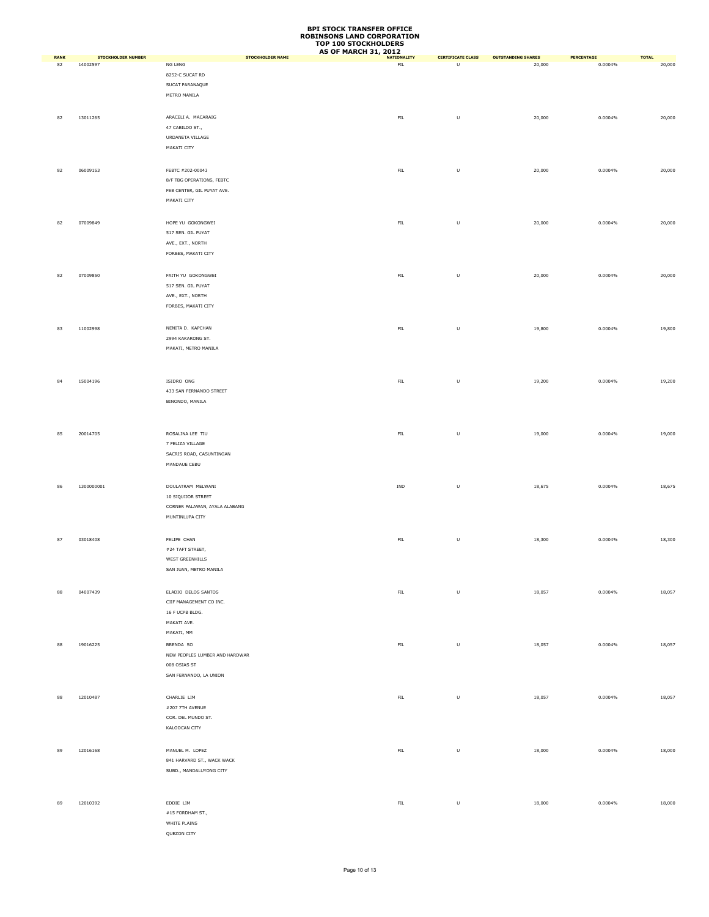|                   |                                       |                                    | <b>AS OF MARCH 31, 2012</b>        |                                     |                                     |                       |                        |
|-------------------|---------------------------------------|------------------------------------|------------------------------------|-------------------------------------|-------------------------------------|-----------------------|------------------------|
| <b>RANK</b><br>82 | <b>STOCKHOLDER NUMBER</b><br>14002597 | <b>STOCKHOLDER NAME</b><br>NG LENG | <b>NATIONALITY</b><br>${\sf FIL}$  | <b>CERTIFICATE CLASS</b><br>$\sf U$ | <b>OUTSTANDING SHARES</b><br>20,000 | PERCENTAGE<br>0.0004% | <b>TOTAL</b><br>20,000 |
|                   |                                       | 8252-C SUCAT RD                    |                                    |                                     |                                     |                       |                        |
|                   |                                       | SUCAT PARANAQUE                    |                                    |                                     |                                     |                       |                        |
|                   |                                       |                                    |                                    |                                     |                                     |                       |                        |
|                   |                                       | METRO MANILA                       |                                    |                                     |                                     |                       |                        |
|                   |                                       |                                    |                                    |                                     |                                     |                       |                        |
| 82                | 13011265                              | ARACELI A. MACARAIG                | ${\sf FIL}$                        | $\sf U$                             | 20,000                              | 0.0004%               | 20,000                 |
|                   |                                       | 47 CABILDO ST.,                    |                                    |                                     |                                     |                       |                        |
|                   |                                       | URDANETA VILLAGE                   |                                    |                                     |                                     |                       |                        |
|                   |                                       | MAKATI CITY                        |                                    |                                     |                                     |                       |                        |
|                   |                                       |                                    |                                    |                                     |                                     |                       |                        |
|                   |                                       |                                    |                                    |                                     |                                     |                       |                        |
| 82                | 06009153                              | FEBTC #202-00043                   | ${\sf FIL}$                        | $\cup$                              | 20,000                              | 0.0004%               | 20,000                 |
|                   |                                       | 8/F TBG OPERATIONS, FEBTC          |                                    |                                     |                                     |                       |                        |
|                   |                                       | FEB CENTER, GIL PUYAT AVE.         |                                    |                                     |                                     |                       |                        |
|                   |                                       | MAKATI CITY                        |                                    |                                     |                                     |                       |                        |
|                   |                                       |                                    |                                    |                                     |                                     |                       |                        |
| 82                | 07009849                              | HOPE YU GOKONGWEI                  | ${\sf FIL}$                        | $\sf U$                             | 20,000                              | 0.0004%               | 20,000                 |
|                   |                                       | 517 SEN. GIL PUYAT                 |                                    |                                     |                                     |                       |                        |
|                   |                                       | AVE., EXT., NORTH                  |                                    |                                     |                                     |                       |                        |
|                   |                                       | FORBES, MAKATI CITY                |                                    |                                     |                                     |                       |                        |
|                   |                                       |                                    |                                    |                                     |                                     |                       |                        |
|                   |                                       |                                    |                                    |                                     |                                     |                       |                        |
| 82                | 07009850                              | FAITH YU GOKONGWEI                 | FL                                 | $\sf U$                             | 20,000                              | 0.0004%               | 20,000                 |
|                   |                                       | 517 SEN. GIL PUYAT                 |                                    |                                     |                                     |                       |                        |
|                   |                                       | AVE., EXT., NORTH                  |                                    |                                     |                                     |                       |                        |
|                   |                                       | FORBES, MAKATI CITY                |                                    |                                     |                                     |                       |                        |
|                   |                                       |                                    |                                    |                                     |                                     |                       |                        |
|                   |                                       |                                    |                                    |                                     |                                     |                       |                        |
| 83                | 11002998                              | NENITA D. KAPCHAN                  | ${\sf FIL}$                        | $\sf U$                             | 19,800                              | 0.0004%               | 19,800                 |
|                   |                                       | 2994 KAKARONG ST.                  |                                    |                                     |                                     |                       |                        |
|                   |                                       | MAKATI, METRO MANILA               |                                    |                                     |                                     |                       |                        |
|                   |                                       |                                    |                                    |                                     |                                     |                       |                        |
|                   |                                       |                                    |                                    |                                     |                                     |                       |                        |
| 84                | 15004196                              | ISIDRO ONG                         | ${\sf FIL}$                        | $\sf U$                             | 19,200                              | 0.0004%               | 19,200                 |
|                   |                                       | 433 SAN FERNANDO STREET            |                                    |                                     |                                     |                       |                        |
|                   |                                       | BINONDO, MANILA                    |                                    |                                     |                                     |                       |                        |
|                   |                                       |                                    |                                    |                                     |                                     |                       |                        |
|                   |                                       |                                    |                                    |                                     |                                     |                       |                        |
|                   |                                       |                                    |                                    |                                     |                                     |                       |                        |
| 85                | 20014705                              | ROSALINA LEE TIU                   | ${\sf FIL}$                        | $\sf U$                             | 19,000                              | 0.0004%               | 19,000                 |
|                   |                                       | 7 FELIZA VILLAGE                   |                                    |                                     |                                     |                       |                        |
|                   |                                       | SACRIS ROAD, CASUNTINGAN           |                                    |                                     |                                     |                       |                        |
|                   |                                       | MANDAUE CEBU                       |                                    |                                     |                                     |                       |                        |
|                   |                                       |                                    |                                    |                                     |                                     |                       |                        |
|                   |                                       |                                    |                                    |                                     |                                     |                       |                        |
| 86                | 1300000001                            | DOULATRAM MELWANI                  | $\ensuremath{\mathsf{IND}}\xspace$ | $\sf U$                             | 18,675                              | 0.0004%               | 18,675                 |
|                   |                                       | 10 SIQUIJOR STREET                 |                                    |                                     |                                     |                       |                        |
|                   |                                       | CORNER PALAWAN, AYALA ALABANG      |                                    |                                     |                                     |                       |                        |
|                   |                                       | MUNTINLUPA CITY                    |                                    |                                     |                                     |                       |                        |
|                   |                                       |                                    |                                    |                                     |                                     |                       |                        |
| 87                | 03018408                              | FELIPE CHAN                        | ${\sf FIL}$                        | $\sf U$                             | 18,300                              | 0.0004%               | 18,300                 |
|                   |                                       | #24 TAFT STREET,                   |                                    |                                     |                                     |                       |                        |
|                   |                                       |                                    |                                    |                                     |                                     |                       |                        |
|                   |                                       | WEST GREENHILLS                    |                                    |                                     |                                     |                       |                        |
|                   |                                       | SAN JUAN, METRO MANILA             |                                    |                                     |                                     |                       |                        |
|                   |                                       |                                    |                                    |                                     |                                     |                       |                        |
| 88                | 04007439                              | ELADIO DELOS SANTOS                | ${\sf FIL}$                        | $\cup$                              | 18,057                              | 0.0004%               | 18,057                 |
|                   |                                       | CIIF MANAGEMENT CO INC.            |                                    |                                     |                                     |                       |                        |
|                   |                                       | 16 F UCPB BLDG.                    |                                    |                                     |                                     |                       |                        |
|                   |                                       | MAKATI AVE.                        |                                    |                                     |                                     |                       |                        |
|                   |                                       | MAKATI, MM                         |                                    |                                     |                                     |                       |                        |
|                   |                                       |                                    |                                    |                                     |                                     |                       |                        |
| 88                | 19016225                              | BRENDA SO                          | ${\sf FIL}$                        | $\sf U$                             | 18,057                              | 0.0004%               | 18,057                 |
|                   |                                       | NEW PEOPLES LUMBER AND HARDWAR     |                                    |                                     |                                     |                       |                        |
|                   |                                       | 008 OSIAS ST                       |                                    |                                     |                                     |                       |                        |
|                   |                                       | SAN FERNANDO, LA UNION             |                                    |                                     |                                     |                       |                        |
|                   |                                       |                                    |                                    |                                     |                                     |                       |                        |
| 88                | 12010487                              | CHARLIE LIM                        | FL                                 | $\sf U$                             | 18,057                              | 0.0004%               | 18,057                 |
|                   |                                       | #207 7TH AVENUE                    |                                    |                                     |                                     |                       |                        |
|                   |                                       |                                    |                                    |                                     |                                     |                       |                        |
|                   |                                       | COR. DEL MUNDO ST.                 |                                    |                                     |                                     |                       |                        |
|                   |                                       | KALOOCAN CITY                      |                                    |                                     |                                     |                       |                        |
|                   |                                       |                                    |                                    |                                     |                                     |                       |                        |
| 89                | 12016168                              | MANUEL M. LOPEZ                    | ${\sf FIL}$                        | $\cup$                              | 18,000                              | 0.0004%               | 18,000                 |
|                   |                                       | 841 HARVARD ST., WACK WACK         |                                    |                                     |                                     |                       |                        |
|                   |                                       | SUBD., MANDALUYONG CITY            |                                    |                                     |                                     |                       |                        |
|                   |                                       |                                    |                                    |                                     |                                     |                       |                        |
|                   |                                       |                                    |                                    |                                     |                                     |                       |                        |
|                   |                                       |                                    |                                    |                                     |                                     |                       |                        |
| 89                | 12010392                              | EDDIE LIM                          | ${\sf FIL}$                        | $\sf U$                             | 18,000                              | 0.0004%               | 18,000                 |
|                   |                                       | #15 FORDHAM ST.,                   |                                    |                                     |                                     |                       |                        |
|                   |                                       | WHITE PLAINS                       |                                    |                                     |                                     |                       |                        |
|                   |                                       | QUEZON CITY                        |                                    |                                     |                                     |                       |                        |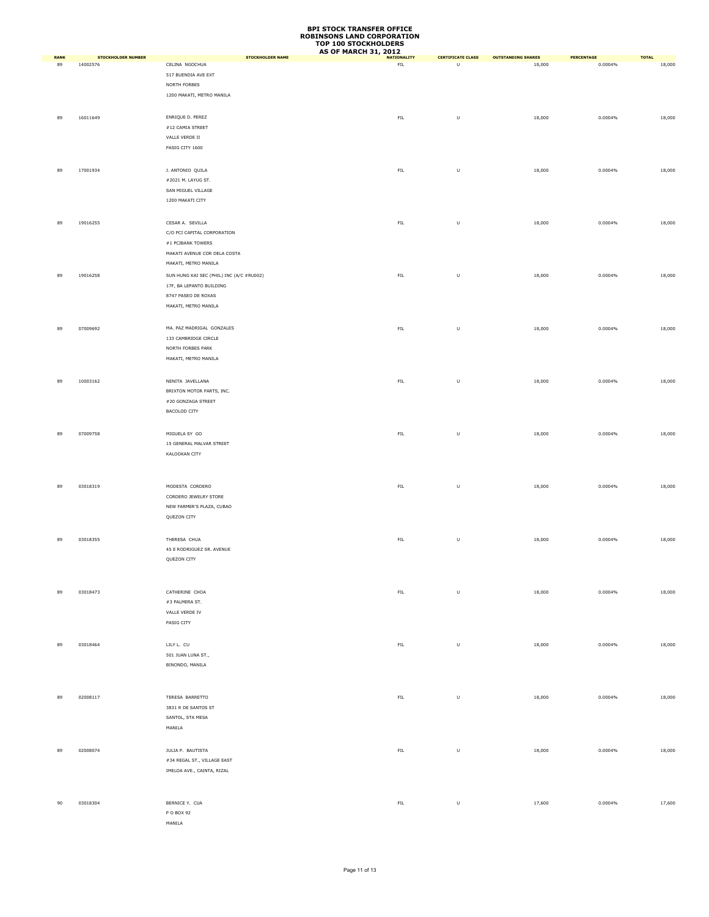|                   |                                       |                                           | <b>AS OF MARCH 31, 2012</b>       |                                                                                                            |                                     |                       |                        |
|-------------------|---------------------------------------|-------------------------------------------|-----------------------------------|------------------------------------------------------------------------------------------------------------|-------------------------------------|-----------------------|------------------------|
| <b>RANK</b><br>89 | <b>STOCKHOLDER NUMBER</b><br>14002576 | <b>STOCKHOLDER NAME</b><br>CELINA NGOCHUA | <b>NATIONALITY</b><br>${\sf FIL}$ | <b>CERTIFICATE CLASS</b><br>U                                                                              | <b>OUTSTANDING SHARES</b><br>18,000 | PERCENTAGE<br>0.0004% | <b>TOTAL</b><br>18,000 |
|                   |                                       |                                           |                                   |                                                                                                            |                                     |                       |                        |
|                   |                                       | 517 BUENDIA AVE EXT                       |                                   |                                                                                                            |                                     |                       |                        |
|                   |                                       | NORTH FORBES                              |                                   |                                                                                                            |                                     |                       |                        |
|                   |                                       | 1200 MAKATI, METRO MANILA                 |                                   |                                                                                                            |                                     |                       |                        |
|                   |                                       |                                           |                                   |                                                                                                            |                                     |                       |                        |
| 89                | 16011649                              | ENRIQUE D. PEREZ                          | FIL                               | $\sf U$                                                                                                    | 18,000                              | 0.0004%               | 18,000                 |
|                   |                                       | $\#12$ CAMIA STREET                       |                                   |                                                                                                            |                                     |                       |                        |
|                   |                                       | VALLE VERDE II                            |                                   |                                                                                                            |                                     |                       |                        |
|                   |                                       | PASIG CITY 1600                           |                                   |                                                                                                            |                                     |                       |                        |
|                   |                                       |                                           |                                   |                                                                                                            |                                     |                       |                        |
|                   |                                       |                                           |                                   |                                                                                                            |                                     |                       |                        |
| 89                | 17001934                              | J. ANTONIO QUILA                          | ${\sf FIL}$                       | $\sf U$                                                                                                    | 18,000                              | 0.0004%               | 18,000                 |
|                   |                                       | #2021 M. LAYUG ST.                        |                                   |                                                                                                            |                                     |                       |                        |
|                   |                                       | SAN MIGUEL VILLAGE                        |                                   |                                                                                                            |                                     |                       |                        |
|                   |                                       | 1200 MAKATI CITY                          |                                   |                                                                                                            |                                     |                       |                        |
|                   |                                       |                                           |                                   |                                                                                                            |                                     |                       |                        |
|                   |                                       |                                           |                                   |                                                                                                            |                                     |                       |                        |
| 89                | 19016255                              | CESAR A. SEVILLA                          | ${\sf FIL}$                       | $\sf U$                                                                                                    | 18,000                              | 0.0004%               | 18,000                 |
|                   |                                       | C/O PCI CAPITAL CORPORATION               |                                   |                                                                                                            |                                     |                       |                        |
|                   |                                       | #1 PCIBANK TOWERS                         |                                   |                                                                                                            |                                     |                       |                        |
|                   |                                       | MAKATI AVENUE COR DELA COSTA              |                                   |                                                                                                            |                                     |                       |                        |
|                   |                                       | MAKATI, METRO MANILA                      |                                   |                                                                                                            |                                     |                       |                        |
|                   |                                       |                                           |                                   |                                                                                                            |                                     |                       |                        |
| 89                | 19016258                              | SUN HUNG KAI SEC (PHIL) INC (A/C #RU002)  | ${\sf FIL}$                       | $\sf U$                                                                                                    | 18,000                              | 0.0004%               | 18,000                 |
|                   |                                       | 17F, BA LEPANTO BUILDING                  |                                   |                                                                                                            |                                     |                       |                        |
|                   |                                       | 8747 PASEO DE ROXAS                       |                                   |                                                                                                            |                                     |                       |                        |
|                   |                                       | MAKATI, METRO MANILA                      |                                   |                                                                                                            |                                     |                       |                        |
|                   |                                       |                                           |                                   |                                                                                                            |                                     |                       |                        |
|                   | 07009692                              | MA. PAZ MADRIGAL GONZALES                 | ${\sf FIL}$                       | $\mathsf{U}% _{T}=\mathsf{U}_{T}\!\left( a,b\right) ,\ \mathsf{U}_{T}=\mathsf{U}_{T}\!\left( a,b\right) ,$ |                                     | 0.0004%               |                        |
| 89                |                                       |                                           |                                   |                                                                                                            | 18,000                              |                       | 18,000                 |
|                   |                                       | 133 CAMBRIDGE CIRCLE                      |                                   |                                                                                                            |                                     |                       |                        |
|                   |                                       | NORTH FORBES PARK                         |                                   |                                                                                                            |                                     |                       |                        |
|                   |                                       | MAKATI, METRO MANILA                      |                                   |                                                                                                            |                                     |                       |                        |
|                   |                                       |                                           |                                   |                                                                                                            |                                     |                       |                        |
| 89                | 10003162                              | NENITA JAVELLANA                          | ${\sf FIL}$                       | $\sf U$                                                                                                    | 18,000                              | 0.0004%               | 18,000                 |
|                   |                                       |                                           |                                   |                                                                                                            |                                     |                       |                        |
|                   |                                       | BRIXTON MOTOR PARTS, INC.                 |                                   |                                                                                                            |                                     |                       |                        |
|                   |                                       | #20 GONZAGA STREET                        |                                   |                                                                                                            |                                     |                       |                        |
|                   |                                       | BACOLOD CITY                              |                                   |                                                                                                            |                                     |                       |                        |
|                   |                                       |                                           |                                   |                                                                                                            |                                     |                       |                        |
| 89                | 07009758                              | MIGUELA SY GO                             | FIL                               | $\sf U$                                                                                                    | 18,000                              | 0.0004%               | 18,000                 |
|                   |                                       | 15 GENERAL MALVAR STREET                  |                                   |                                                                                                            |                                     |                       |                        |
|                   |                                       |                                           |                                   |                                                                                                            |                                     |                       |                        |
|                   |                                       | KALOOKAN CITY                             |                                   |                                                                                                            |                                     |                       |                        |
|                   |                                       |                                           |                                   |                                                                                                            |                                     |                       |                        |
|                   |                                       |                                           |                                   |                                                                                                            |                                     |                       |                        |
| 89                | 03018319                              | MODESTA CORDERO                           | ${\sf FIL}$                       | $\mathsf{U}% _{T}=\mathsf{U}_{T}\!\left( a,b\right) ,\ \mathsf{U}_{T}=\mathsf{U}_{T}\!\left( a,b\right) ,$ | 18,000                              | 0.0004%               | 18,000                 |
|                   |                                       | CORDERO JEWELRY STORE                     |                                   |                                                                                                            |                                     |                       |                        |
|                   |                                       | NEW FARMER'S PLAZA, CUBAO                 |                                   |                                                                                                            |                                     |                       |                        |
|                   |                                       |                                           |                                   |                                                                                                            |                                     |                       |                        |
|                   |                                       | QUEZON CITY                               |                                   |                                                                                                            |                                     |                       |                        |
|                   |                                       |                                           |                                   |                                                                                                            |                                     |                       |                        |
| 89                | 03018355                              | THERESA CHUA                              | ${\sf FIL}$                       | $\sf U$                                                                                                    | 18,000                              | 0.0004%               | 18,000                 |
|                   |                                       | 45 E RODRIGUEZ SR. AVENUE                 |                                   |                                                                                                            |                                     |                       |                        |
|                   |                                       | QUEZON CITY                               |                                   |                                                                                                            |                                     |                       |                        |
|                   |                                       |                                           |                                   |                                                                                                            |                                     |                       |                        |
|                   |                                       |                                           |                                   |                                                                                                            |                                     |                       |                        |
|                   |                                       |                                           |                                   |                                                                                                            |                                     |                       |                        |
| 89                | 03018473                              | CATHERINE CHOA                            | ${\sf FIL}$                       | $\sf U$                                                                                                    | 18,000                              | 0.0004%               | 18,000                 |
|                   |                                       | #3 PALMERA ST.                            |                                   |                                                                                                            |                                     |                       |                        |
|                   |                                       | VALLE VERDE IV                            |                                   |                                                                                                            |                                     |                       |                        |
|                   |                                       | PASIG CITY                                |                                   |                                                                                                            |                                     |                       |                        |
|                   |                                       |                                           |                                   |                                                                                                            |                                     |                       |                        |
|                   |                                       |                                           |                                   |                                                                                                            |                                     |                       |                        |
| 89                | 03018464                              | LILY L. CU                                | ${\sf FIL}$                       | $\mathsf{U}% _{T}=\mathsf{U}_{T}\!\left( a,b\right) ,\ \mathsf{U}_{T}=\mathsf{U}_{T}\!\left( a,b\right) ,$ | 18,000                              | 0.0004%               | 18,000                 |
|                   |                                       | 501 JUAN LUNA ST.,                        |                                   |                                                                                                            |                                     |                       |                        |
|                   |                                       | BINONDO, MANILA                           |                                   |                                                                                                            |                                     |                       |                        |
|                   |                                       |                                           |                                   |                                                                                                            |                                     |                       |                        |
|                   |                                       |                                           |                                   |                                                                                                            |                                     |                       |                        |
|                   |                                       |                                           |                                   |                                                                                                            |                                     |                       |                        |
| 89                | 02008117                              | TERESA BARRETTO                           | ${\sf FIL}$                       | $\sf U$                                                                                                    | 18,000                              | 0.0004%               | 18,000                 |
|                   |                                       | 3831 R DE SANTOS ST                       |                                   |                                                                                                            |                                     |                       |                        |
|                   |                                       | SANTOL, STA MESA                          |                                   |                                                                                                            |                                     |                       |                        |
|                   |                                       | MANILA                                    |                                   |                                                                                                            |                                     |                       |                        |
|                   |                                       |                                           |                                   |                                                                                                            |                                     |                       |                        |
|                   |                                       |                                           |                                   |                                                                                                            |                                     |                       |                        |
| 89                | 02008074                              | JULIA P. BAUTISTA                         | ${\sf FIL}$                       | $\sf U$                                                                                                    | 18,000                              | 0.0004%               | 18,000                 |
|                   |                                       | #34 REGAL ST., VILLAGE EAST               |                                   |                                                                                                            |                                     |                       |                        |
|                   |                                       | IMELDA AVE., CAINTA, RIZAL                |                                   |                                                                                                            |                                     |                       |                        |
|                   |                                       |                                           |                                   |                                                                                                            |                                     |                       |                        |
|                   |                                       |                                           |                                   |                                                                                                            |                                     |                       |                        |
|                   | 03018304                              | BERNICE Y. CUA                            | ${\sf FIL}$                       | $\sf U$                                                                                                    |                                     | 0.0004%               | 17,600                 |
| 90                |                                       |                                           |                                   |                                                                                                            | 17,600                              |                       |                        |
|                   |                                       | P O BOX 92                                |                                   |                                                                                                            |                                     |                       |                        |
|                   |                                       | MANILA                                    |                                   |                                                                                                            |                                     |                       |                        |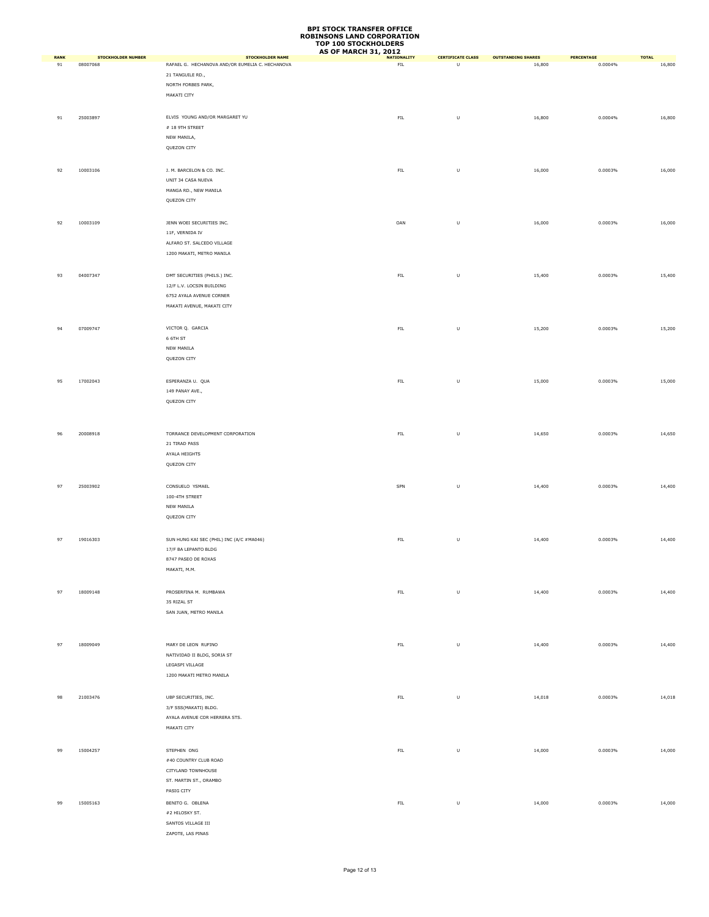|                   |                                       |                                                                            | <b>AS OF MARCH 31, 2012</b>       |                               |                                     |                       |                        |
|-------------------|---------------------------------------|----------------------------------------------------------------------------|-----------------------------------|-------------------------------|-------------------------------------|-----------------------|------------------------|
| <b>RANK</b><br>91 | <b>STOCKHOLDER NUMBER</b><br>08007068 | <b>STOCKHOLDER NAME</b><br>RAFAEL G. HECHANOVA AND/OR EUMELIA C. HECHANOVA | <b>NATIONALITY</b><br>${\sf FIL}$ | <b>CERTIFICATE CLASS</b><br>U | <b>OUTSTANDING SHARES</b><br>16,800 | PERCENTAGE<br>0.0004% | <b>TOTAL</b><br>16,800 |
|                   |                                       | 21 TANGUILE RD.,                                                           |                                   |                               |                                     |                       |                        |
|                   |                                       | NORTH FORBES PARK,                                                         |                                   |                               |                                     |                       |                        |
|                   |                                       | MAKATI CITY                                                                |                                   |                               |                                     |                       |                        |
|                   |                                       |                                                                            |                                   |                               |                                     |                       |                        |
|                   | 25003897                              | ELVIS YOUNG AND/OR MARGARET YU                                             | ${\sf FIL}$                       | $\sf U$                       | 16,800                              | 0.0004%               | 16,800                 |
| 91                |                                       |                                                                            |                                   |                               |                                     |                       |                        |
|                   |                                       | $\#$ 18 9TH STREET<br>NEW MANILA,                                          |                                   |                               |                                     |                       |                        |
|                   |                                       | QUEZON CITY                                                                |                                   |                               |                                     |                       |                        |
|                   |                                       |                                                                            |                                   |                               |                                     |                       |                        |
|                   |                                       |                                                                            |                                   |                               |                                     |                       |                        |
| 92                | 10003106                              | J. M. BARCELON & CO. INC.                                                  | ${\sf FIL}$                       | $\sf U$                       | 16,000                              | 0.0003%               | 16,000                 |
|                   |                                       | UNIT 34 CASA NUEVA                                                         |                                   |                               |                                     |                       |                        |
|                   |                                       | MANGA RD., NEW MANILA                                                      |                                   |                               |                                     |                       |                        |
|                   |                                       | QUEZON CITY                                                                |                                   |                               |                                     |                       |                        |
|                   |                                       |                                                                            |                                   |                               |                                     |                       |                        |
| 92                | 10003109                              | JENN WOEI SECURITIES INC.                                                  | OAN                               | $\sf U$                       | 16,000                              | 0.0003%               | 16,000                 |
|                   |                                       | 11F, VERNIDA IV                                                            |                                   |                               |                                     |                       |                        |
|                   |                                       | ALFARO ST. SALCEDO VILLAGE                                                 |                                   |                               |                                     |                       |                        |
|                   |                                       | 1200 MAKATI, METRO MANILA                                                  |                                   |                               |                                     |                       |                        |
|                   |                                       |                                                                            |                                   |                               |                                     |                       |                        |
| 93                | 04007347                              | DMT SECURITIES (PHILS.) INC.                                               | ${\sf FIL}$                       | $\sf U$                       | 15,400                              | 0.0003%               | 15,400                 |
|                   |                                       | 12/F L.V. LOCSIN BUILDING                                                  |                                   |                               |                                     |                       |                        |
|                   |                                       | 6752 AYALA AVENUE CORNER                                                   |                                   |                               |                                     |                       |                        |
|                   |                                       | MAKATI AVENUE, MAKATI CITY                                                 |                                   |                               |                                     |                       |                        |
|                   |                                       |                                                                            |                                   |                               |                                     |                       |                        |
|                   |                                       |                                                                            |                                   |                               |                                     |                       |                        |
| 94                | 07009747                              | VICTOR Q. GARCIA                                                           | ${\sf FIL}$                       | U                             | 15,200                              | 0.0003%               | 15,200                 |
|                   |                                       | 6 6TH ST                                                                   |                                   |                               |                                     |                       |                        |
|                   |                                       | NEW MANILA                                                                 |                                   |                               |                                     |                       |                        |
|                   |                                       | QUEZON CITY                                                                |                                   |                               |                                     |                       |                        |
|                   |                                       |                                                                            |                                   |                               |                                     |                       |                        |
| 95                | 17002043                              | ESPERANZA U. QUA                                                           | ${\sf FIL}$                       | $\sf U$                       | 15,000                              | 0.0003%               | 15,000                 |
|                   |                                       | 149 PANAY AVE.,                                                            |                                   |                               |                                     |                       |                        |
|                   |                                       | QUEZON CITY                                                                |                                   |                               |                                     |                       |                        |
|                   |                                       |                                                                            |                                   |                               |                                     |                       |                        |
|                   |                                       |                                                                            |                                   |                               |                                     |                       |                        |
| 96                | 20008918                              | TORRANCE DEVELOPMENT CORPORATION                                           | ${\sf FIL}$                       | $\sf U$                       | 14,650                              | 0.0003%               | 14,650                 |
|                   |                                       | 21 TIRAD PASS                                                              |                                   |                               |                                     |                       |                        |
|                   |                                       | AYALA HEIGHTS                                                              |                                   |                               |                                     |                       |                        |
|                   |                                       | QUEZON CITY                                                                |                                   |                               |                                     |                       |                        |
|                   |                                       |                                                                            |                                   |                               |                                     |                       |                        |
|                   |                                       |                                                                            |                                   |                               |                                     |                       |                        |
| 97                | 25003902                              | CONSUELO YSMAEL                                                            | SPN                               | U                             | 14,400                              | 0.0003%               | 14,400                 |
|                   |                                       | 100-4TH STREET                                                             |                                   |                               |                                     |                       |                        |
|                   |                                       | NEW MANILA                                                                 |                                   |                               |                                     |                       |                        |
|                   |                                       | QUEZON CITY                                                                |                                   |                               |                                     |                       |                        |
|                   |                                       |                                                                            |                                   |                               |                                     |                       |                        |
| 97                | 19016303                              | SUN HUNG KAI SEC (PHIL) INC (A/C #MA046)                                   | ${\sf FIL}$                       | $\sf U$                       | 14,400                              | 0.0003%               | 14,400                 |
|                   |                                       | 17/F BA LEPANTO BLDG                                                       |                                   |                               |                                     |                       |                        |
|                   |                                       | 8747 PASEO DE ROXAS                                                        |                                   |                               |                                     |                       |                        |
|                   |                                       | MAKATI, M.M.                                                               |                                   |                               |                                     |                       |                        |
|                   |                                       |                                                                            |                                   |                               |                                     |                       |                        |
| 97                | 18009148                              | PROSERFINA M. RUMBAWA                                                      | ${\sf FIL}$                       | $\sf U$                       | 14,400                              | 0.0003%               | 14,400                 |
|                   |                                       | 35 RIZAL ST                                                                |                                   |                               |                                     |                       |                        |
|                   |                                       | SAN JUAN, METRO MANILA                                                     |                                   |                               |                                     |                       |                        |
|                   |                                       |                                                                            |                                   |                               |                                     |                       |                        |
|                   |                                       |                                                                            |                                   |                               |                                     |                       |                        |
| 97                | 18009049                              | MARY DE LEON RUFINO                                                        | FL                                | $\sf U$                       | 14,400                              | 0.0003%               | 14,400                 |
|                   |                                       | NATIVIDAD II BLDG, SORIA ST                                                |                                   |                               |                                     |                       |                        |
|                   |                                       |                                                                            |                                   |                               |                                     |                       |                        |
|                   |                                       | LEGASPI VILLAGE                                                            |                                   |                               |                                     |                       |                        |
|                   |                                       | 1200 MAKATI METRO MANILA                                                   |                                   |                               |                                     |                       |                        |
|                   |                                       |                                                                            |                                   |                               |                                     |                       |                        |
| 98                | 21003476                              | UBP SECURITIES, INC.                                                       | ${\sf FIL}$                       | $\sf U$                       | 14,018                              | 0.0003%               | 14,018                 |
|                   |                                       | 3/F SSS(MAKATI) BLDG.                                                      |                                   |                               |                                     |                       |                        |
|                   |                                       | AYALA AVENUE COR HERRERA STS.                                              |                                   |                               |                                     |                       |                        |
|                   |                                       | MAKATI CITY                                                                |                                   |                               |                                     |                       |                        |
|                   |                                       |                                                                            |                                   |                               |                                     |                       |                        |
| 99                | 15004257                              | STEPHEN ONG                                                                | ${\sf FIL}$                       | $\sf U$                       | 14,000                              | 0.0003%               | 14,000                 |
|                   |                                       | #40 COUNTRY CLUB ROAD                                                      |                                   |                               |                                     |                       |                        |
|                   |                                       | CITYLAND TOWNHOUSE                                                         |                                   |                               |                                     |                       |                        |
|                   |                                       | ST. MARTIN ST., ORAMBO                                                     |                                   |                               |                                     |                       |                        |
|                   |                                       | PASIG CITY                                                                 |                                   |                               |                                     |                       |                        |
|                   |                                       |                                                                            |                                   |                               |                                     |                       |                        |
| 99                | 15005163                              | BENITO G. OBLENA                                                           | FL                                | $\sf U$                       | 14,000                              | 0.0003%               | 14,000                 |
|                   |                                       | #2 HILOSKY ST.                                                             |                                   |                               |                                     |                       |                        |
|                   |                                       | SANTOS VILLAGE III                                                         |                                   |                               |                                     |                       |                        |
|                   |                                       | ZAPOTE, LAS PINAS                                                          |                                   |                               |                                     |                       |                        |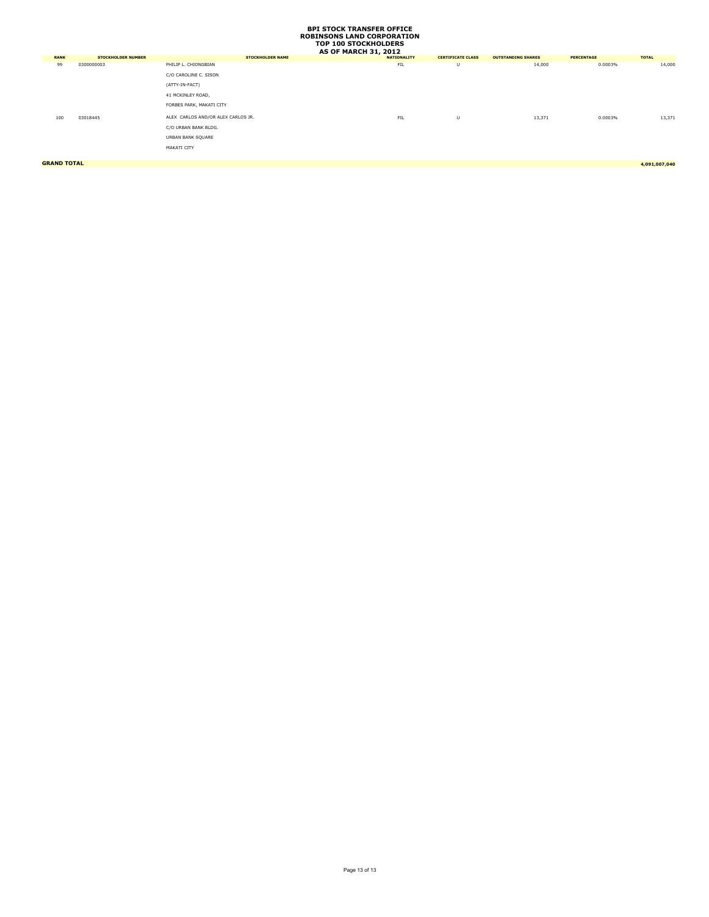| <b>RANK</b> | <b>STOCKHOLDER NUMBER</b> | <b>STOCKHOLDER NAME</b>            | <b>NATIONALITY</b> | <b>CERTIFICATE CLASS</b> | <b>OUTSTANDING SHARES</b> | <b>PERCENTAGE</b> | <b>TOTAL</b> |
|-------------|---------------------------|------------------------------------|--------------------|--------------------------|---------------------------|-------------------|--------------|
| 99          | 0300000003                | PHILIP L. CHIONGBIAN               | FIL                | U                        | 14,000                    | 0.0003%           | 14,000       |
|             |                           | C/O CAROLINE C. SISON              |                    |                          |                           |                   |              |
|             |                           | (ATTY-IN-FACT)                     |                    |                          |                           |                   |              |
|             |                           | 41 MCKINLEY ROAD,                  |                    |                          |                           |                   |              |
|             |                           | FORBES PARK, MAKATI CITY           |                    |                          |                           |                   |              |
| 100         | 03018445                  | ALEX CARLOS AND/OR ALEX CARLOS JR. | FIL                | U                        | 13,371                    | 0.0003%           | 13,371       |
|             |                           | C/O URBAN BANK BLDG.               |                    |                          |                           |                   |              |
|             |                           | URBAN BANK SQUARE                  |                    |                          |                           |                   |              |
|             |                           | MAKATI CITY                        |                    |                          |                           |                   |              |
|             |                           |                                    |                    |                          |                           |                   |              |

**GRAND TOTAL 4,091,007,040**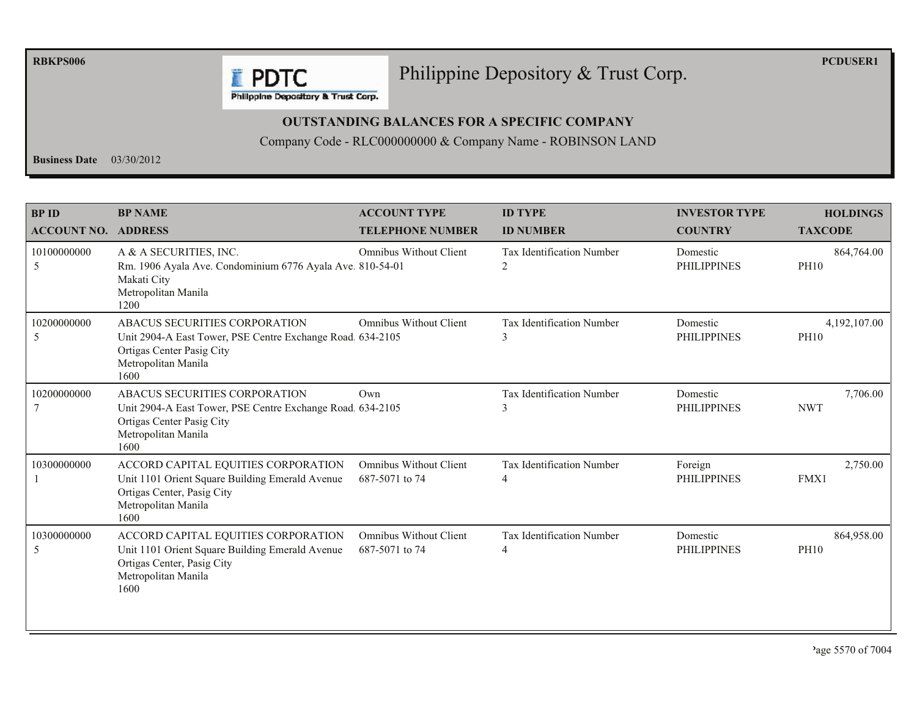**RBKPS006** 

**PCDUSER1** 

#### Philippine Depository & Trust Corp.

Philippine Depository & Trust Corp.

**F** PDTC

#### **OUTSTANDING BALANCES FOR A SPECIFIC COMPANY**

Company Code - RLC000000000 & Company Name - ROBINSON LAND

Business Date  $03/30/2012$ 

| <b>BP ID</b><br><b>ACCOUNT NO. ADDRESS</b> | <b>BP NAME</b>                                                                                                                                          | <b>ACCOUNT TYPE</b><br><b>TELEPHONE NUMBER</b>  | <b>ID TYPE</b><br><b>ID NUMBER</b>                 | <b>INVESTOR TYPE</b><br><b>COUNTRY</b> | <b>HOLDINGS</b><br><b>TAXCODE</b> |
|--------------------------------------------|---------------------------------------------------------------------------------------------------------------------------------------------------------|-------------------------------------------------|----------------------------------------------------|----------------------------------------|-----------------------------------|
| 10100000000<br>5                           | A & A SECURITIES, INC.<br>Rm. 1906 Ayala Ave. Condominium 6776 Ayala Ave. 810-54-01<br>Makati City<br>Metropolitan Manila<br>1200                       | <b>Omnibus Without Client</b>                   | <b>Tax Identification Number</b><br>$\overline{c}$ | Domestic<br><b>PHILIPPINES</b>         | 864,764.00<br><b>PH10</b>         |
| 10200000000<br>5                           | ABACUS SECURITIES CORPORATION<br>Unit 2904-A East Tower, PSE Centre Exchange Road 634-2105<br>Ortigas Center Pasig City<br>Metropolitan Manila<br>1600  | <b>Omnibus Without Client</b>                   | Tax Identification Number<br>3                     | Domestic<br><b>PHILIPPINES</b>         | 4,192,107.00<br><b>PH10</b>       |
| 10200000000                                | ABACUS SECURITIES CORPORATION<br>Unit 2904-A East Tower, PSE Centre Exchange Road, 634-2105<br>Ortigas Center Pasig City<br>Metropolitan Manila<br>1600 | Own                                             | <b>Tax Identification Number</b><br>$\mathbf{3}$   | Domestic<br><b>PHILIPPINES</b>         | 7,706.00<br><b>NWT</b>            |
| 10300000000                                | ACCORD CAPITAL EQUITIES CORPORATION<br>Unit 1101 Orient Square Building Emerald Avenue<br>Ortigas Center, Pasig City<br>Metropolitan Manila<br>1600     | <b>Omnibus Without Client</b><br>687-5071 to 74 | <b>Tax Identification Number</b><br>4              | Foreign<br><b>PHILIPPINES</b>          | 2,750.00<br>FMX1                  |
| 10300000000<br>5                           | ACCORD CAPITAL EQUITIES CORPORATION<br>Unit 1101 Orient Square Building Emerald Avenue<br>Ortigas Center, Pasig City<br>Metropolitan Manila<br>1600     | <b>Omnibus Without Client</b><br>687-5071 to 74 | Tax Identification Number<br>4                     | Domestic<br><b>PHILIPPINES</b>         | 864,958.00<br><b>PH10</b>         |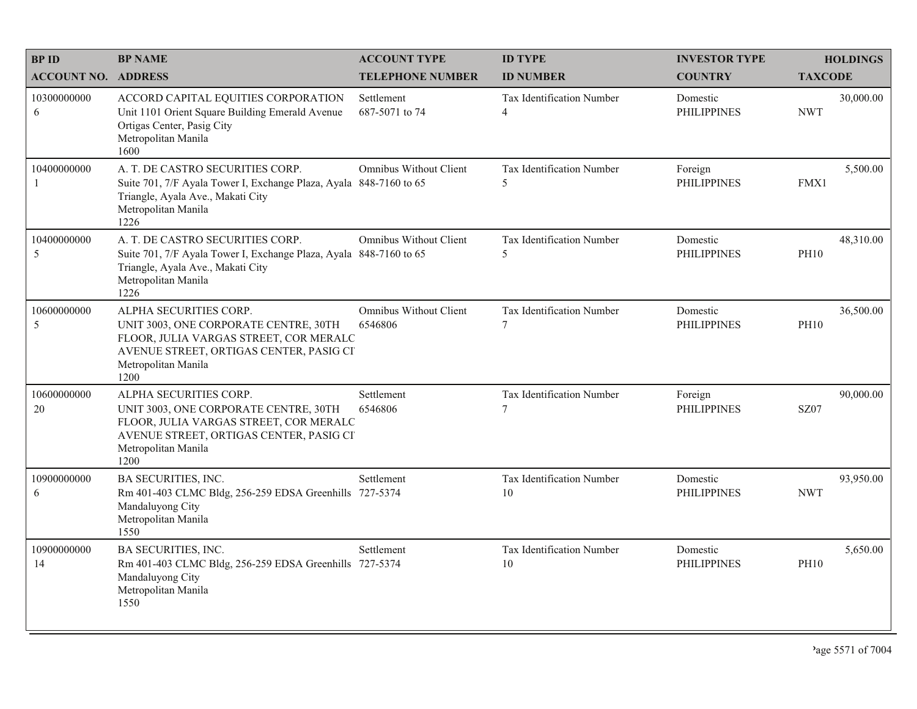| <b>BPID</b>                | <b>BP NAME</b>                                                                                                                                                                      | <b>ACCOUNT TYPE</b>                      | <b>ID TYPE</b>                         | <b>INVESTOR TYPE</b>           | <b>HOLDINGS</b>          |
|----------------------------|-------------------------------------------------------------------------------------------------------------------------------------------------------------------------------------|------------------------------------------|----------------------------------------|--------------------------------|--------------------------|
| <b>ACCOUNT NO. ADDRESS</b> |                                                                                                                                                                                     | <b>TELEPHONE NUMBER</b>                  | <b>ID NUMBER</b>                       | <b>COUNTRY</b>                 | <b>TAXCODE</b>           |
| 10300000000<br>6           | ACCORD CAPITAL EQUITIES CORPORATION<br>Unit 1101 Orient Square Building Emerald Avenue<br>Ortigas Center, Pasig City<br>Metropolitan Manila<br>1600                                 | Settlement<br>687-5071 to 74             | Tax Identification Number<br>4         | Domestic<br><b>PHILIPPINES</b> | 30,000.00<br><b>NWT</b>  |
| 10400000000                | A. T. DE CASTRO SECURITIES CORP.<br>Suite 701, 7/F Ayala Tower I, Exchange Plaza, Ayala 848-7160 to 65<br>Triangle, Ayala Ave., Makati City<br>Metropolitan Manila<br>1226          | <b>Omnibus Without Client</b>            | Tax Identification Number<br>5         | Foreign<br><b>PHILIPPINES</b>  | 5,500.00<br>FMX1         |
| 10400000000<br>5           | A. T. DE CASTRO SECURITIES CORP.<br>Suite 701, 7/F Ayala Tower I, Exchange Plaza, Ayala 848-7160 to 65<br>Triangle, Ayala Ave., Makati City<br>Metropolitan Manila<br>1226          | <b>Omnibus Without Client</b>            | Tax Identification Number<br>5         | Domestic<br><b>PHILIPPINES</b> | 48,310.00<br><b>PH10</b> |
| 10600000000<br>5           | ALPHA SECURITIES CORP.<br>UNIT 3003, ONE CORPORATE CENTRE, 30TH<br>FLOOR, JULIA VARGAS STREET, COR MERALC<br>AVENUE STREET, ORTIGAS CENTER, PASIG CI<br>Metropolitan Manila<br>1200 | <b>Omnibus Without Client</b><br>6546806 | Tax Identification Number<br>$\tau$    | Domestic<br><b>PHILIPPINES</b> | 36,500.00<br><b>PH10</b> |
| 10600000000<br>20          | ALPHA SECURITIES CORP.<br>UNIT 3003, ONE CORPORATE CENTRE, 30TH<br>FLOOR, JULIA VARGAS STREET, COR MERALC<br>AVENUE STREET, ORTIGAS CENTER, PASIG CI<br>Metropolitan Manila<br>1200 | Settlement<br>6546806                    | Tax Identification Number<br>7         | Foreign<br><b>PHILIPPINES</b>  | 90,000.00<br><b>SZ07</b> |
| 10900000000<br>6           | <b>BA SECURITIES, INC.</b><br>Rm 401-403 CLMC Bldg, 256-259 EDSA Greenhills 727-5374<br>Mandaluyong City<br>Metropolitan Manila<br>1550                                             | Settlement                               | <b>Tax Identification Number</b><br>10 | Domestic<br><b>PHILIPPINES</b> | 93,950.00<br><b>NWT</b>  |
| 10900000000<br>14          | BA SECURITIES, INC.<br>Rm 401-403 CLMC Bldg, 256-259 EDSA Greenhills 727-5374<br>Mandaluyong City<br>Metropolitan Manila<br>1550                                                    | Settlement                               | Tax Identification Number<br>$10\,$    | Domestic<br><b>PHILIPPINES</b> | 5,650.00<br><b>PH10</b>  |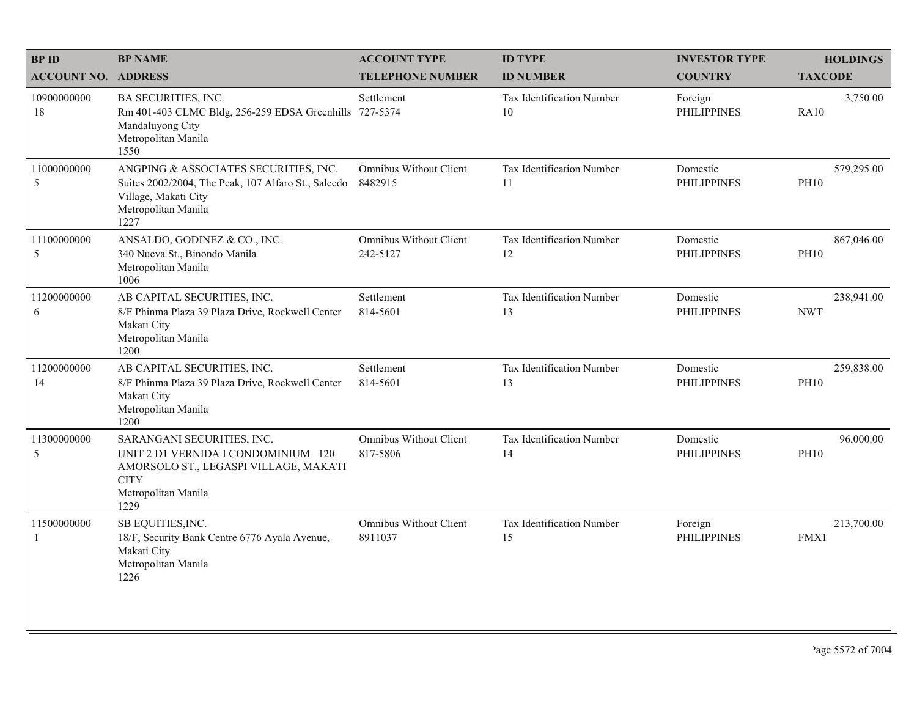| <b>BPID</b>                | <b>BP NAME</b>                                                                                                                                           | <b>ACCOUNT TYPE</b>                       | <b>ID TYPE</b>                  | <b>INVESTOR TYPE</b>           | <b>HOLDINGS</b>           |
|----------------------------|----------------------------------------------------------------------------------------------------------------------------------------------------------|-------------------------------------------|---------------------------------|--------------------------------|---------------------------|
| <b>ACCOUNT NO. ADDRESS</b> |                                                                                                                                                          | <b>TELEPHONE NUMBER</b>                   | <b>ID NUMBER</b>                | <b>COUNTRY</b>                 | <b>TAXCODE</b>            |
| 10900000000<br>18          | BA SECURITIES, INC.<br>Rm 401-403 CLMC Bldg, 256-259 EDSA Greenhills 727-5374<br>Mandaluyong City<br>Metropolitan Manila<br>1550                         | Settlement                                | Tax Identification Number<br>10 | Foreign<br><b>PHILIPPINES</b>  | 3,750.00<br><b>RA10</b>   |
| 11000000000<br>5           | ANGPING & ASSOCIATES SECURITIES, INC.<br>Suites 2002/2004, The Peak, 107 Alfaro St., Salcedo<br>Village, Makati City<br>Metropolitan Manila<br>1227      | <b>Omnibus Without Client</b><br>8482915  | Tax Identification Number<br>11 | Domestic<br><b>PHILIPPINES</b> | 579,295.00<br><b>PH10</b> |
| 11100000000<br>5           | ANSALDO, GODINEZ & CO., INC.<br>340 Nueva St., Binondo Manila<br>Metropolitan Manila<br>1006                                                             | <b>Omnibus Without Client</b><br>242-5127 | Tax Identification Number<br>12 | Domestic<br><b>PHILIPPINES</b> | 867,046.00<br><b>PH10</b> |
| 11200000000<br>6           | AB CAPITAL SECURITIES, INC.<br>8/F Phinma Plaza 39 Plaza Drive, Rockwell Center<br>Makati City<br>Metropolitan Manila<br>1200                            | Settlement<br>814-5601                    | Tax Identification Number<br>13 | Domestic<br><b>PHILIPPINES</b> | 238,941.00<br><b>NWT</b>  |
| 11200000000<br>14          | AB CAPITAL SECURITIES, INC.<br>8/F Phinma Plaza 39 Plaza Drive, Rockwell Center<br>Makati City<br>Metropolitan Manila<br>1200                            | Settlement<br>814-5601                    | Tax Identification Number<br>13 | Domestic<br><b>PHILIPPINES</b> | 259,838.00<br><b>PH10</b> |
| 11300000000<br>5           | SARANGANI SECURITIES, INC.<br>UNIT 2 D1 VERNIDA I CONDOMINIUM 120<br>AMORSOLO ST., LEGASPI VILLAGE, MAKATI<br><b>CITY</b><br>Metropolitan Manila<br>1229 | Omnibus Without Client<br>817-5806        | Tax Identification Number<br>14 | Domestic<br><b>PHILIPPINES</b> | 96,000.00<br><b>PH10</b>  |
| 11500000000<br>1           | SB EQUITIES, INC.<br>18/F, Security Bank Centre 6776 Ayala Avenue,<br>Makati City<br>Metropolitan Manila<br>1226                                         | Omnibus Without Client<br>8911037         | Tax Identification Number<br>15 | Foreign<br><b>PHILIPPINES</b>  | 213,700.00<br>FMX1        |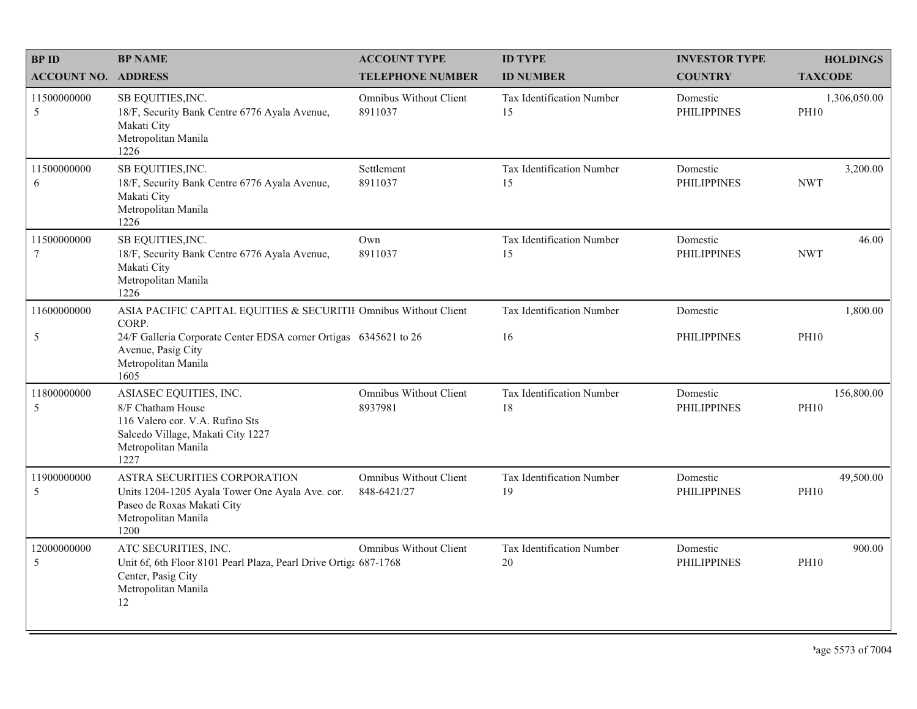| <b>BPID</b>                   | <b>BP NAME</b>                                                                                                                                     | <b>ACCOUNT TYPE</b>                      | <b>ID TYPE</b>                         | <b>INVESTOR TYPE</b>           | <b>HOLDINGS</b>             |
|-------------------------------|----------------------------------------------------------------------------------------------------------------------------------------------------|------------------------------------------|----------------------------------------|--------------------------------|-----------------------------|
| <b>ACCOUNT NO. ADDRESS</b>    |                                                                                                                                                    | <b>TELEPHONE NUMBER</b>                  | <b>ID NUMBER</b>                       | <b>COUNTRY</b>                 | <b>TAXCODE</b>              |
| 11500000000<br>5              | SB EQUITIES, INC.<br>18/F, Security Bank Centre 6776 Ayala Avenue,<br>Makati City<br>Metropolitan Manila<br>1226                                   | Omnibus Without Client<br>8911037        | <b>Tax Identification Number</b><br>15 | Domestic<br><b>PHILIPPINES</b> | 1,306,050.00<br><b>PH10</b> |
| 11500000000<br>6              | SB EQUITIES, INC.<br>18/F, Security Bank Centre 6776 Ayala Avenue,<br>Makati City<br>Metropolitan Manila<br>1226                                   | Settlement<br>8911037                    | <b>Tax Identification Number</b><br>15 | Domestic<br><b>PHILIPPINES</b> | 3,200.00<br><b>NWT</b>      |
| 11500000000<br>$\overline{7}$ | SB EQUITIES, INC.<br>18/F, Security Bank Centre 6776 Ayala Avenue,<br>Makati City<br>Metropolitan Manila<br>1226                                   | Own<br>8911037                           | Tax Identification Number<br>15        | Domestic<br><b>PHILIPPINES</b> | 46.00<br><b>NWT</b>         |
| 11600000000                   | ASIA PACIFIC CAPITAL EQUITIES & SECURITII Omnibus Without Client                                                                                   |                                          | Tax Identification Number              | Domestic                       | 1,800.00                    |
| $\mathfrak s$                 | CORP.<br>24/F Galleria Corporate Center EDSA corner Ortigas 6345621 to 26<br>Avenue, Pasig City<br>Metropolitan Manila<br>1605                     |                                          | 16                                     | <b>PHILIPPINES</b>             | <b>PH10</b>                 |
| 11800000000<br>5              | ASIASEC EQUITIES, INC.<br>8/F Chatham House<br>116 Valero cor. V.A. Rufino Sts<br>Salcedo Village, Makati City 1227<br>Metropolitan Manila<br>1227 | <b>Omnibus Without Client</b><br>8937981 | Tax Identification Number<br>18        | Domestic<br><b>PHILIPPINES</b> | 156,800.00<br><b>PH10</b>   |
| 11900000000<br>5              | ASTRA SECURITIES CORPORATION<br>Units 1204-1205 Ayala Tower One Ayala Ave. cor.<br>Paseo de Roxas Makati City<br>Metropolitan Manila<br>1200       | Omnibus Without Client<br>848-6421/27    | Tax Identification Number<br>19        | Domestic<br><b>PHILIPPINES</b> | 49,500.00<br><b>PH10</b>    |
| 12000000000<br>5              | ATC SECURITIES, INC.<br>Unit 6f, 6th Floor 8101 Pearl Plaza, Pearl Drive Ortiga 687-1768<br>Center, Pasig City<br>Metropolitan Manila<br>12        | Omnibus Without Client                   | Tax Identification Number<br>20        | Domestic<br><b>PHILIPPINES</b> | 900.00<br><b>PH10</b>       |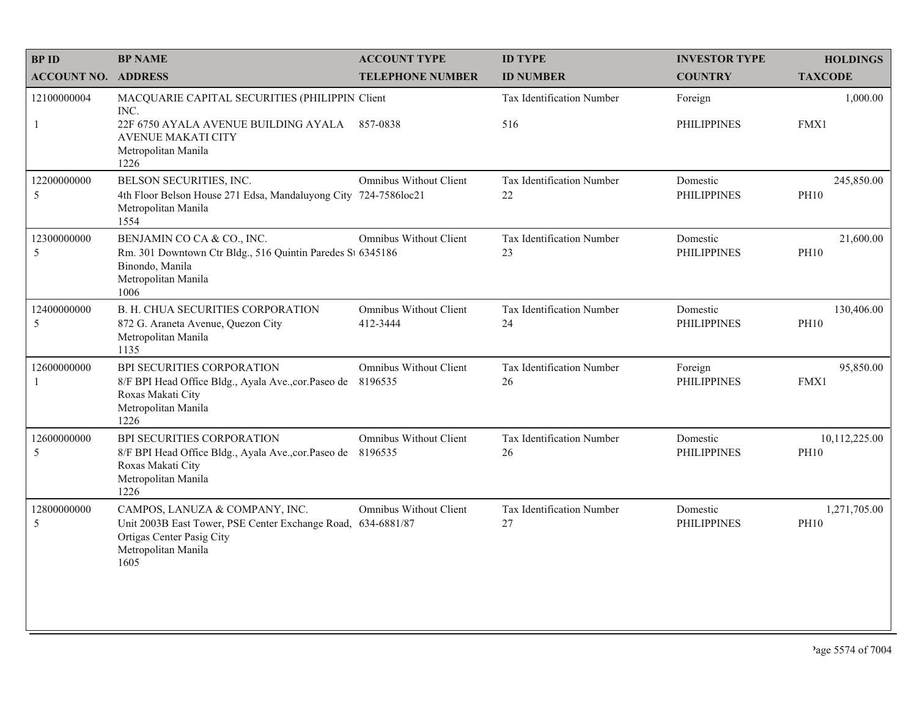| <b>BPID</b>                | <b>BP NAME</b>                                                                                                                                             | <b>ACCOUNT TYPE</b>                      | <b>ID TYPE</b>                          | <b>INVESTOR TYPE</b>           | <b>HOLDINGS</b>              |
|----------------------------|------------------------------------------------------------------------------------------------------------------------------------------------------------|------------------------------------------|-----------------------------------------|--------------------------------|------------------------------|
| <b>ACCOUNT NO. ADDRESS</b> |                                                                                                                                                            | <b>TELEPHONE NUMBER</b>                  | <b>ID NUMBER</b>                        | <b>COUNTRY</b>                 | <b>TAXCODE</b>               |
| 12100000004<br>-1          | MACQUARIE CAPITAL SECURITIES (PHILIPPIN Client<br>INC.<br>22F 6750 AYALA AVENUE BUILDING AYALA<br><b>AVENUE MAKATI CITY</b><br>Metropolitan Manila         | 857-0838                                 | <b>Tax Identification Number</b><br>516 | Foreign<br><b>PHILIPPINES</b>  | 1,000.00<br>FMX1             |
| 12200000000<br>5           | 1226<br>BELSON SECURITIES, INC.<br>4th Floor Belson House 271 Edsa, Mandaluyong City 724-7586loc21<br>Metropolitan Manila<br>1554                          | <b>Omnibus Without Client</b>            | Tax Identification Number<br>$22\,$     | Domestic<br><b>PHILIPPINES</b> | 245,850.00<br><b>PH10</b>    |
| 12300000000<br>5           | BENJAMIN CO CA & CO., INC.<br>Rm. 301 Downtown Ctr Bldg., 516 Quintin Paredes St 6345186<br>Binondo, Manila<br>Metropolitan Manila<br>1006                 | <b>Omnibus Without Client</b>            | Tax Identification Number<br>23         | Domestic<br><b>PHILIPPINES</b> | 21,600.00<br><b>PH10</b>     |
| 12400000000<br>5           | <b>B. H. CHUA SECURITIES CORPORATION</b><br>872 G. Araneta Avenue, Quezon City<br>Metropolitan Manila<br>1135                                              | Omnibus Without Client<br>412-3444       | <b>Tax Identification Number</b><br>24  | Domestic<br><b>PHILIPPINES</b> | 130,406.00<br><b>PH10</b>    |
| 12600000000<br>-1          | BPI SECURITIES CORPORATION<br>8/F BPI Head Office Bldg., Ayala Ave., cor. Paseo de<br>Roxas Makati City<br>Metropolitan Manila<br>1226                     | <b>Omnibus Without Client</b><br>8196535 | Tax Identification Number<br>26         | Foreign<br><b>PHILIPPINES</b>  | 95,850.00<br>FMX1            |
| 12600000000<br>5           | BPI SECURITIES CORPORATION<br>8/F BPI Head Office Bldg., Ayala Ave., cor. Paseo de<br>Roxas Makati City<br>Metropolitan Manila<br>1226                     | <b>Omnibus Without Client</b><br>8196535 | Tax Identification Number<br>26         | Domestic<br><b>PHILIPPINES</b> | 10,112,225.00<br><b>PH10</b> |
| 12800000000<br>5           | CAMPOS, LANUZA & COMPANY, INC.<br>Unit 2003B East Tower, PSE Center Exchange Road, 634-6881/87<br>Ortigas Center Pasig City<br>Metropolitan Manila<br>1605 | Omnibus Without Client                   | Tax Identification Number<br>27         | Domestic<br><b>PHILIPPINES</b> | 1,271,705.00<br><b>PH10</b>  |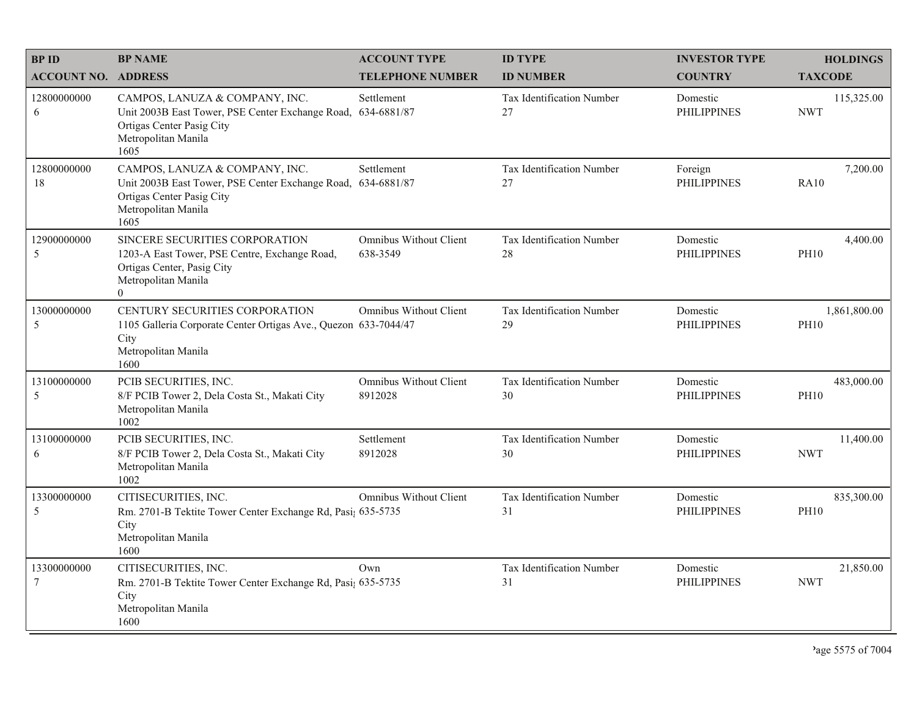| <b>BPID</b>                    | <b>BP NAME</b>                                                                                                                                             | <b>ACCOUNT TYPE</b>                       | <b>ID TYPE</b>                         | <b>INVESTOR TYPE</b>           | <b>HOLDINGS</b>             |
|--------------------------------|------------------------------------------------------------------------------------------------------------------------------------------------------------|-------------------------------------------|----------------------------------------|--------------------------------|-----------------------------|
| <b>ACCOUNT NO. ADDRESS</b>     |                                                                                                                                                            | <b>TELEPHONE NUMBER</b>                   | <b>ID NUMBER</b>                       | <b>COUNTRY</b>                 | <b>TAXCODE</b>              |
| 12800000000<br>6               | CAMPOS, LANUZA & COMPANY, INC.<br>Unit 2003B East Tower, PSE Center Exchange Road,<br>Ortigas Center Pasig City<br>Metropolitan Manila<br>1605             | Settlement<br>634-6881/87                 | <b>Tax Identification Number</b><br>27 | Domestic<br><b>PHILIPPINES</b> | 115,325.00<br><b>NWT</b>    |
| 12800000000<br>18              | CAMPOS, LANUZA & COMPANY, INC.<br>Unit 2003B East Tower, PSE Center Exchange Road, 634-6881/87<br>Ortigas Center Pasig City<br>Metropolitan Manila<br>1605 | Settlement                                | Tax Identification Number<br>27        | Foreign<br><b>PHILIPPINES</b>  | 7,200.00<br><b>RA10</b>     |
| 12900000000<br>5               | SINCERE SECURITIES CORPORATION<br>1203-A East Tower, PSE Centre, Exchange Road,<br>Ortigas Center, Pasig City<br>Metropolitan Manila<br>$\overline{0}$     | <b>Omnibus Without Client</b><br>638-3549 | <b>Tax Identification Number</b><br>28 | Domestic<br><b>PHILIPPINES</b> | 4,400.00<br><b>PH10</b>     |
| 13000000000<br>5               | CENTURY SECURITIES CORPORATION<br>1105 Galleria Corporate Center Ortigas Ave., Quezon 633-7044/47<br>City<br>Metropolitan Manila<br>1600                   | <b>Omnibus Without Client</b>             | Tax Identification Number<br>29        | Domestic<br><b>PHILIPPINES</b> | 1,861,800.00<br><b>PH10</b> |
| 13100000000<br>5               | PCIB SECURITIES, INC.<br>8/F PCIB Tower 2, Dela Costa St., Makati City<br>Metropolitan Manila<br>1002                                                      | <b>Omnibus Without Client</b><br>8912028  | Tax Identification Number<br>30        | Domestic<br><b>PHILIPPINES</b> | 483,000.00<br><b>PH10</b>   |
| 13100000000<br>6               | PCIB SECURITIES, INC.<br>8/F PCIB Tower 2, Dela Costa St., Makati City<br>Metropolitan Manila<br>1002                                                      | Settlement<br>8912028                     | Tax Identification Number<br>30        | Domestic<br><b>PHILIPPINES</b> | 11,400.00<br><b>NWT</b>     |
| 13300000000<br>5               | CITISECURITIES, INC.<br>Rm. 2701-B Tektite Tower Center Exchange Rd, Pasi; 635-5735<br>City<br>Metropolitan Manila<br>1600                                 | <b>Omnibus Without Client</b>             | Tax Identification Number<br>31        | Domestic<br><b>PHILIPPINES</b> | 835,300.00<br><b>PH10</b>   |
| 13300000000<br>$7\phantom{.0}$ | CITISECURITIES, INC.<br>Rm. 2701-B Tektite Tower Center Exchange Rd, Pasi; 635-5735<br>City<br>Metropolitan Manila<br>1600                                 | Own                                       | Tax Identification Number<br>31        | Domestic<br><b>PHILIPPINES</b> | 21,850.00<br><b>NWT</b>     |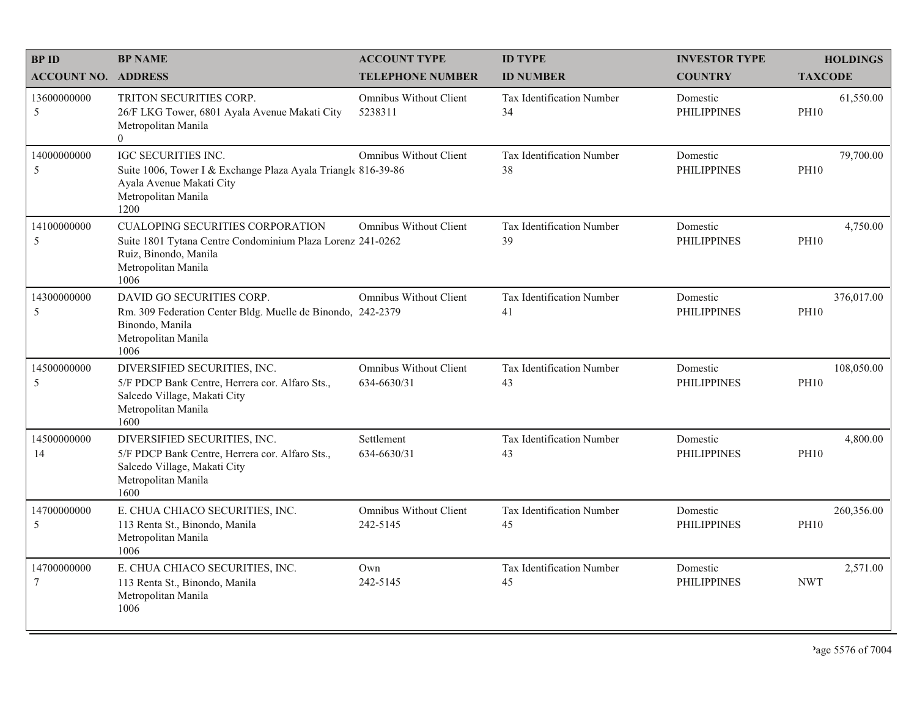| <b>BPID</b>                | <b>BP NAME</b>                                                                                                                                                | <b>ACCOUNT TYPE</b>                       | <b>ID TYPE</b>                         | <b>INVESTOR TYPE</b>           | <b>HOLDINGS</b>           |
|----------------------------|---------------------------------------------------------------------------------------------------------------------------------------------------------------|-------------------------------------------|----------------------------------------|--------------------------------|---------------------------|
| <b>ACCOUNT NO. ADDRESS</b> |                                                                                                                                                               | <b>TELEPHONE NUMBER</b>                   | <b>ID NUMBER</b>                       | <b>COUNTRY</b>                 | <b>TAXCODE</b>            |
| 13600000000<br>5           | TRITON SECURITIES CORP.<br>26/F LKG Tower, 6801 Ayala Avenue Makati City<br>Metropolitan Manila<br>$\theta$                                                   | <b>Omnibus Without Client</b><br>5238311  | <b>Tax Identification Number</b><br>34 | Domestic<br><b>PHILIPPINES</b> | 61,550.00<br><b>PH10</b>  |
| 14000000000<br>5           | IGC SECURITIES INC.<br>Suite 1006, Tower I & Exchange Plaza Ayala Triangle 816-39-86<br>Ayala Avenue Makati City<br>Metropolitan Manila<br>1200               | <b>Omnibus Without Client</b>             | Tax Identification Number<br>38        | Domestic<br><b>PHILIPPINES</b> | 79,700.00<br><b>PH10</b>  |
| 14100000000<br>5           | <b>CUALOPING SECURITIES CORPORATION</b><br>Suite 1801 Tytana Centre Condominium Plaza Lorenz 241-0262<br>Ruiz, Binondo, Manila<br>Metropolitan Manila<br>1006 | <b>Omnibus Without Client</b>             | Tax Identification Number<br>39        | Domestic<br><b>PHILIPPINES</b> | 4,750.00<br><b>PH10</b>   |
| 14300000000<br>5           | DAVID GO SECURITIES CORP.<br>Rm. 309 Federation Center Bldg. Muelle de Binondo, 242-2379<br>Binondo, Manila<br>Metropolitan Manila<br>1006                    | <b>Omnibus Without Client</b>             | Tax Identification Number<br>41        | Domestic<br><b>PHILIPPINES</b> | 376,017.00<br><b>PH10</b> |
| 14500000000<br>5           | DIVERSIFIED SECURITIES, INC.<br>5/F PDCP Bank Centre, Herrera cor. Alfaro Sts.,<br>Salcedo Village, Makati City<br>Metropolitan Manila<br>1600                | Omnibus Without Client<br>634-6630/31     | Tax Identification Number<br>43        | Domestic<br><b>PHILIPPINES</b> | 108,050.00<br><b>PH10</b> |
| 14500000000<br>14          | DIVERSIFIED SECURITIES, INC.<br>5/F PDCP Bank Centre, Herrera cor. Alfaro Sts.,<br>Salcedo Village, Makati City<br>Metropolitan Manila<br>1600                | Settlement<br>634-6630/31                 | Tax Identification Number<br>43        | Domestic<br><b>PHILIPPINES</b> | 4,800.00<br><b>PH10</b>   |
| 14700000000<br>5           | E. CHUA CHIACO SECURITIES, INC.<br>113 Renta St., Binondo, Manila<br>Metropolitan Manila<br>1006                                                              | <b>Omnibus Without Client</b><br>242-5145 | Tax Identification Number<br>45        | Domestic<br><b>PHILIPPINES</b> | 260,356.00<br><b>PH10</b> |
| 14700000000<br>7           | E. CHUA CHIACO SECURITIES, INC.<br>113 Renta St., Binondo, Manila<br>Metropolitan Manila<br>1006                                                              | Own<br>242-5145                           | Tax Identification Number<br>45        | Domestic<br><b>PHILIPPINES</b> | 2,571.00<br><b>NWT</b>    |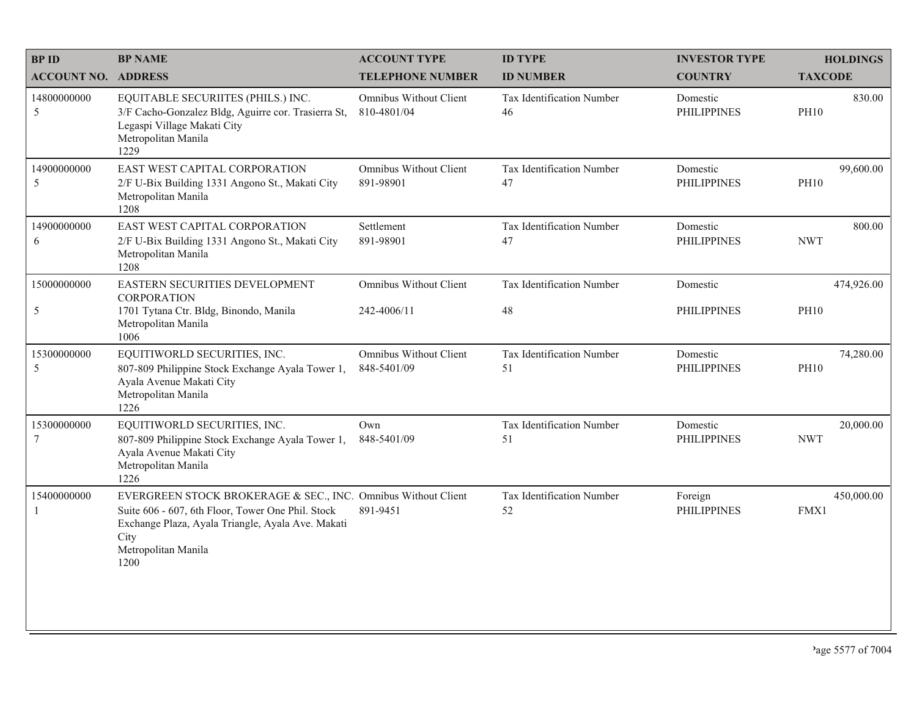| <b>BPID</b>                | <b>BP NAME</b>                                                                                                                                                                                                 | <b>ACCOUNT TYPE</b>                   | <b>ID TYPE</b>                         | <b>INVESTOR TYPE</b>           | <b>HOLDINGS</b>          |
|----------------------------|----------------------------------------------------------------------------------------------------------------------------------------------------------------------------------------------------------------|---------------------------------------|----------------------------------------|--------------------------------|--------------------------|
| <b>ACCOUNT NO. ADDRESS</b> |                                                                                                                                                                                                                | <b>TELEPHONE NUMBER</b>               | <b>ID NUMBER</b>                       | <b>COUNTRY</b>                 | <b>TAXCODE</b>           |
| 14800000000<br>5           | EQUITABLE SECURIITES (PHILS.) INC.<br>3/F Cacho-Gonzalez Bldg, Aguirre cor. Trasierra St,<br>Legaspi Village Makati City<br>Metropolitan Manila<br>1229                                                        | Omnibus Without Client<br>810-4801/04 | <b>Tax Identification Number</b><br>46 | Domestic<br><b>PHILIPPINES</b> | 830.00<br><b>PH10</b>    |
| 14900000000<br>5           | EAST WEST CAPITAL CORPORATION<br>2/F U-Bix Building 1331 Angono St., Makati City<br>Metropolitan Manila<br>1208                                                                                                | Omnibus Without Client<br>891-98901   | Tax Identification Number<br>47        | Domestic<br><b>PHILIPPINES</b> | 99,600.00<br><b>PH10</b> |
| 14900000000<br>6           | EAST WEST CAPITAL CORPORATION<br>2/F U-Bix Building 1331 Angono St., Makati City<br>Metropolitan Manila<br>1208                                                                                                | Settlement<br>891-98901               | Tax Identification Number<br>47        | Domestic<br><b>PHILIPPINES</b> | 800.00<br><b>NWT</b>     |
| 15000000000                | EASTERN SECURITIES DEVELOPMENT<br><b>CORPORATION</b>                                                                                                                                                           | Omnibus Without Client                | Tax Identification Number              | Domestic                       | 474,926.00               |
| 5                          | 1701 Tytana Ctr. Bldg, Binondo, Manila<br>Metropolitan Manila<br>1006                                                                                                                                          | 242-4006/11                           | 48                                     | <b>PHILIPPINES</b>             | <b>PH10</b>              |
| 15300000000<br>5           | EQUITIWORLD SECURITIES, INC.<br>807-809 Philippine Stock Exchange Ayala Tower 1,<br>Ayala Avenue Makati City<br>Metropolitan Manila<br>1226                                                                    | Omnibus Without Client<br>848-5401/09 | Tax Identification Number<br>51        | Domestic<br><b>PHILIPPINES</b> | 74,280.00<br><b>PH10</b> |
| 15300000000<br>7           | EQUITIWORLD SECURITIES, INC.<br>807-809 Philippine Stock Exchange Ayala Tower 1,<br>Ayala Avenue Makati City<br>Metropolitan Manila<br>1226                                                                    | Own<br>848-5401/09                    | Tax Identification Number<br>51        | Domestic<br><b>PHILIPPINES</b> | 20,000.00<br><b>NWT</b>  |
| 15400000000                | EVERGREEN STOCK BROKERAGE & SEC., INC. Omnibus Without Client<br>Suite 606 - 607, 6th Floor, Tower One Phil. Stock<br>Exchange Plaza, Ayala Triangle, Ayala Ave. Makati<br>City<br>Metropolitan Manila<br>1200 | 891-9451                              | Tax Identification Number<br>52        | Foreign<br><b>PHILIPPINES</b>  | 450,000.00<br>FMX1       |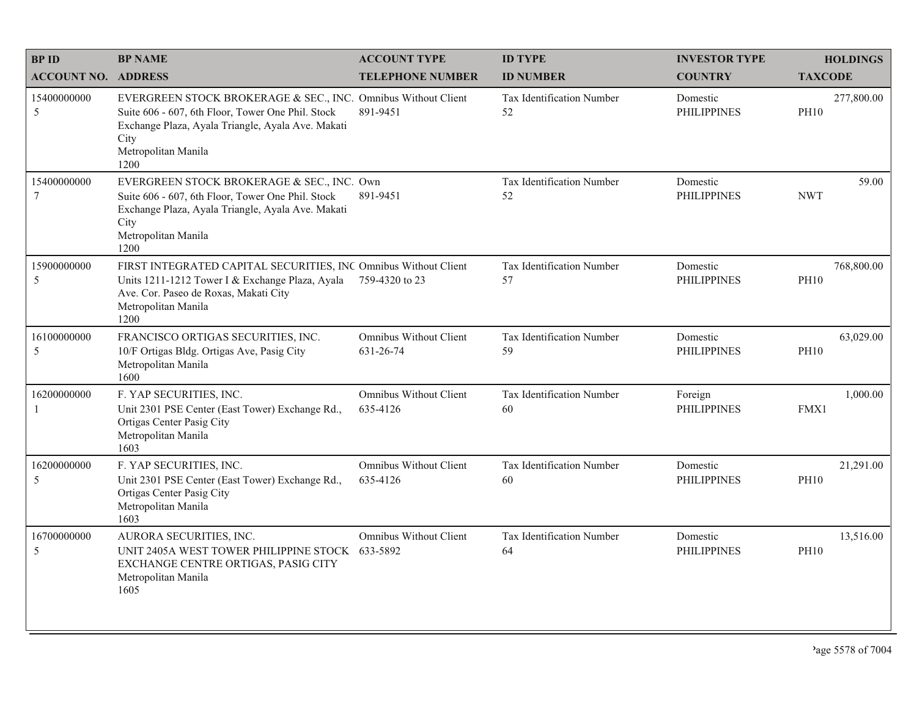| <b>BPID</b>                   | <b>BP NAME</b>                                                                                                                                                                                                 | <b>ACCOUNT TYPE</b>                       | <b>ID TYPE</b>                         | <b>INVESTOR TYPE</b>           | <b>HOLDINGS</b>           |
|-------------------------------|----------------------------------------------------------------------------------------------------------------------------------------------------------------------------------------------------------------|-------------------------------------------|----------------------------------------|--------------------------------|---------------------------|
| <b>ACCOUNT NO. ADDRESS</b>    |                                                                                                                                                                                                                | <b>TELEPHONE NUMBER</b>                   | <b>ID NUMBER</b>                       | <b>COUNTRY</b>                 | <b>TAXCODE</b>            |
| 15400000000<br>5              | EVERGREEN STOCK BROKERAGE & SEC., INC. Omnibus Without Client<br>Suite 606 - 607, 6th Floor, Tower One Phil. Stock<br>Exchange Plaza, Ayala Triangle, Ayala Ave. Makati<br>City<br>Metropolitan Manila<br>1200 | 891-9451                                  | Tax Identification Number<br>52        | Domestic<br><b>PHILIPPINES</b> | 277,800.00<br><b>PH10</b> |
| 15400000000<br>$\overline{7}$ | EVERGREEN STOCK BROKERAGE & SEC., INC. Own<br>Suite 606 - 607, 6th Floor, Tower One Phil. Stock<br>Exchange Plaza, Ayala Triangle, Ayala Ave. Makati<br>City<br>Metropolitan Manila<br>1200                    | 891-9451                                  | <b>Tax Identification Number</b><br>52 | Domestic<br><b>PHILIPPINES</b> | 59.00<br><b>NWT</b>       |
| 15900000000<br>5              | FIRST INTEGRATED CAPITAL SECURITIES, INC Omnibus Without Client<br>Units 1211-1212 Tower I & Exchange Plaza, Ayala<br>Ave. Cor. Paseo de Roxas, Makati City<br>Metropolitan Manila<br>1200                     | 759-4320 to 23                            | Tax Identification Number<br>57        | Domestic<br><b>PHILIPPINES</b> | 768,800.00<br><b>PH10</b> |
| 16100000000<br>5              | FRANCISCO ORTIGAS SECURITIES, INC.<br>10/F Ortigas Bldg. Ortigas Ave, Pasig City<br>Metropolitan Manila<br>1600                                                                                                | Omnibus Without Client<br>631-26-74       | Tax Identification Number<br>59        | Domestic<br><b>PHILIPPINES</b> | 63,029.00<br><b>PH10</b>  |
| 16200000000                   | F. YAP SECURITIES, INC.<br>Unit 2301 PSE Center (East Tower) Exchange Rd.,<br>Ortigas Center Pasig City<br>Metropolitan Manila<br>1603                                                                         | <b>Omnibus Without Client</b><br>635-4126 | Tax Identification Number<br>60        | Foreign<br><b>PHILIPPINES</b>  | 1,000.00<br>FMX1          |
| 16200000000<br>5              | F. YAP SECURITIES, INC.<br>Unit 2301 PSE Center (East Tower) Exchange Rd.,<br>Ortigas Center Pasig City<br>Metropolitan Manila<br>1603                                                                         | <b>Omnibus Without Client</b><br>635-4126 | Tax Identification Number<br>60        | Domestic<br><b>PHILIPPINES</b> | 21,291.00<br><b>PH10</b>  |
| 16700000000<br>5              | AURORA SECURITIES, INC.<br>UNIT 2405A WEST TOWER PHILIPPINE STOCK 633-5892<br>EXCHANGE CENTRE ORTIGAS, PASIG CITY<br>Metropolitan Manila<br>1605                                                               | Omnibus Without Client                    | Tax Identification Number<br>64        | Domestic<br><b>PHILIPPINES</b> | 13,516.00<br><b>PH10</b>  |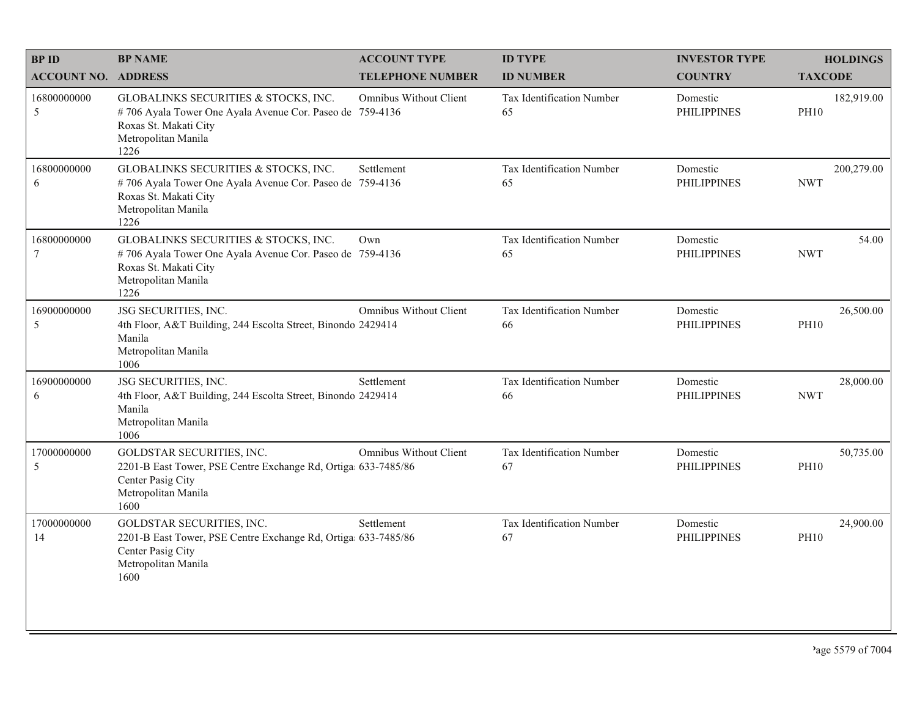| <b>BPID</b>                | <b>BP NAME</b>                                                                                                                                           | <b>ACCOUNT TYPE</b>           | <b>ID TYPE</b>                         | <b>INVESTOR TYPE</b>           | <b>HOLDINGS</b>           |
|----------------------------|----------------------------------------------------------------------------------------------------------------------------------------------------------|-------------------------------|----------------------------------------|--------------------------------|---------------------------|
| <b>ACCOUNT NO. ADDRESS</b> |                                                                                                                                                          | <b>TELEPHONE NUMBER</b>       | <b>ID NUMBER</b>                       | <b>COUNTRY</b>                 | <b>TAXCODE</b>            |
| 16800000000<br>5           | GLOBALINKS SECURITIES & STOCKS, INC.<br>#706 Ayala Tower One Ayala Avenue Cor. Paseo de 759-4136<br>Roxas St. Makati City<br>Metropolitan Manila<br>1226 | Omnibus Without Client        | <b>Tax Identification Number</b><br>65 | Domestic<br><b>PHILIPPINES</b> | 182,919.00<br><b>PH10</b> |
| 16800000000<br>6           | GLOBALINKS SECURITIES & STOCKS, INC.<br>#706 Ayala Tower One Ayala Avenue Cor. Paseo de 759-4136<br>Roxas St. Makati City<br>Metropolitan Manila<br>1226 | Settlement                    | Tax Identification Number<br>65        | Domestic<br><b>PHILIPPINES</b> | 200,279.00<br><b>NWT</b>  |
| 16800000000<br>7           | GLOBALINKS SECURITIES & STOCKS, INC.<br>#706 Ayala Tower One Ayala Avenue Cor. Paseo de 759-4136<br>Roxas St. Makati City<br>Metropolitan Manila<br>1226 | Own                           | Tax Identification Number<br>65        | Domestic<br><b>PHILIPPINES</b> | 54.00<br><b>NWT</b>       |
| 16900000000<br>5           | JSG SECURITIES, INC.<br>4th Floor, A&T Building, 244 Escolta Street, Binondo 2429414<br>Manila<br>Metropolitan Manila<br>1006                            | <b>Omnibus Without Client</b> | Tax Identification Number<br>66        | Domestic<br><b>PHILIPPINES</b> | 26,500.00<br><b>PH10</b>  |
| 16900000000<br>6           | JSG SECURITIES, INC.<br>4th Floor, A&T Building, 244 Escolta Street, Binondo 2429414<br>Manila<br>Metropolitan Manila<br>1006                            | Settlement                    | Tax Identification Number<br>66        | Domestic<br><b>PHILIPPINES</b> | 28,000.00<br><b>NWT</b>   |
| 17000000000<br>5           | <b>GOLDSTAR SECURITIES, INC.</b><br>2201-B East Tower, PSE Centre Exchange Rd, Ortiga 633-7485/86<br>Center Pasig City<br>Metropolitan Manila<br>1600    | <b>Omnibus Without Client</b> | Tax Identification Number<br>67        | Domestic<br><b>PHILIPPINES</b> | 50,735.00<br><b>PH10</b>  |
| 17000000000<br>14          | GOLDSTAR SECURITIES, INC.<br>2201-B East Tower, PSE Centre Exchange Rd, Ortiga 633-7485/86<br>Center Pasig City<br>Metropolitan Manila<br>1600           | Settlement                    | Tax Identification Number<br>67        | Domestic<br><b>PHILIPPINES</b> | 24,900.00<br><b>PH10</b>  |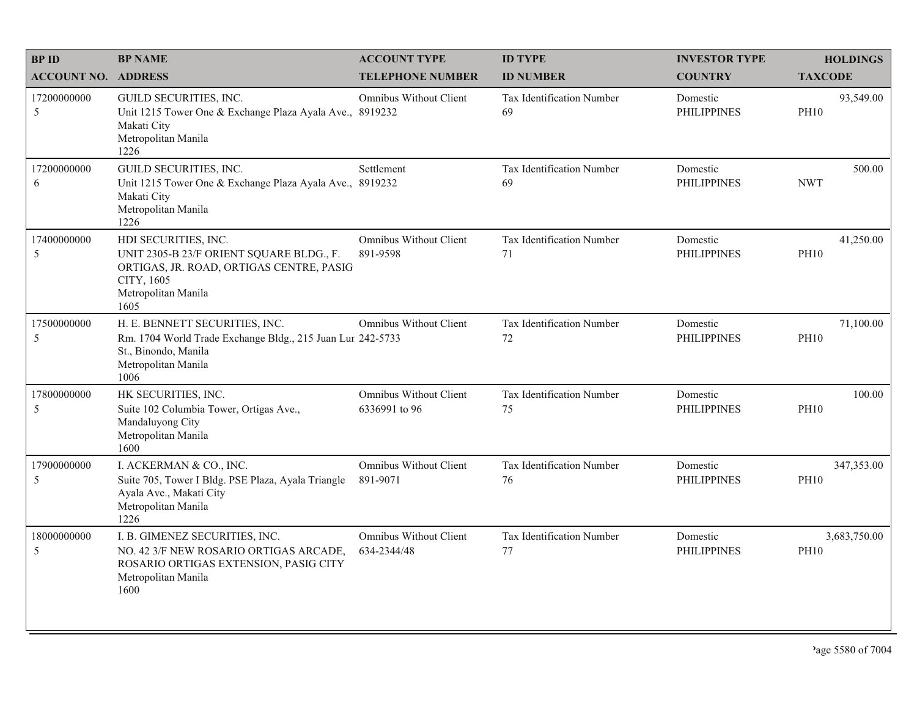| <b>BPID</b>                | <b>BP NAME</b>                                                                                                                                            | <b>ACCOUNT TYPE</b>                            | <b>ID TYPE</b>                         | <b>INVESTOR TYPE</b>           | <b>HOLDINGS</b>             |
|----------------------------|-----------------------------------------------------------------------------------------------------------------------------------------------------------|------------------------------------------------|----------------------------------------|--------------------------------|-----------------------------|
| <b>ACCOUNT NO. ADDRESS</b> |                                                                                                                                                           | <b>TELEPHONE NUMBER</b>                        | <b>ID NUMBER</b>                       | <b>COUNTRY</b>                 | <b>TAXCODE</b>              |
| 17200000000<br>5           | GUILD SECURITIES, INC.<br>Unit 1215 Tower One & Exchange Plaza Ayala Ave., 8919232<br>Makati City<br>Metropolitan Manila<br>1226                          | Omnibus Without Client                         | Tax Identification Number<br>69        | Domestic<br><b>PHILIPPINES</b> | 93,549.00<br><b>PH10</b>    |
| 17200000000<br>6           | GUILD SECURITIES, INC.<br>Unit 1215 Tower One & Exchange Plaza Ayala Ave., 8919232<br>Makati City<br>Metropolitan Manila<br>1226                          | Settlement                                     | Tax Identification Number<br>69        | Domestic<br><b>PHILIPPINES</b> | 500.00<br><b>NWT</b>        |
| 17400000000<br>5           | HDI SECURITIES, INC.<br>UNIT 2305-B 23/F ORIENT SQUARE BLDG., F.<br>ORTIGAS, JR. ROAD, ORTIGAS CENTRE, PASIG<br>CITY, 1605<br>Metropolitan Manila<br>1605 | <b>Omnibus Without Client</b><br>891-9598      | Tax Identification Number<br>71        | Domestic<br><b>PHILIPPINES</b> | 41,250.00<br><b>PH10</b>    |
| 17500000000<br>5           | H. E. BENNETT SECURITIES, INC.<br>Rm. 1704 World Trade Exchange Bldg., 215 Juan Lur 242-5733<br>St., Binondo, Manila<br>Metropolitan Manila<br>1006       | <b>Omnibus Without Client</b>                  | <b>Tax Identification Number</b><br>72 | Domestic<br><b>PHILIPPINES</b> | 71,100.00<br><b>PH10</b>    |
| 17800000000<br>5           | HK SECURITIES, INC.<br>Suite 102 Columbia Tower, Ortigas Ave.,<br>Mandaluyong City<br>Metropolitan Manila<br>1600                                         | <b>Omnibus Without Client</b><br>6336991 to 96 | Tax Identification Number<br>75        | Domestic<br><b>PHILIPPINES</b> | 100.00<br><b>PH10</b>       |
| 17900000000<br>5           | I. ACKERMAN & CO., INC.<br>Suite 705, Tower I Bldg. PSE Plaza, Ayala Triangle<br>Ayala Ave., Makati City<br>Metropolitan Manila<br>1226                   | <b>Omnibus Without Client</b><br>891-9071      | Tax Identification Number<br>76        | Domestic<br><b>PHILIPPINES</b> | 347,353.00<br><b>PH10</b>   |
| 18000000000<br>5           | I. B. GIMENEZ SECURITIES, INC.<br>NO. 42 3/F NEW ROSARIO ORTIGAS ARCADE,<br>ROSARIO ORTIGAS EXTENSION, PASIG CITY<br>Metropolitan Manila<br>1600          | <b>Omnibus Without Client</b><br>634-2344/48   | Tax Identification Number<br>77        | Domestic<br><b>PHILIPPINES</b> | 3,683,750.00<br><b>PH10</b> |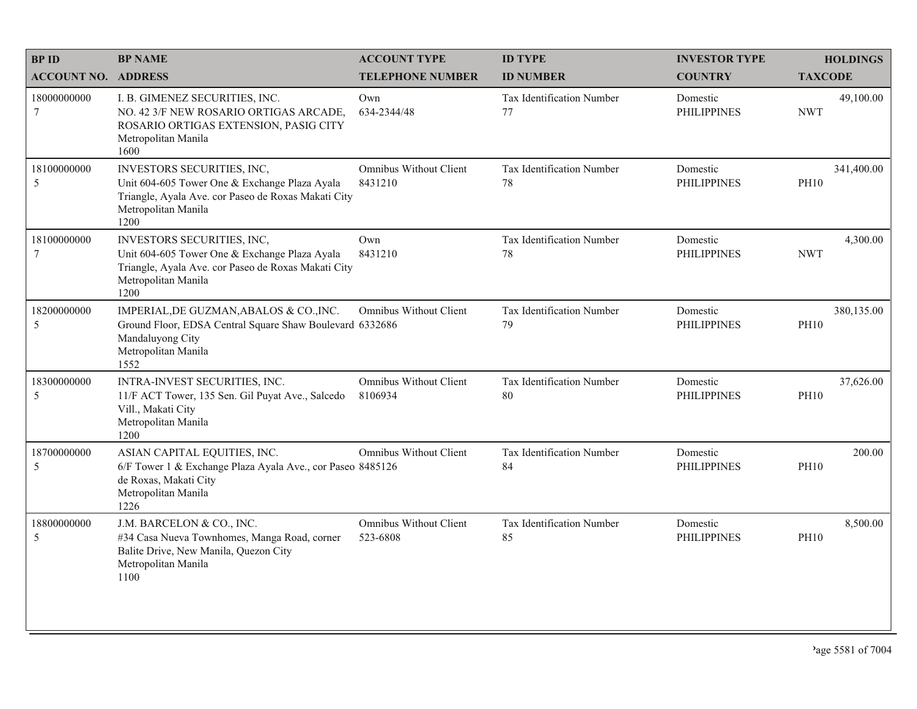| <b>BPID</b>                | <b>BP NAME</b>                                                                                                                                                    | <b>ACCOUNT TYPE</b>                | <b>ID TYPE</b>                  | <b>INVESTOR TYPE</b>           | <b>HOLDINGS</b>           |
|----------------------------|-------------------------------------------------------------------------------------------------------------------------------------------------------------------|------------------------------------|---------------------------------|--------------------------------|---------------------------|
| <b>ACCOUNT NO. ADDRESS</b> |                                                                                                                                                                   | <b>TELEPHONE NUMBER</b>            | <b>ID NUMBER</b>                | <b>COUNTRY</b>                 | <b>TAXCODE</b>            |
| 18000000000<br>$\tau$      | I. B. GIMENEZ SECURITIES, INC.<br>NO. 42 3/F NEW ROSARIO ORTIGAS ARCADE,<br>ROSARIO ORTIGAS EXTENSION, PASIG CITY<br>Metropolitan Manila<br>1600                  | Own<br>634-2344/48                 | Tax Identification Number<br>77 | Domestic<br><b>PHILIPPINES</b> | 49,100.00<br><b>NWT</b>   |
| 18100000000<br>5           | INVESTORS SECURITIES, INC,<br>Unit 604-605 Tower One & Exchange Plaza Ayala<br>Triangle, Ayala Ave. cor Paseo de Roxas Makati City<br>Metropolitan Manila<br>1200 | Omnibus Without Client<br>8431210  | Tax Identification Number<br>78 | Domestic<br><b>PHILIPPINES</b> | 341,400.00<br><b>PH10</b> |
| 18100000000<br>7           | INVESTORS SECURITIES, INC,<br>Unit 604-605 Tower One & Exchange Plaza Ayala<br>Triangle, Ayala Ave. cor Paseo de Roxas Makati City<br>Metropolitan Manila<br>1200 | Own<br>8431210                     | Tax Identification Number<br>78 | Domestic<br><b>PHILIPPINES</b> | 4,300.00<br><b>NWT</b>    |
| 18200000000<br>5           | IMPERIAL, DE GUZMAN, ABALOS & CO., INC.<br>Ground Floor, EDSA Central Square Shaw Boulevard 6332686<br>Mandaluyong City<br>Metropolitan Manila<br>1552            | <b>Omnibus Without Client</b>      | Tax Identification Number<br>79 | Domestic<br><b>PHILIPPINES</b> | 380,135.00<br><b>PH10</b> |
| 18300000000<br>5           | INTRA-INVEST SECURITIES, INC.<br>11/F ACT Tower, 135 Sen. Gil Puyat Ave., Salcedo<br>Vill., Makati City<br>Metropolitan Manila<br>1200                            | Omnibus Without Client<br>8106934  | Tax Identification Number<br>80 | Domestic<br><b>PHILIPPINES</b> | 37,626.00<br><b>PH10</b>  |
| 18700000000<br>5           | ASIAN CAPITAL EQUITIES, INC.<br>6/F Tower 1 & Exchange Plaza Ayala Ave., cor Paseo 8485126<br>de Roxas, Makati City<br>Metropolitan Manila<br>1226                | <b>Omnibus Without Client</b>      | Tax Identification Number<br>84 | Domestic<br><b>PHILIPPINES</b> | 200.00<br><b>PH10</b>     |
| 18800000000<br>5           | J.M. BARCELON & CO., INC.<br>#34 Casa Nueva Townhomes, Manga Road, corner<br>Balite Drive, New Manila, Quezon City<br>Metropolitan Manila<br>1100                 | Omnibus Without Client<br>523-6808 | Tax Identification Number<br>85 | Domestic<br><b>PHILIPPINES</b> | 8,500.00<br><b>PH10</b>   |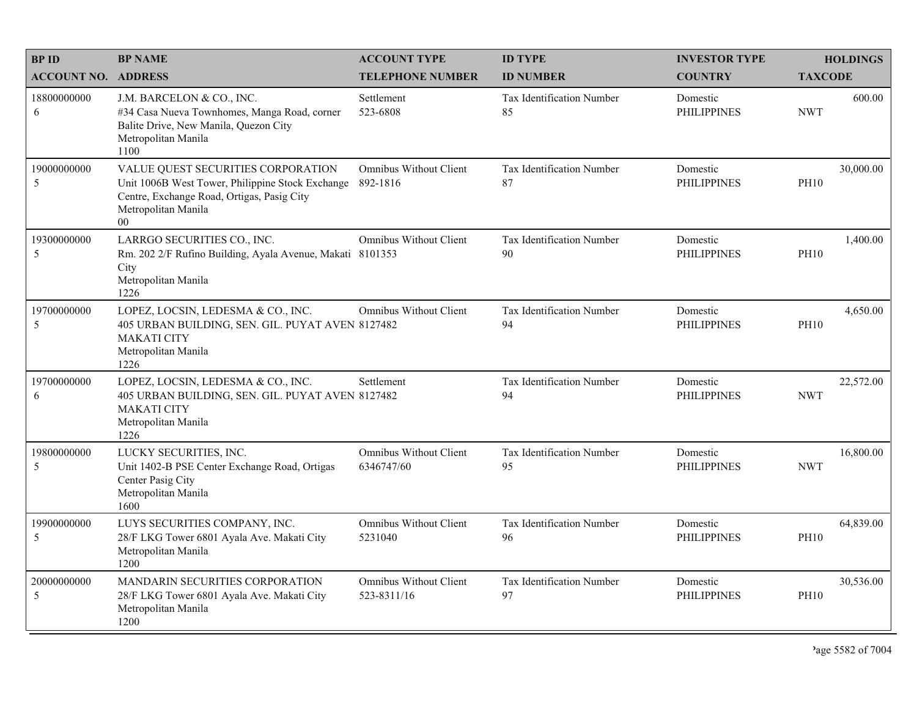| <b>BPID</b>                | <b>BP NAME</b>                                                                                                                                                    | <b>ACCOUNT TYPE</b>                          | <b>ID TYPE</b>                         | <b>INVESTOR TYPE</b>           |                | <b>HOLDINGS</b> |
|----------------------------|-------------------------------------------------------------------------------------------------------------------------------------------------------------------|----------------------------------------------|----------------------------------------|--------------------------------|----------------|-----------------|
| <b>ACCOUNT NO. ADDRESS</b> |                                                                                                                                                                   | <b>TELEPHONE NUMBER</b>                      | <b>ID NUMBER</b>                       | <b>COUNTRY</b>                 | <b>TAXCODE</b> |                 |
| 18800000000<br>6           | J.M. BARCELON & CO., INC.<br>#34 Casa Nueva Townhomes, Manga Road, corner<br>Balite Drive, New Manila, Quezon City<br>Metropolitan Manila<br>1100                 | Settlement<br>523-6808                       | <b>Tax Identification Number</b><br>85 | Domestic<br><b>PHILIPPINES</b> | <b>NWT</b>     | 600.00          |
| 19000000000<br>5           | VALUE QUEST SECURITIES CORPORATION<br>Unit 1006B West Tower, Philippine Stock Exchange<br>Centre, Exchange Road, Ortigas, Pasig City<br>Metropolitan Manila<br>00 | Omnibus Without Client<br>892-1816           | Tax Identification Number<br>87        | Domestic<br><b>PHILIPPINES</b> | <b>PH10</b>    | 30,000.00       |
| 19300000000<br>5           | LARRGO SECURITIES CO., INC.<br>Rm. 202 2/F Rufino Building, Ayala Avenue, Makati 8101353<br>City<br>Metropolitan Manila<br>1226                                   | <b>Omnibus Without Client</b>                | Tax Identification Number<br>90        | Domestic<br><b>PHILIPPINES</b> | <b>PH10</b>    | 1,400.00        |
| 19700000000<br>5           | LOPEZ, LOCSIN, LEDESMA & CO., INC.<br>405 URBAN BUILDING, SEN. GIL. PUYAT AVEN 8127482<br><b>MAKATI CITY</b><br>Metropolitan Manila<br>1226                       | <b>Omnibus Without Client</b>                | Tax Identification Number<br>94        | Domestic<br><b>PHILIPPINES</b> | <b>PH10</b>    | 4,650.00        |
| 19700000000<br>6           | LOPEZ, LOCSIN, LEDESMA & CO., INC.<br>405 URBAN BUILDING, SEN. GIL. PUYAT AVEN 8127482<br><b>MAKATI CITY</b><br>Metropolitan Manila<br>1226                       | Settlement                                   | Tax Identification Number<br>94        | Domestic<br><b>PHILIPPINES</b> | <b>NWT</b>     | 22,572.00       |
| 19800000000<br>5           | LUCKY SECURITIES, INC.<br>Unit 1402-B PSE Center Exchange Road, Ortigas<br>Center Pasig City<br>Metropolitan Manila<br>1600                                       | Omnibus Without Client<br>6346747/60         | Tax Identification Number<br>95        | Domestic<br><b>PHILIPPINES</b> | <b>NWT</b>     | 16,800.00       |
| 19900000000<br>5           | LUYS SECURITIES COMPANY, INC.<br>28/F LKG Tower 6801 Ayala Ave. Makati City<br>Metropolitan Manila<br>1200                                                        | Omnibus Without Client<br>5231040            | Tax Identification Number<br>96        | Domestic<br><b>PHILIPPINES</b> | <b>PH10</b>    | 64,839.00       |
| 20000000000<br>5           | MANDARIN SECURITIES CORPORATION<br>28/F LKG Tower 6801 Ayala Ave. Makati City<br>Metropolitan Manila<br>1200                                                      | <b>Omnibus Without Client</b><br>523-8311/16 | Tax Identification Number<br>97        | Domestic<br><b>PHILIPPINES</b> | <b>PH10</b>    | 30,536.00       |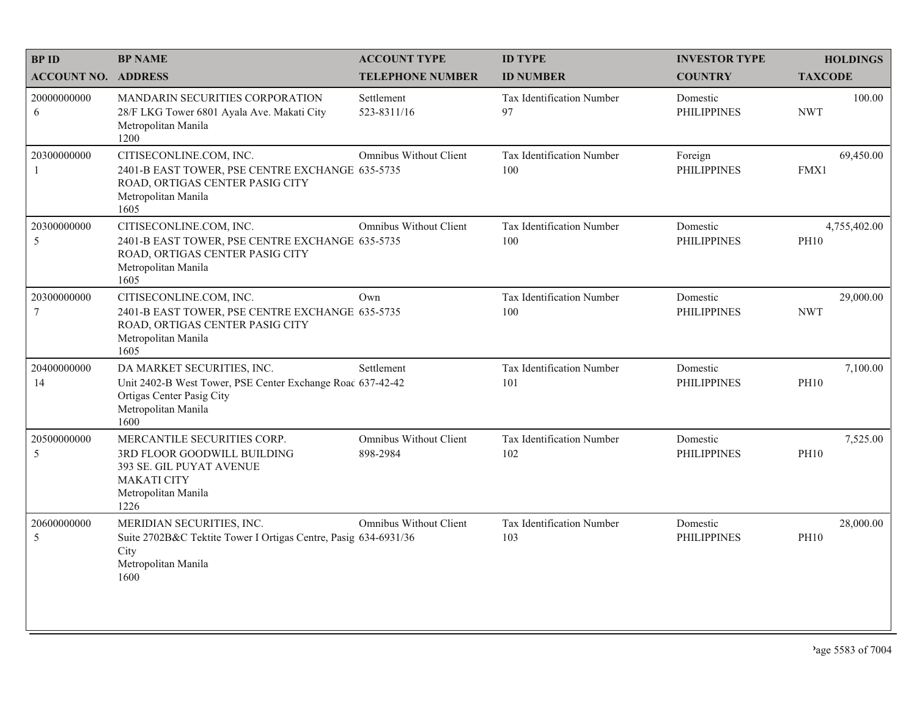| <b>BPID</b>                    | <b>BP NAME</b>                                                                                                                                       | <b>ACCOUNT TYPE</b>                | <b>ID TYPE</b>                         | <b>INVESTOR TYPE</b>           | <b>HOLDINGS</b>             |
|--------------------------------|------------------------------------------------------------------------------------------------------------------------------------------------------|------------------------------------|----------------------------------------|--------------------------------|-----------------------------|
| <b>ACCOUNT NO. ADDRESS</b>     |                                                                                                                                                      | <b>TELEPHONE NUMBER</b>            | <b>ID NUMBER</b>                       | <b>COUNTRY</b>                 | <b>TAXCODE</b>              |
| 20000000000<br>6               | MANDARIN SECURITIES CORPORATION<br>28/F LKG Tower 6801 Ayala Ave. Makati City<br>Metropolitan Manila<br>1200                                         | Settlement<br>523-8311/16          | <b>Tax Identification Number</b><br>97 | Domestic<br><b>PHILIPPINES</b> | 100.00<br><b>NWT</b>        |
| 20300000000<br>-1              | CITISECONLINE.COM, INC.<br>2401-B EAST TOWER, PSE CENTRE EXCHANGE 635-5735<br>ROAD, ORTIGAS CENTER PASIG CITY<br>Metropolitan Manila<br>1605         | Omnibus Without Client             | Tax Identification Number<br>100       | Foreign<br><b>PHILIPPINES</b>  | 69,450.00<br>FMX1           |
| 20300000000<br>5               | CITISECONLINE.COM, INC.<br>2401-B EAST TOWER, PSE CENTRE EXCHANGE 635-5735<br>ROAD, ORTIGAS CENTER PASIG CITY<br>Metropolitan Manila<br>1605         | <b>Omnibus Without Client</b>      | Tax Identification Number<br>100       | Domestic<br><b>PHILIPPINES</b> | 4,755,402.00<br><b>PH10</b> |
| 20300000000<br>$7\phantom{.0}$ | CITISECONLINE.COM, INC.<br>2401-B EAST TOWER, PSE CENTRE EXCHANGE 635-5735<br>ROAD, ORTIGAS CENTER PASIG CITY<br>Metropolitan Manila<br>1605         | Own                                | Tax Identification Number<br>100       | Domestic<br><b>PHILIPPINES</b> | 29,000.00<br><b>NWT</b>     |
| 20400000000<br>14              | DA MARKET SECURITIES, INC.<br>Unit 2402-B West Tower, PSE Center Exchange Road 637-42-42<br>Ortigas Center Pasig City<br>Metropolitan Manila<br>1600 | Settlement                         | Tax Identification Number<br>101       | Domestic<br><b>PHILIPPINES</b> | 7,100.00<br><b>PH10</b>     |
| 20500000000<br>5               | MERCANTILE SECURITIES CORP.<br>3RD FLOOR GOODWILL BUILDING<br>393 SE. GIL PUYAT AVENUE<br><b>MAKATI CITY</b><br>Metropolitan Manila<br>1226          | Omnibus Without Client<br>898-2984 | Tax Identification Number<br>102       | Domestic<br><b>PHILIPPINES</b> | 7,525.00<br><b>PH10</b>     |
| 20600000000<br>5               | MERIDIAN SECURITIES, INC.<br>Suite 2702B&C Tektite Tower I Ortigas Centre, Pasig 634-6931/36<br>City<br>Metropolitan Manila<br>1600                  | <b>Omnibus Without Client</b>      | Tax Identification Number<br>103       | Domestic<br><b>PHILIPPINES</b> | 28,000.00<br><b>PH10</b>    |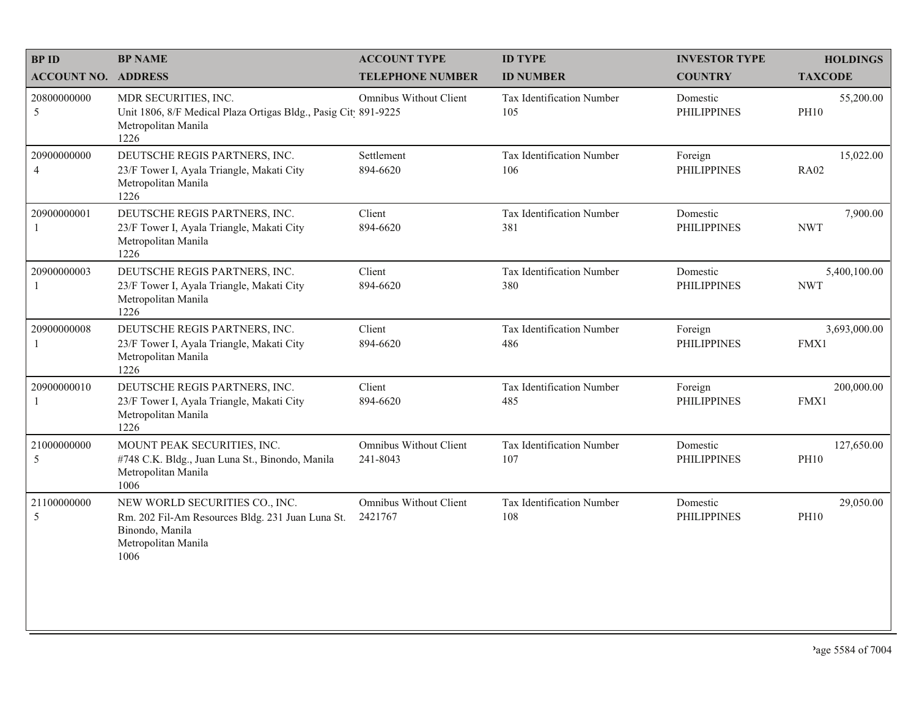| <b>BPID</b>                   | <b>BP NAME</b>                                                                                                                       | <b>ACCOUNT TYPE</b>                | <b>ID TYPE</b>                          | <b>INVESTOR TYPE</b>           | <b>HOLDINGS</b>            |
|-------------------------------|--------------------------------------------------------------------------------------------------------------------------------------|------------------------------------|-----------------------------------------|--------------------------------|----------------------------|
| <b>ACCOUNT NO. ADDRESS</b>    |                                                                                                                                      | <b>TELEPHONE NUMBER</b>            | <b>ID NUMBER</b>                        | <b>COUNTRY</b>                 | <b>TAXCODE</b>             |
| 20800000000<br>5              | MDR SECURITIES, INC.<br>Unit 1806, 8/F Medical Plaza Ortigas Bldg., Pasig Cit 891-9225<br>Metropolitan Manila<br>1226                | <b>Omnibus Without Client</b>      | Tax Identification Number<br>105        | Domestic<br><b>PHILIPPINES</b> | 55,200.00<br><b>PH10</b>   |
| 20900000000<br>$\overline{4}$ | DEUTSCHE REGIS PARTNERS, INC.<br>23/F Tower I, Ayala Triangle, Makati City<br>Metropolitan Manila<br>1226                            | Settlement<br>894-6620             | Tax Identification Number<br>106        | Foreign<br><b>PHILIPPINES</b>  | 15,022.00<br><b>RA02</b>   |
| 20900000001<br>1              | DEUTSCHE REGIS PARTNERS, INC.<br>23/F Tower I, Ayala Triangle, Makati City<br>Metropolitan Manila<br>1226                            | Client<br>894-6620                 | Tax Identification Number<br>381        | Domestic<br><b>PHILIPPINES</b> | 7,900.00<br><b>NWT</b>     |
| 20900000003                   | DEUTSCHE REGIS PARTNERS, INC.<br>23/F Tower I, Ayala Triangle, Makati City<br>Metropolitan Manila<br>1226                            | Client<br>894-6620                 | Tax Identification Number<br>380        | Domestic<br><b>PHILIPPINES</b> | 5,400,100.00<br><b>NWT</b> |
| 20900000008<br>1              | DEUTSCHE REGIS PARTNERS, INC.<br>23/F Tower I, Ayala Triangle, Makati City<br>Metropolitan Manila<br>1226                            | Client<br>894-6620                 | Tax Identification Number<br>486        | Foreign<br><b>PHILIPPINES</b>  | 3,693,000.00<br>FMX1       |
| 20900000010                   | DEUTSCHE REGIS PARTNERS, INC.<br>23/F Tower I, Ayala Triangle, Makati City<br>Metropolitan Manila<br>1226                            | Client<br>894-6620                 | Tax Identification Number<br>485        | Foreign<br><b>PHILIPPINES</b>  | 200,000.00<br>FMX1         |
| 21000000000<br>5              | MOUNT PEAK SECURITIES, INC.<br>#748 C.K. Bldg., Juan Luna St., Binondo, Manila<br>Metropolitan Manila<br>1006                        | Omnibus Without Client<br>241-8043 | Tax Identification Number<br>107        | Domestic<br><b>PHILIPPINES</b> | 127,650.00<br><b>PH10</b>  |
| 21100000000<br>5              | NEW WORLD SECURITIES CO., INC.<br>Rm. 202 Fil-Am Resources Bldg. 231 Juan Luna St.<br>Binondo, Manila<br>Metropolitan Manila<br>1006 | Omnibus Without Client<br>2421767  | <b>Tax Identification Number</b><br>108 | Domestic<br><b>PHILIPPINES</b> | 29,050.00<br><b>PH10</b>   |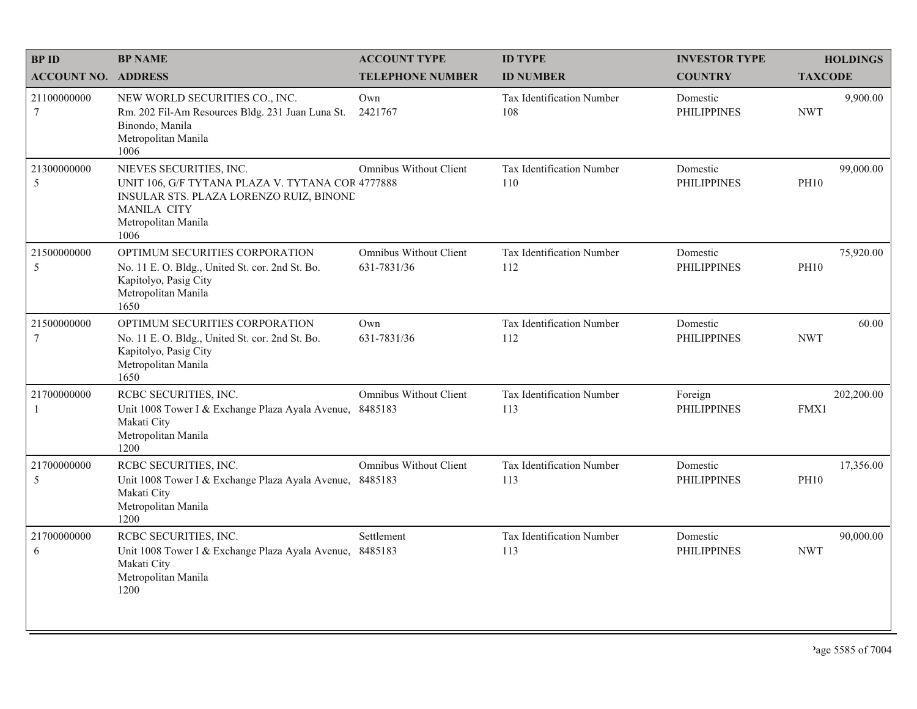| <b>BPID</b>                | <b>BP NAME</b>                                                                                                                                                              | <b>ACCOUNT TYPE</b>                          | <b>ID TYPE</b>                   | <b>INVESTOR TYPE</b>           | <b>HOLDINGS</b>          |
|----------------------------|-----------------------------------------------------------------------------------------------------------------------------------------------------------------------------|----------------------------------------------|----------------------------------|--------------------------------|--------------------------|
| <b>ACCOUNT NO. ADDRESS</b> |                                                                                                                                                                             | <b>TELEPHONE NUMBER</b>                      | <b>ID NUMBER</b>                 | <b>COUNTRY</b>                 | <b>TAXCODE</b>           |
| 21100000000<br>$\tau$      | NEW WORLD SECURITIES CO., INC.<br>Rm. 202 Fil-Am Resources Bldg. 231 Juan Luna St.<br>Binondo, Manila<br>Metropolitan Manila<br>1006                                        | Own<br>2421767                               | Tax Identification Number<br>108 | Domestic<br><b>PHILIPPINES</b> | 9,900.00<br><b>NWT</b>   |
| 21300000000<br>5           | NIEVES SECURITIES, INC.<br>UNIT 106, G/F TYTANA PLAZA V. TYTANA COR 4777888<br>INSULAR STS. PLAZA LORENZO RUIZ, BINONE<br><b>MANILA CITY</b><br>Metropolitan Manila<br>1006 | <b>Omnibus Without Client</b>                | Tax Identification Number<br>110 | Domestic<br><b>PHILIPPINES</b> | 99,000.00<br><b>PH10</b> |
| 21500000000<br>5           | OPTIMUM SECURITIES CORPORATION<br>No. 11 E.O. Bldg., United St. cor. 2nd St. Bo.<br>Kapitolyo, Pasig City<br>Metropolitan Manila<br>1650                                    | <b>Omnibus Without Client</b><br>631-7831/36 | Tax Identification Number<br>112 | Domestic<br><b>PHILIPPINES</b> | 75,920.00<br><b>PH10</b> |
| 21500000000<br>$\tau$      | OPTIMUM SECURITIES CORPORATION<br>No. 11 E. O. Bldg., United St. cor. 2nd St. Bo.<br>Kapitolyo, Pasig City<br>Metropolitan Manila<br>1650                                   | Own<br>631-7831/36                           | Tax Identification Number<br>112 | Domestic<br><b>PHILIPPINES</b> | 60.00<br><b>NWT</b>      |
| 21700000000<br>1           | RCBC SECURITIES, INC.<br>Unit 1008 Tower I & Exchange Plaza Ayala Avenue,<br>Makati City<br>Metropolitan Manila<br>1200                                                     | <b>Omnibus Without Client</b><br>8485183     | Tax Identification Number<br>113 | Foreign<br><b>PHILIPPINES</b>  | 202,200.00<br>FMX1       |
| 21700000000<br>5           | RCBC SECURITIES, INC.<br>Unit 1008 Tower I & Exchange Plaza Ayala Avenue,<br>Makati City<br>Metropolitan Manila<br>1200                                                     | <b>Omnibus Without Client</b><br>8485183     | Tax Identification Number<br>113 | Domestic<br><b>PHILIPPINES</b> | 17,356.00<br><b>PH10</b> |
| 21700000000<br>6           | RCBC SECURITIES, INC.<br>Unit 1008 Tower I & Exchange Plaza Ayala Avenue, 8485183<br>Makati City<br>Metropolitan Manila<br>1200                                             | Settlement                                   | Tax Identification Number<br>113 | Domestic<br><b>PHILIPPINES</b> | 90,000.00<br><b>NWT</b>  |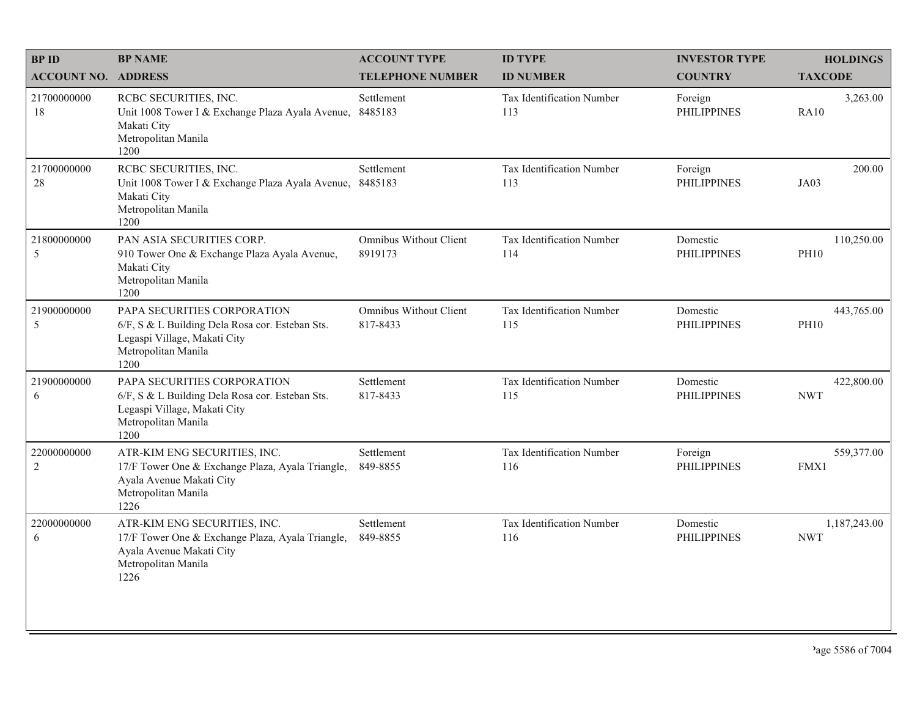| <b>BPID</b>                   | <b>BP NAME</b>                                                                                                                                | <b>ACCOUNT TYPE</b>                       | <b>ID TYPE</b>                   | <b>INVESTOR TYPE</b>           | <b>HOLDINGS</b>            |
|-------------------------------|-----------------------------------------------------------------------------------------------------------------------------------------------|-------------------------------------------|----------------------------------|--------------------------------|----------------------------|
| <b>ACCOUNT NO. ADDRESS</b>    |                                                                                                                                               | <b>TELEPHONE NUMBER</b>                   | <b>ID NUMBER</b>                 | <b>COUNTRY</b>                 | <b>TAXCODE</b>             |
| 21700000000<br>18             | RCBC SECURITIES, INC.<br>Unit 1008 Tower I & Exchange Plaza Ayala Avenue,<br>Makati City<br>Metropolitan Manila<br>1200                       | Settlement<br>8485183                     | Tax Identification Number<br>113 | Foreign<br><b>PHILIPPINES</b>  | 3,263.00<br><b>RA10</b>    |
| 21700000000<br>28             | RCBC SECURITIES, INC.<br>Unit 1008 Tower I & Exchange Plaza Ayala Avenue,<br>Makati City<br>Metropolitan Manila<br>1200                       | Settlement<br>8485183                     | Tax Identification Number<br>113 | Foreign<br><b>PHILIPPINES</b>  | 200.00<br>JA03             |
| 21800000000<br>5              | PAN ASIA SECURITIES CORP.<br>910 Tower One & Exchange Plaza Ayala Avenue,<br>Makati City<br>Metropolitan Manila<br>1200                       | <b>Omnibus Without Client</b><br>8919173  | Tax Identification Number<br>114 | Domestic<br><b>PHILIPPINES</b> | 110,250.00<br><b>PH10</b>  |
| 21900000000<br>5              | PAPA SECURITIES CORPORATION<br>6/F, S & L Building Dela Rosa cor. Esteban Sts.<br>Legaspi Village, Makati City<br>Metropolitan Manila<br>1200 | <b>Omnibus Without Client</b><br>817-8433 | Tax Identification Number<br>115 | Domestic<br><b>PHILIPPINES</b> | 443,765.00<br><b>PH10</b>  |
| 21900000000<br>6              | PAPA SECURITIES CORPORATION<br>6/F, S & L Building Dela Rosa cor. Esteban Sts.<br>Legaspi Village, Makati City<br>Metropolitan Manila<br>1200 | Settlement<br>817-8433                    | Tax Identification Number<br>115 | Domestic<br><b>PHILIPPINES</b> | 422,800.00<br><b>NWT</b>   |
| 22000000000<br>$\overline{c}$ | ATR-KIM ENG SECURITIES, INC.<br>17/F Tower One & Exchange Plaza, Ayala Triangle,<br>Ayala Avenue Makati City<br>Metropolitan Manila<br>1226   | Settlement<br>849-8855                    | Tax Identification Number<br>116 | Foreign<br><b>PHILIPPINES</b>  | 559,377.00<br>FMX1         |
| 22000000000<br>6              | ATR-KIM ENG SECURITIES, INC.<br>17/F Tower One & Exchange Plaza, Ayala Triangle,<br>Ayala Avenue Makati City<br>Metropolitan Manila<br>1226   | Settlement<br>849-8855                    | Tax Identification Number<br>116 | Domestic<br><b>PHILIPPINES</b> | 1,187,243.00<br><b>NWT</b> |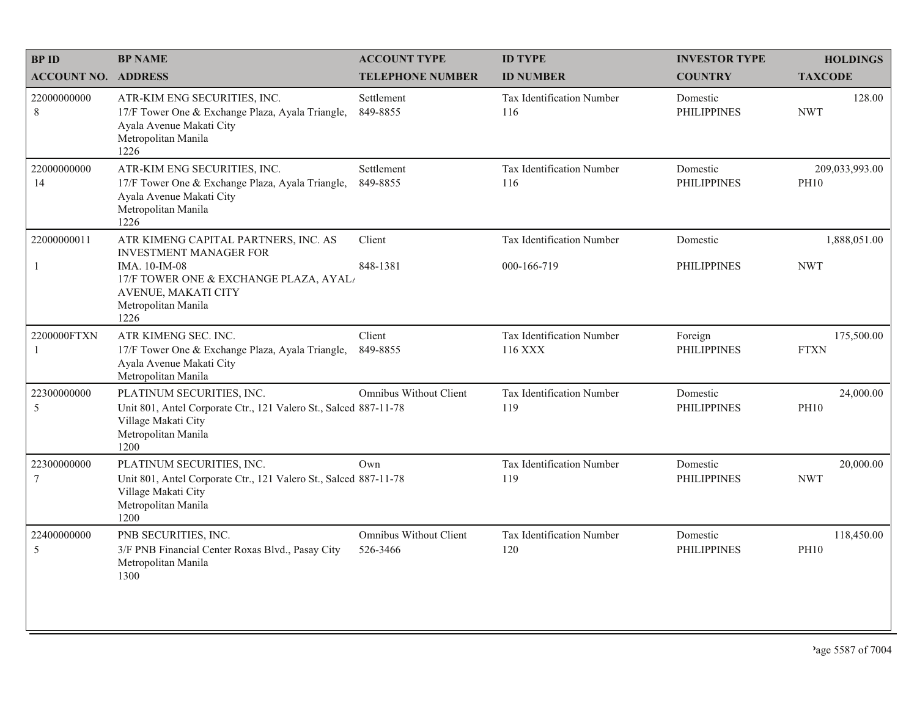| <b>BPID</b>                   | <b>BP NAME</b>                                                                                                                                                                        | <b>ACCOUNT TYPE</b>                       | <b>ID TYPE</b>                           | <b>INVESTOR TYPE</b>           | <b>HOLDINGS</b>               |
|-------------------------------|---------------------------------------------------------------------------------------------------------------------------------------------------------------------------------------|-------------------------------------------|------------------------------------------|--------------------------------|-------------------------------|
| <b>ACCOUNT NO. ADDRESS</b>    |                                                                                                                                                                                       | <b>TELEPHONE NUMBER</b>                   | <b>ID NUMBER</b>                         | <b>COUNTRY</b>                 | <b>TAXCODE</b>                |
| 22000000000<br>8              | ATR-KIM ENG SECURITIES, INC.<br>17/F Tower One & Exchange Plaza, Ayala Triangle,<br>Ayala Avenue Makati City<br>Metropolitan Manila<br>1226                                           | Settlement<br>849-8855                    | Tax Identification Number<br>116         | Domestic<br><b>PHILIPPINES</b> | 128.00<br><b>NWT</b>          |
| 22000000000<br>14             | ATR-KIM ENG SECURITIES, INC.<br>17/F Tower One & Exchange Plaza, Ayala Triangle,<br>Ayala Avenue Makati City<br>Metropolitan Manila<br>1226                                           | Settlement<br>849-8855                    | Tax Identification Number<br>116         | Domestic<br><b>PHILIPPINES</b> | 209,033,993.00<br><b>PH10</b> |
| 22000000011<br>-1             | ATR KIMENG CAPITAL PARTNERS, INC. AS<br><b>INVESTMENT MANAGER FOR</b><br>IMA. 10-IM-08<br>17/F TOWER ONE & EXCHANGE PLAZA, AYAL<br>AVENUE, MAKATI CITY<br>Metropolitan Manila<br>1226 | Client<br>848-1381                        | Tax Identification Number<br>000-166-719 | Domestic<br><b>PHILIPPINES</b> | 1,888,051.00<br><b>NWT</b>    |
| 2200000FTXN<br>-1             | ATR KIMENG SEC. INC.<br>17/F Tower One & Exchange Plaza, Ayala Triangle,<br>Ayala Avenue Makati City<br>Metropolitan Manila                                                           | Client<br>849-8855                        | Tax Identification Number<br>116 XXX     | Foreign<br><b>PHILIPPINES</b>  | 175,500.00<br><b>FTXN</b>     |
| 22300000000<br>5              | PLATINUM SECURITIES, INC.<br>Unit 801, Antel Corporate Ctr., 121 Valero St., Salced 887-11-78<br>Village Makati City<br>Metropolitan Manila<br>1200                                   | Omnibus Without Client                    | Tax Identification Number<br>119         | Domestic<br><b>PHILIPPINES</b> | 24,000.00<br><b>PH10</b>      |
| 22300000000<br>$\overline{7}$ | PLATINUM SECURITIES, INC.<br>Unit 801, Antel Corporate Ctr., 121 Valero St., Salced 887-11-78<br>Village Makati City<br>Metropolitan Manila<br>1200                                   | Own                                       | Tax Identification Number<br>119         | Domestic<br><b>PHILIPPINES</b> | 20,000.00<br><b>NWT</b>       |
| 22400000000<br>5              | PNB SECURITIES, INC.<br>3/F PNB Financial Center Roxas Blvd., Pasay City<br>Metropolitan Manila<br>1300                                                                               | <b>Omnibus Without Client</b><br>526-3466 | Tax Identification Number<br>120         | Domestic<br><b>PHILIPPINES</b> | 118,450.00<br><b>PH10</b>     |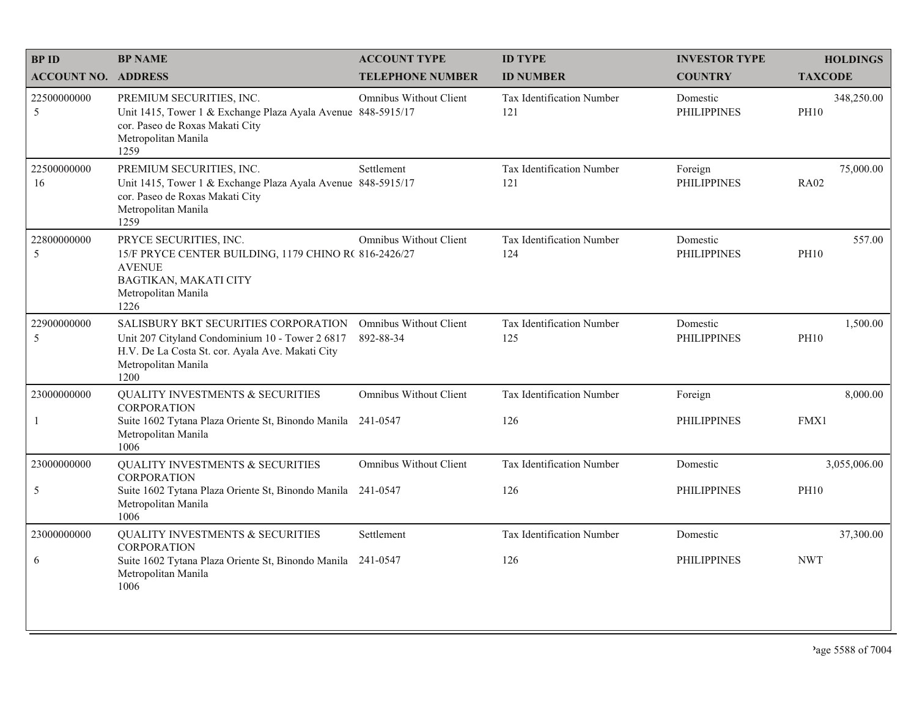| <b>BPID</b>                | <b>BP NAME</b>                                                                                                                                                             | <b>ACCOUNT TYPE</b>                        | <b>ID TYPE</b>                          | <b>INVESTOR TYPE</b>           | <b>HOLDINGS</b>           |
|----------------------------|----------------------------------------------------------------------------------------------------------------------------------------------------------------------------|--------------------------------------------|-----------------------------------------|--------------------------------|---------------------------|
| <b>ACCOUNT NO. ADDRESS</b> |                                                                                                                                                                            | <b>TELEPHONE NUMBER</b>                    | <b>ID NUMBER</b>                        | <b>COUNTRY</b>                 | <b>TAXCODE</b>            |
| 22500000000<br>5           | PREMIUM SECURITIES, INC.<br>Unit 1415, Tower 1 & Exchange Plaza Ayala Avenue 848-5915/17<br>cor. Paseo de Roxas Makati City<br>Metropolitan Manila<br>1259                 | <b>Omnibus Without Client</b>              | <b>Tax Identification Number</b><br>121 | Domestic<br><b>PHILIPPINES</b> | 348,250.00<br><b>PH10</b> |
| 22500000000<br>16          | PREMIUM SECURITIES, INC.<br>Unit 1415, Tower 1 & Exchange Plaza Ayala Avenue 848-5915/17<br>cor. Paseo de Roxas Makati City<br>Metropolitan Manila<br>1259                 | Settlement                                 | Tax Identification Number<br>121        | Foreign<br><b>PHILIPPINES</b>  | 75,000.00<br><b>RA02</b>  |
| 22800000000<br>5           | PRYCE SECURITIES, INC.<br>15/F PRYCE CENTER BUILDING, 1179 CHINO R(816-2426/27<br><b>AVENUE</b><br>BAGTIKAN, MAKATI CITY<br>Metropolitan Manila<br>1226                    | Omnibus Without Client                     | Tax Identification Number<br>124        | Domestic<br><b>PHILIPPINES</b> | 557.00<br><b>PH10</b>     |
| 22900000000<br>5           | SALISBURY BKT SECURITIES CORPORATION<br>Unit 207 Cityland Condominium 10 - Tower 2 6817<br>H.V. De La Costa St. cor. Ayala Ave. Makati City<br>Metropolitan Manila<br>1200 | <b>Omnibus Without Client</b><br>892-88-34 | Tax Identification Number<br>125        | Domestic<br><b>PHILIPPINES</b> | 1,500.00<br><b>PH10</b>   |
| 23000000000                | <b>QUALITY INVESTMENTS &amp; SECURITIES</b><br><b>CORPORATION</b>                                                                                                          | <b>Omnibus Without Client</b>              | Tax Identification Number               | Foreign                        | 8,000.00                  |
| -1                         | Suite 1602 Tytana Plaza Oriente St, Binondo Manila 241-0547<br>Metropolitan Manila<br>1006                                                                                 |                                            | 126                                     | <b>PHILIPPINES</b>             | FMX1                      |
| 23000000000                | <b>QUALITY INVESTMENTS &amp; SECURITIES</b><br><b>CORPORATION</b>                                                                                                          | <b>Omnibus Without Client</b>              | Tax Identification Number               | Domestic                       | 3,055,006.00              |
| 5                          | Suite 1602 Tytana Plaza Oriente St, Binondo Manila 241-0547<br>Metropolitan Manila<br>1006                                                                                 |                                            | 126                                     | <b>PHILIPPINES</b>             | <b>PH10</b>               |
| 23000000000                | <b>QUALITY INVESTMENTS &amp; SECURITIES</b><br><b>CORPORATION</b>                                                                                                          | Settlement                                 | Tax Identification Number               | Domestic                       | 37,300.00                 |
| 6                          | Suite 1602 Tytana Plaza Oriente St, Binondo Manila<br>Metropolitan Manila<br>1006                                                                                          | 241-0547                                   | 126                                     | <b>PHILIPPINES</b>             | <b>NWT</b>                |
|                            |                                                                                                                                                                            |                                            |                                         |                                |                           |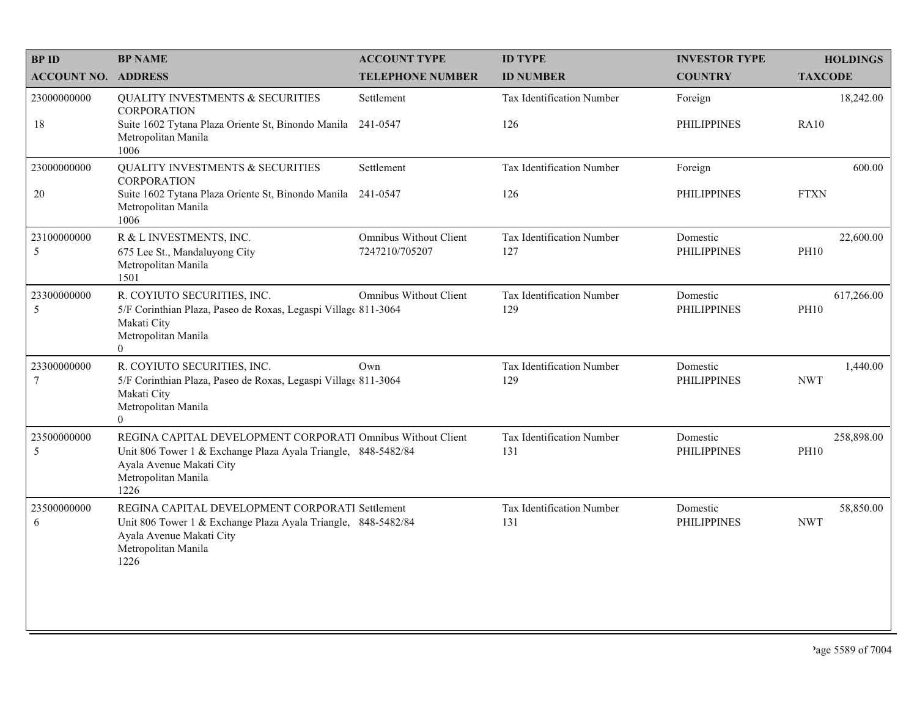| <b>BP ID</b>                  | <b>BP NAME</b>                                                                                                                                                                          | <b>ACCOUNT TYPE</b>                             | <b>ID TYPE</b>                   | <b>INVESTOR TYPE</b>           | <b>HOLDINGS</b>           |
|-------------------------------|-----------------------------------------------------------------------------------------------------------------------------------------------------------------------------------------|-------------------------------------------------|----------------------------------|--------------------------------|---------------------------|
| <b>ACCOUNT NO. ADDRESS</b>    |                                                                                                                                                                                         | <b>TELEPHONE NUMBER</b>                         | <b>ID NUMBER</b>                 | <b>COUNTRY</b>                 | <b>TAXCODE</b>            |
| 23000000000                   | <b>QUALITY INVESTMENTS &amp; SECURITIES</b><br><b>CORPORATION</b>                                                                                                                       | Settlement                                      | Tax Identification Number        | Foreign                        | 18,242.00                 |
| 18                            | Suite 1602 Tytana Plaza Oriente St, Binondo Manila<br>Metropolitan Manila<br>1006                                                                                                       | 241-0547                                        | 126                              | <b>PHILIPPINES</b>             | <b>RA10</b>               |
| 23000000000                   | QUALITY INVESTMENTS & SECURITIES<br><b>CORPORATION</b>                                                                                                                                  | Settlement                                      | Tax Identification Number        | Foreign                        | 600.00                    |
| 20                            | Suite 1602 Tytana Plaza Oriente St, Binondo Manila<br>Metropolitan Manila<br>1006                                                                                                       | 241-0547                                        | 126                              | <b>PHILIPPINES</b>             | <b>FTXN</b>               |
| 23100000000<br>$\sqrt{5}$     | R & L INVESTMENTS, INC.<br>675 Lee St., Mandaluyong City<br>Metropolitan Manila<br>1501                                                                                                 | <b>Omnibus Without Client</b><br>7247210/705207 | Tax Identification Number<br>127 | Domestic<br><b>PHILIPPINES</b> | 22,600.00<br><b>PH10</b>  |
| 23300000000<br>5              | R. COYIUTO SECURITIES, INC.<br>5/F Corinthian Plaza, Paseo de Roxas, Legaspi Village 811-3064<br>Makati City<br>Metropolitan Manila<br>$\theta$                                         | <b>Omnibus Without Client</b>                   | Tax Identification Number<br>129 | Domestic<br><b>PHILIPPINES</b> | 617,266.00<br><b>PH10</b> |
| 23300000000<br>$\overline{7}$ | R. COYIUTO SECURITIES, INC.<br>5/F Corinthian Plaza, Paseo de Roxas, Legaspi Village 811-3064<br>Makati City<br>Metropolitan Manila<br>$\overline{0}$                                   | Own                                             | Tax Identification Number<br>129 | Domestic<br><b>PHILIPPINES</b> | 1,440.00<br><b>NWT</b>    |
| 23500000000<br>5              | REGINA CAPITAL DEVELOPMENT CORPORATI Omnibus Without Client<br>Unit 806 Tower 1 & Exchange Plaza Ayala Triangle, 848-5482/84<br>Ayala Avenue Makati City<br>Metropolitan Manila<br>1226 |                                                 | Tax Identification Number<br>131 | Domestic<br><b>PHILIPPINES</b> | 258,898.00<br><b>PH10</b> |
| 23500000000<br>6              | REGINA CAPITAL DEVELOPMENT CORPORATI Settlement<br>Unit 806 Tower 1 & Exchange Plaza Ayala Triangle, 848-5482/84<br>Ayala Avenue Makati City<br>Metropolitan Manila<br>1226             |                                                 | Tax Identification Number<br>131 | Domestic<br><b>PHILIPPINES</b> | 58,850.00<br><b>NWT</b>   |
|                               |                                                                                                                                                                                         |                                                 |                                  |                                |                           |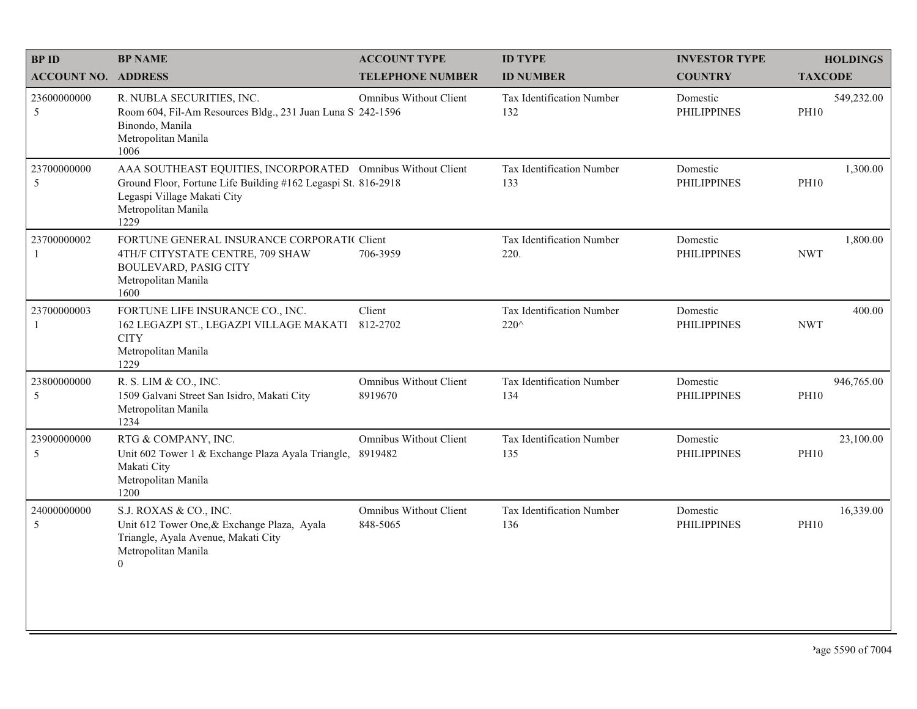| <b>BPID</b>                 | <b>BP NAME</b>                                                                                                                                                                             | <b>ACCOUNT TYPE</b>                      | <b>ID TYPE</b>                    | <b>INVESTOR TYPE</b>           | <b>HOLDINGS</b>           |
|-----------------------------|--------------------------------------------------------------------------------------------------------------------------------------------------------------------------------------------|------------------------------------------|-----------------------------------|--------------------------------|---------------------------|
| <b>ACCOUNT NO. ADDRESS</b>  |                                                                                                                                                                                            | <b>TELEPHONE NUMBER</b>                  | <b>ID NUMBER</b>                  | <b>COUNTRY</b>                 | <b>TAXCODE</b>            |
| 23600000000<br>5            | R. NUBLA SECURITIES, INC.<br>Room 604, Fil-Am Resources Bldg., 231 Juan Luna S 242-1596<br>Binondo, Manila<br>Metropolitan Manila<br>1006                                                  | <b>Omnibus Without Client</b>            | Tax Identification Number<br>132  | Domestic<br><b>PHILIPPINES</b> | 549,232.00<br><b>PH10</b> |
| 23700000000<br>5            | AAA SOUTHEAST EQUITIES, INCORPORATED Omnibus Without Client<br>Ground Floor, Fortune Life Building #162 Legaspi St. 816-2918<br>Legaspi Village Makati City<br>Metropolitan Manila<br>1229 |                                          | Tax Identification Number<br>133  | Domestic<br><b>PHILIPPINES</b> | 1,300.00<br><b>PH10</b>   |
| 23700000002<br>$\mathbf{1}$ | FORTUNE GENERAL INSURANCE CORPORATIC Client<br>4TH/F CITYSTATE CENTRE, 709 SHAW<br><b>BOULEVARD, PASIG CITY</b><br>Metropolitan Manila<br>1600                                             | 706-3959                                 | Tax Identification Number<br>220. | Domestic<br><b>PHILIPPINES</b> | 1,800.00<br><b>NWT</b>    |
| 23700000003<br>-1           | FORTUNE LIFE INSURANCE CO., INC.<br>162 LEGAZPI ST., LEGAZPI VILLAGE MAKATI<br><b>CITY</b><br>Metropolitan Manila<br>1229                                                                  | Client<br>812-2702                       | Tax Identification Number<br>220^ | Domestic<br><b>PHILIPPINES</b> | 400.00<br><b>NWT</b>      |
| 23800000000<br>5            | R. S. LIM & CO., INC.<br>1509 Galvani Street San Isidro, Makati City<br>Metropolitan Manila<br>1234                                                                                        | <b>Omnibus Without Client</b><br>8919670 | Tax Identification Number<br>134  | Domestic<br><b>PHILIPPINES</b> | 946,765.00<br><b>PH10</b> |
| 23900000000<br>5            | RTG & COMPANY, INC.<br>Unit 602 Tower 1 & Exchange Plaza Ayala Triangle,<br>Makati City<br>Metropolitan Manila<br>1200                                                                     | <b>Omnibus Without Client</b><br>8919482 | Tax Identification Number<br>135  | Domestic<br><b>PHILIPPINES</b> | 23,100.00<br><b>PH10</b>  |
| 24000000000<br>5            | S.J. ROXAS & CO., INC.<br>Unit 612 Tower One, & Exchange Plaza, Ayala<br>Triangle, Ayala Avenue, Makati City<br>Metropolitan Manila<br>$\theta$                                            | Omnibus Without Client<br>848-5065       | Tax Identification Number<br>136  | Domestic<br><b>PHILIPPINES</b> | 16,339.00<br><b>PH10</b>  |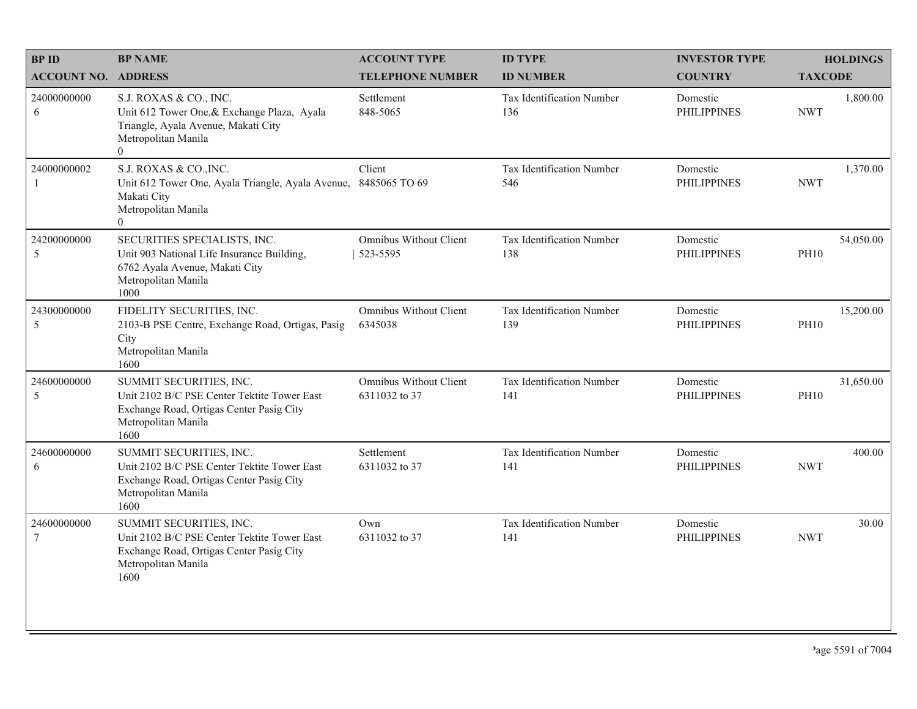| <b>BPID</b>                  | <b>BP NAME</b>                                                                                                                                        | <b>ACCOUNT TYPE</b>                            | <b>ID TYPE</b>                   | <b>INVESTOR TYPE</b>           | <b>HOLDINGS</b>          |
|------------------------------|-------------------------------------------------------------------------------------------------------------------------------------------------------|------------------------------------------------|----------------------------------|--------------------------------|--------------------------|
| <b>ACCOUNT NO. ADDRESS</b>   |                                                                                                                                                       | <b>TELEPHONE NUMBER</b>                        | <b>ID NUMBER</b>                 | <b>COUNTRY</b>                 | <b>TAXCODE</b>           |
| 24000000000<br>6             | S.J. ROXAS & CO., INC.<br>Unit 612 Tower One, & Exchange Plaza, Ayala<br>Triangle, Ayala Avenue, Makati City<br>Metropolitan Manila<br>$\overline{0}$ | Settlement<br>848-5065                         | Tax Identification Number<br>136 | Domestic<br><b>PHILIPPINES</b> | 1,800.00<br><b>NWT</b>   |
| 24000000002<br>$\mathbf{1}$  | S.J. ROXAS & CO., INC.<br>Unit 612 Tower One, Ayala Triangle, Ayala Avenue,<br>Makati City<br>Metropolitan Manila<br>$\Omega$                         | Client<br>8485065 TO 69                        | Tax Identification Number<br>546 | Domestic<br><b>PHILIPPINES</b> | 1,370.00<br><b>NWT</b>   |
| 24200000000<br>5             | SECURITIES SPECIALISTS, INC.<br>Unit 903 National Life Insurance Building,<br>6762 Ayala Avenue, Makati City<br>Metropolitan Manila<br>1000           | <b>Omnibus Without Client</b><br>523-5595      | Tax Identification Number<br>138 | Domestic<br><b>PHILIPPINES</b> | 54,050.00<br><b>PH10</b> |
| 24300000000<br>$\mathfrak s$ | FIDELITY SECURITIES, INC.<br>2103-B PSE Centre, Exchange Road, Ortigas, Pasig<br>City<br>Metropolitan Manila<br>1600                                  | <b>Omnibus Without Client</b><br>6345038       | Tax Identification Number<br>139 | Domestic<br><b>PHILIPPINES</b> | 15,200.00<br><b>PH10</b> |
| 24600000000<br>5             | SUMMIT SECURITIES, INC.<br>Unit 2102 B/C PSE Center Tektite Tower East<br>Exchange Road, Ortigas Center Pasig City<br>Metropolitan Manila<br>1600     | <b>Omnibus Without Client</b><br>6311032 to 37 | Tax Identification Number<br>141 | Domestic<br><b>PHILIPPINES</b> | 31,650.00<br><b>PH10</b> |
| 24600000000<br>6             | SUMMIT SECURITIES, INC.<br>Unit 2102 B/C PSE Center Tektite Tower East<br>Exchange Road, Ortigas Center Pasig City<br>Metropolitan Manila<br>1600     | Settlement<br>6311032 to 37                    | Tax Identification Number<br>141 | Domestic<br><b>PHILIPPINES</b> | 400.00<br><b>NWT</b>     |
| 24600000000<br>$\tau$        | SUMMIT SECURITIES, INC.<br>Unit 2102 B/C PSE Center Tektite Tower East<br>Exchange Road, Ortigas Center Pasig City<br>Metropolitan Manila<br>1600     | Own<br>6311032 to 37                           | Tax Identification Number<br>141 | Domestic<br><b>PHILIPPINES</b> | 30.00<br><b>NWT</b>      |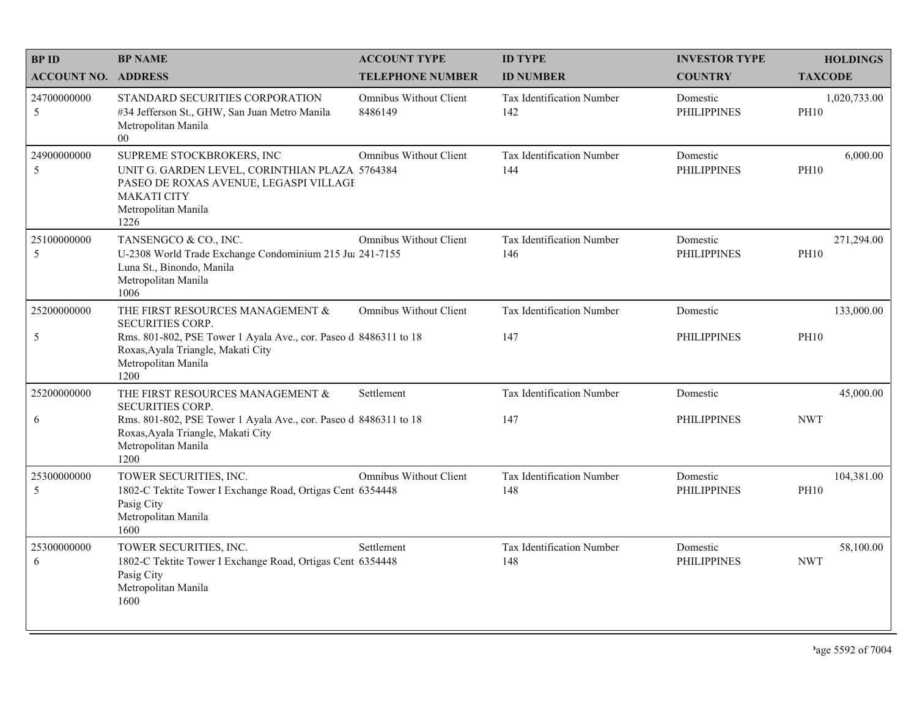| <b>BPID</b>                | <b>BP NAME</b>                                                                                                                                                             | <b>ACCOUNT TYPE</b>               | <b>ID TYPE</b>                          | <b>INVESTOR TYPE</b>           | <b>HOLDINGS</b>             |
|----------------------------|----------------------------------------------------------------------------------------------------------------------------------------------------------------------------|-----------------------------------|-----------------------------------------|--------------------------------|-----------------------------|
| <b>ACCOUNT NO. ADDRESS</b> |                                                                                                                                                                            | <b>TELEPHONE NUMBER</b>           | <b>ID NUMBER</b>                        | <b>COUNTRY</b>                 | <b>TAXCODE</b>              |
| 24700000000<br>5           | STANDARD SECURITIES CORPORATION<br>#34 Jefferson St., GHW, San Juan Metro Manila<br>Metropolitan Manila<br>00                                                              | Omnibus Without Client<br>8486149 | Tax Identification Number<br>142        | Domestic<br><b>PHILIPPINES</b> | 1,020,733.00<br><b>PH10</b> |
| 24900000000<br>5           | SUPREME STOCKBROKERS, INC<br>UNIT G. GARDEN LEVEL, CORINTHIAN PLAZA 5764384<br>PASEO DE ROXAS AVENUE, LEGASPI VILLAGE<br><b>MAKATI CITY</b><br>Metropolitan Manila<br>1226 | <b>Omnibus Without Client</b>     | <b>Tax Identification Number</b><br>144 | Domestic<br><b>PHILIPPINES</b> | 6,000.00<br><b>PH10</b>     |
| 25100000000<br>5           | TANSENGCO & CO., INC.<br>U-2308 World Trade Exchange Condominium 215 Ju: 241-7155<br>Luna St., Binondo, Manila<br>Metropolitan Manila<br>1006                              | <b>Omnibus Without Client</b>     | Tax Identification Number<br>146        | Domestic<br><b>PHILIPPINES</b> | 271,294.00<br><b>PH10</b>   |
| 25200000000                | THE FIRST RESOURCES MANAGEMENT &<br><b>SECURITIES CORP.</b>                                                                                                                | <b>Omnibus Without Client</b>     | <b>Tax Identification Number</b>        | Domestic                       | 133,000.00                  |
| $\mathfrak{S}$             | Rms. 801-802, PSE Tower 1 Ayala Ave., cor. Paseo d 8486311 to 18<br>Roxas, Ayala Triangle, Makati City<br>Metropolitan Manila<br>1200                                      |                                   | 147                                     | <b>PHILIPPINES</b>             | <b>PH10</b>                 |
| 25200000000                | THE FIRST RESOURCES MANAGEMENT &<br><b>SECURITIES CORP.</b>                                                                                                                | Settlement                        | <b>Tax Identification Number</b>        | Domestic                       | 45,000.00                   |
| 6                          | Rms. 801-802, PSE Tower 1 Ayala Ave., cor. Paseo d 8486311 to 18<br>Roxas, Ayala Triangle, Makati City<br>Metropolitan Manila<br>1200                                      |                                   | 147                                     | <b>PHILIPPINES</b>             | <b>NWT</b>                  |
| 25300000000<br>5           | TOWER SECURITIES, INC.<br>1802-C Tektite Tower I Exchange Road, Ortigas Cent 6354448<br>Pasig City<br>Metropolitan Manila<br>1600                                          | Omnibus Without Client            | Tax Identification Number<br>148        | Domestic<br><b>PHILIPPINES</b> | 104,381.00<br><b>PH10</b>   |
| 25300000000<br>6           | TOWER SECURITIES, INC.<br>1802-C Tektite Tower I Exchange Road, Ortigas Cent 6354448<br>Pasig City<br>Metropolitan Manila<br>1600                                          | Settlement                        | Tax Identification Number<br>148        | Domestic<br><b>PHILIPPINES</b> | 58,100.00<br><b>NWT</b>     |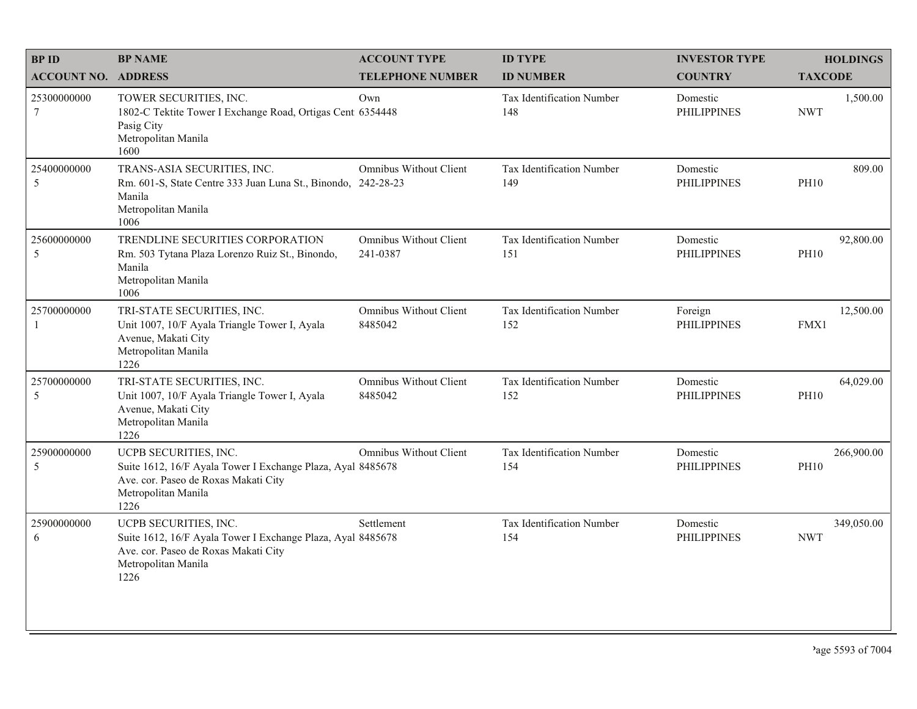| <b>BPID</b>                | <b>BP NAME</b>                                                                                                                                              | <b>ACCOUNT TYPE</b>                       | <b>ID TYPE</b>                          | <b>INVESTOR TYPE</b>           | <b>HOLDINGS</b>           |
|----------------------------|-------------------------------------------------------------------------------------------------------------------------------------------------------------|-------------------------------------------|-----------------------------------------|--------------------------------|---------------------------|
| <b>ACCOUNT NO. ADDRESS</b> |                                                                                                                                                             | <b>TELEPHONE NUMBER</b>                   | <b>ID NUMBER</b>                        | <b>COUNTRY</b>                 | <b>TAXCODE</b>            |
| 25300000000<br>$\tau$      | TOWER SECURITIES, INC.<br>1802-C Tektite Tower I Exchange Road, Ortigas Cent 6354448<br>Pasig City<br>Metropolitan Manila<br>1600                           | Own                                       | <b>Tax Identification Number</b><br>148 | Domestic<br><b>PHILIPPINES</b> | 1,500.00<br><b>NWT</b>    |
| 25400000000<br>5           | TRANS-ASIA SECURITIES, INC.<br>Rm. 601-S, State Centre 333 Juan Luna St., Binondo, 242-28-23<br>Manila<br>Metropolitan Manila<br>1006                       | Omnibus Without Client                    | Tax Identification Number<br>149        | Domestic<br><b>PHILIPPINES</b> | 809.00<br><b>PH10</b>     |
| 25600000000<br>5           | TRENDLINE SECURITIES CORPORATION<br>Rm. 503 Tytana Plaza Lorenzo Ruiz St., Binondo,<br>Manila<br>Metropolitan Manila<br>1006                                | <b>Omnibus Without Client</b><br>241-0387 | Tax Identification Number<br>151        | Domestic<br><b>PHILIPPINES</b> | 92,800.00<br><b>PH10</b>  |
| 25700000000<br>-1          | TRI-STATE SECURITIES, INC.<br>Unit 1007, 10/F Ayala Triangle Tower I, Ayala<br>Avenue, Makati City<br>Metropolitan Manila<br>1226                           | <b>Omnibus Without Client</b><br>8485042  | Tax Identification Number<br>152        | Foreign<br><b>PHILIPPINES</b>  | 12,500.00<br>FMX1         |
| 25700000000<br>5           | TRI-STATE SECURITIES, INC.<br>Unit 1007, 10/F Ayala Triangle Tower I, Ayala<br>Avenue, Makati City<br>Metropolitan Manila<br>1226                           | <b>Omnibus Without Client</b><br>8485042  | Tax Identification Number<br>152        | Domestic<br><b>PHILIPPINES</b> | 64,029.00<br><b>PH10</b>  |
| 25900000000<br>5           | UCPB SECURITIES, INC.<br>Suite 1612, 16/F Ayala Tower I Exchange Plaza, Ayal 8485678<br>Ave. cor. Paseo de Roxas Makati City<br>Metropolitan Manila<br>1226 | <b>Omnibus Without Client</b>             | Tax Identification Number<br>154        | Domestic<br><b>PHILIPPINES</b> | 266,900.00<br><b>PH10</b> |
| 25900000000<br>6           | UCPB SECURITIES, INC.<br>Suite 1612, 16/F Ayala Tower I Exchange Plaza, Ayal 8485678<br>Ave. cor. Paseo de Roxas Makati City<br>Metropolitan Manila<br>1226 | Settlement                                | Tax Identification Number<br>154        | Domestic<br><b>PHILIPPINES</b> | 349,050.00<br><b>NWT</b>  |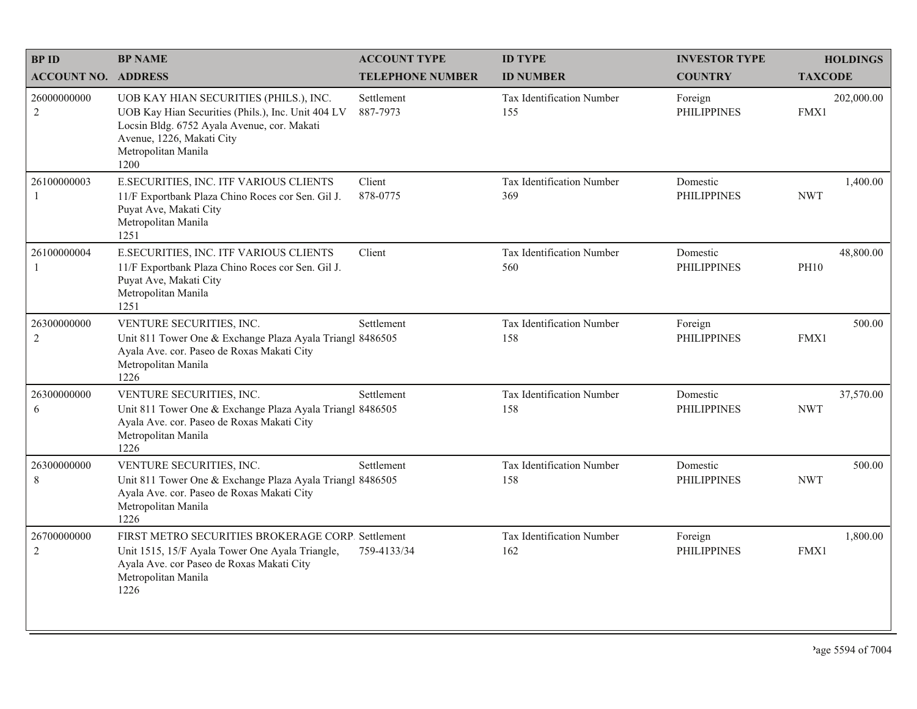| <b>BPID</b>                   | <b>BP NAME</b>                                                                                                                                                                                          | <b>ACCOUNT TYPE</b>     | <b>ID TYPE</b>                          | <b>INVESTOR TYPE</b>           | <b>HOLDINGS</b>          |
|-------------------------------|---------------------------------------------------------------------------------------------------------------------------------------------------------------------------------------------------------|-------------------------|-----------------------------------------|--------------------------------|--------------------------|
| <b>ACCOUNT NO. ADDRESS</b>    |                                                                                                                                                                                                         | <b>TELEPHONE NUMBER</b> | <b>ID NUMBER</b>                        | <b>COUNTRY</b>                 | <b>TAXCODE</b>           |
| 26000000000<br>$\overline{2}$ | UOB KAY HIAN SECURITIES (PHILS.), INC.<br>UOB Kay Hian Securities (Phils.), Inc. Unit 404 LV<br>Locsin Bldg. 6752 Ayala Avenue, cor. Makati<br>Avenue, 1226, Makati City<br>Metropolitan Manila<br>1200 | Settlement<br>887-7973  | <b>Tax Identification Number</b><br>155 | Foreign<br><b>PHILIPPINES</b>  | 202,000.00<br>FMX1       |
| 26100000003<br>$\mathbf{1}$   | E.SECURITIES, INC. ITF VARIOUS CLIENTS<br>11/F Exportbank Plaza Chino Roces cor Sen. Gil J.<br>Puyat Ave, Makati City<br>Metropolitan Manila<br>1251                                                    | Client<br>878-0775      | Tax Identification Number<br>369        | Domestic<br><b>PHILIPPINES</b> | 1,400.00<br><b>NWT</b>   |
| 26100000004<br>$\mathbf{1}$   | E.SECURITIES, INC. ITF VARIOUS CLIENTS<br>11/F Exportbank Plaza Chino Roces cor Sen. Gil J.<br>Puyat Ave, Makati City<br>Metropolitan Manila<br>1251                                                    | Client                  | Tax Identification Number<br>560        | Domestic<br><b>PHILIPPINES</b> | 48,800.00<br><b>PH10</b> |
| 26300000000<br>$\sqrt{2}$     | VENTURE SECURITIES, INC.<br>Unit 811 Tower One & Exchange Plaza Ayala Triangl 8486505<br>Ayala Ave. cor. Paseo de Roxas Makati City<br>Metropolitan Manila<br>1226                                      | Settlement              | Tax Identification Number<br>158        | Foreign<br><b>PHILIPPINES</b>  | 500.00<br>FMX1           |
| 26300000000<br>6              | VENTURE SECURITIES, INC.<br>Unit 811 Tower One & Exchange Plaza Ayala Triangl 8486505<br>Ayala Ave. cor. Paseo de Roxas Makati City<br>Metropolitan Manila<br>1226                                      | Settlement              | Tax Identification Number<br>158        | Domestic<br><b>PHILIPPINES</b> | 37,570.00<br><b>NWT</b>  |
| 26300000000<br>$\,8\,$        | VENTURE SECURITIES, INC.<br>Unit 811 Tower One & Exchange Plaza Ayala Triangl 8486505<br>Ayala Ave. cor. Paseo de Roxas Makati City<br>Metropolitan Manila<br>1226                                      | Settlement              | Tax Identification Number<br>158        | Domestic<br><b>PHILIPPINES</b> | 500.00<br><b>NWT</b>     |
| 26700000000<br>$\overline{2}$ | FIRST METRO SECURITIES BROKERAGE CORP. Settlement<br>Unit 1515, 15/F Ayala Tower One Ayala Triangle,<br>Ayala Ave. cor Paseo de Roxas Makati City<br>Metropolitan Manila<br>1226                        | 759-4133/34             | Tax Identification Number<br>162        | Foreign<br><b>PHILIPPINES</b>  | 1,800.00<br>FMX1         |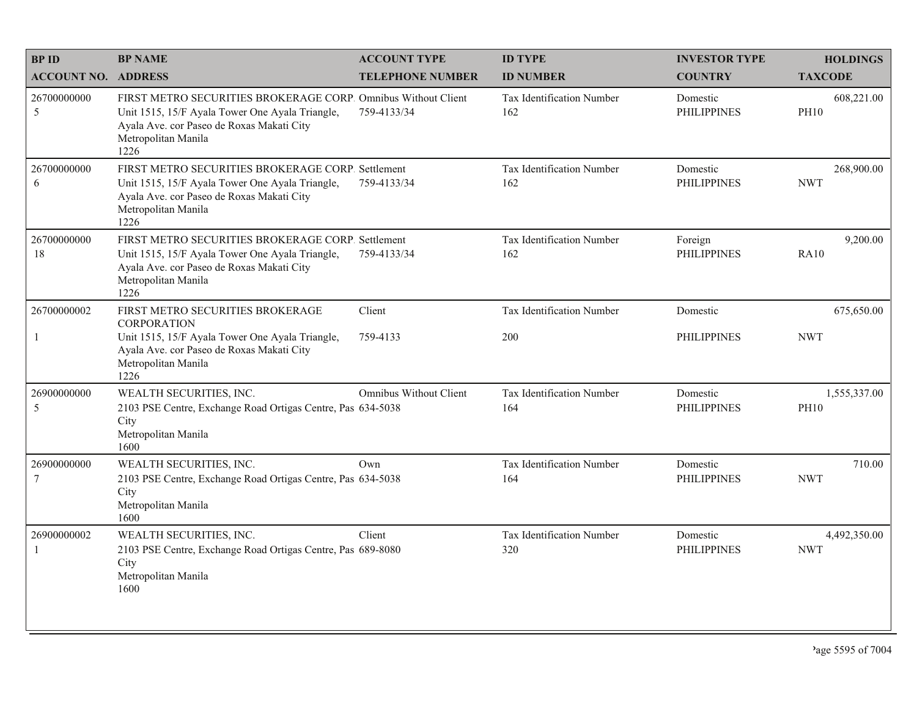| <b>BPID</b>                    | <b>BP NAME</b>                                                                                                                                                                               | <b>ACCOUNT TYPE</b>           | <b>ID TYPE</b>                          | <b>INVESTOR TYPE</b>           | <b>HOLDINGS</b>             |
|--------------------------------|----------------------------------------------------------------------------------------------------------------------------------------------------------------------------------------------|-------------------------------|-----------------------------------------|--------------------------------|-----------------------------|
| <b>ACCOUNT NO. ADDRESS</b>     |                                                                                                                                                                                              | <b>TELEPHONE NUMBER</b>       | <b>ID NUMBER</b>                        | <b>COUNTRY</b>                 | <b>TAXCODE</b>              |
| 26700000000<br>5               | FIRST METRO SECURITIES BROKERAGE CORP. Omnibus Without Client<br>Unit 1515, 15/F Ayala Tower One Ayala Triangle,<br>Ayala Ave. cor Paseo de Roxas Makati City<br>Metropolitan Manila<br>1226 | 759-4133/34                   | <b>Tax Identification Number</b><br>162 | Domestic<br><b>PHILIPPINES</b> | 608,221.00<br><b>PH10</b>   |
| 26700000000<br>6               | FIRST METRO SECURITIES BROKERAGE CORP. Settlement<br>Unit 1515, 15/F Ayala Tower One Ayala Triangle,<br>Ayala Ave. cor Paseo de Roxas Makati City<br>Metropolitan Manila<br>1226             | 759-4133/34                   | Tax Identification Number<br>162        | Domestic<br><b>PHILIPPINES</b> | 268,900.00<br><b>NWT</b>    |
| 26700000000<br>18              | FIRST METRO SECURITIES BROKERAGE CORP. Settlement<br>Unit 1515, 15/F Ayala Tower One Ayala Triangle,<br>Ayala Ave. cor Paseo de Roxas Makati City<br>Metropolitan Manila<br>1226             | 759-4133/34                   | Tax Identification Number<br>162        | Foreign<br><b>PHILIPPINES</b>  | 9,200.00<br><b>RA10</b>     |
| 26700000002                    | FIRST METRO SECURITIES BROKERAGE<br><b>CORPORATION</b>                                                                                                                                       | Client                        | <b>Tax Identification Number</b>        | Domestic                       | 675,650.00                  |
| $\mathbf{1}$                   | Unit 1515, 15/F Ayala Tower One Ayala Triangle,<br>Ayala Ave. cor Paseo de Roxas Makati City<br>Metropolitan Manila<br>1226                                                                  | 759-4133                      | 200                                     | <b>PHILIPPINES</b>             | <b>NWT</b>                  |
| 26900000000<br>5               | WEALTH SECURITIES, INC.<br>2103 PSE Centre, Exchange Road Ortigas Centre, Pas 634-5038<br>City<br>Metropolitan Manila<br>1600                                                                | <b>Omnibus Without Client</b> | Tax Identification Number<br>164        | Domestic<br><b>PHILIPPINES</b> | 1,555,337.00<br><b>PH10</b> |
| 26900000000<br>$7\phantom{.0}$ | WEALTH SECURITIES, INC.<br>2103 PSE Centre, Exchange Road Ortigas Centre, Pas 634-5038<br>City<br>Metropolitan Manila<br>1600                                                                | Own                           | Tax Identification Number<br>164        | Domestic<br><b>PHILIPPINES</b> | 710.00<br><b>NWT</b>        |
| 26900000002<br>-1              | WEALTH SECURITIES, INC.<br>2103 PSE Centre, Exchange Road Ortigas Centre, Pas 689-8080<br>City<br>Metropolitan Manila<br>1600                                                                | Client                        | Tax Identification Number<br>320        | Domestic<br><b>PHILIPPINES</b> | 4,492,350.00<br><b>NWT</b>  |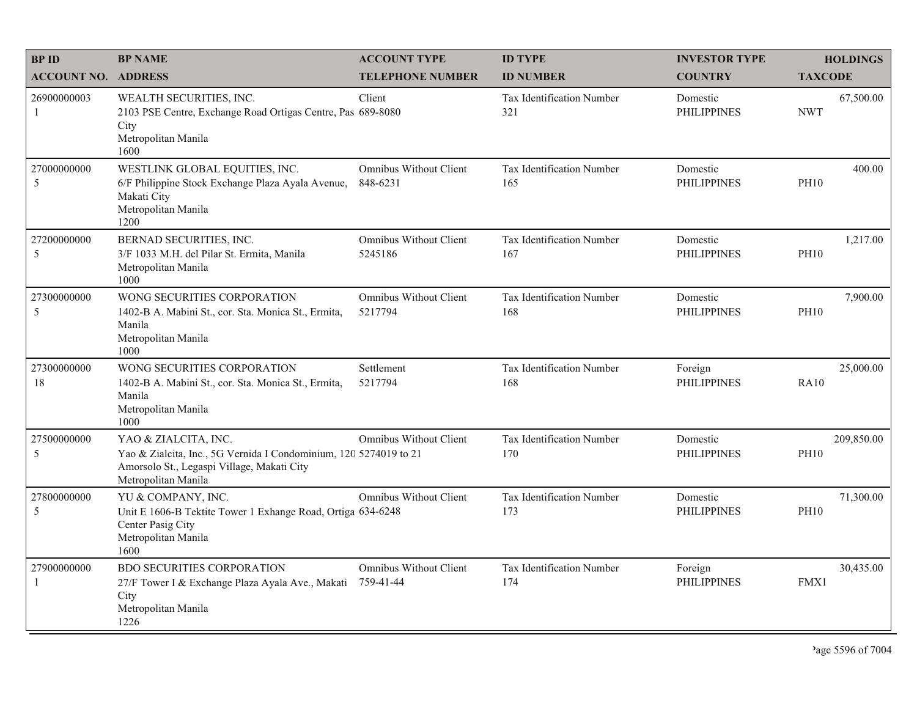| <b>BPID</b>                 | <b>BP NAME</b>                                                                                                                                                 | <b>ACCOUNT TYPE</b>                       | <b>ID TYPE</b>                          | <b>INVESTOR TYPE</b>           | <b>HOLDINGS</b>           |
|-----------------------------|----------------------------------------------------------------------------------------------------------------------------------------------------------------|-------------------------------------------|-----------------------------------------|--------------------------------|---------------------------|
| <b>ACCOUNT NO. ADDRESS</b>  |                                                                                                                                                                | <b>TELEPHONE NUMBER</b>                   | <b>ID NUMBER</b>                        | <b>COUNTRY</b>                 | <b>TAXCODE</b>            |
| 26900000003<br>-1           | WEALTH SECURITIES, INC.<br>2103 PSE Centre, Exchange Road Ortigas Centre, Pas 689-8080<br>City<br>Metropolitan Manila<br>1600                                  | Client                                    | <b>Tax Identification Number</b><br>321 | Domestic<br><b>PHILIPPINES</b> | 67,500.00<br><b>NWT</b>   |
| 27000000000<br>5            | WESTLINK GLOBAL EQUITIES, INC.<br>6/F Philippine Stock Exchange Plaza Ayala Avenue,<br>Makati City<br>Metropolitan Manila<br>1200                              | <b>Omnibus Without Client</b><br>848-6231 | Tax Identification Number<br>165        | Domestic<br><b>PHILIPPINES</b> | 400.00<br><b>PH10</b>     |
| 27200000000<br>5            | BERNAD SECURITIES, INC.<br>3/F 1033 M.H. del Pilar St. Ermita, Manila<br>Metropolitan Manila<br>1000                                                           | Omnibus Without Client<br>5245186         | Tax Identification Number<br>167        | Domestic<br><b>PHILIPPINES</b> | 1,217.00<br><b>PH10</b>   |
| 27300000000<br>5            | WONG SECURITIES CORPORATION<br>1402-B A. Mabini St., cor. Sta. Monica St., Ermita,<br>Manila<br>Metropolitan Manila<br>1000                                    | <b>Omnibus Without Client</b><br>5217794  | Tax Identification Number<br>168        | Domestic<br><b>PHILIPPINES</b> | 7,900.00<br><b>PH10</b>   |
| 27300000000<br>18           | WONG SECURITIES CORPORATION<br>1402-B A. Mabini St., cor. Sta. Monica St., Ermita,<br>Manila<br>Metropolitan Manila<br>1000                                    | Settlement<br>5217794                     | Tax Identification Number<br>168        | Foreign<br><b>PHILIPPINES</b>  | 25,000.00<br><b>RA10</b>  |
| 27500000000<br>5            | YAO & ZIALCITA, INC.<br>Yao & Zialcita, Inc., 5G Vernida I Condominium, 120 5274019 to 21<br>Amorsolo St., Legaspi Village, Makati City<br>Metropolitan Manila | Omnibus Without Client                    | Tax Identification Number<br>170        | Domestic<br><b>PHILIPPINES</b> | 209,850.00<br><b>PH10</b> |
| 27800000000<br>5            | YU & COMPANY, INC.<br>Unit E 1606-B Tektite Tower 1 Exhange Road, Ortiga 634-6248<br>Center Pasig City<br>Metropolitan Manila<br>1600                          | Omnibus Without Client                    | Tax Identification Number<br>173        | Domestic<br><b>PHILIPPINES</b> | 71,300.00<br><b>PH10</b>  |
| 27900000000<br>$\mathbf{1}$ | <b>BDO SECURITIES CORPORATION</b><br>27/F Tower I & Exchange Plaza Ayala Ave., Makati 759-41-44<br>City<br>Metropolitan Manila<br>1226                         | Omnibus Without Client                    | Tax Identification Number<br>174        | Foreign<br><b>PHILIPPINES</b>  | 30,435.00<br>FMX1         |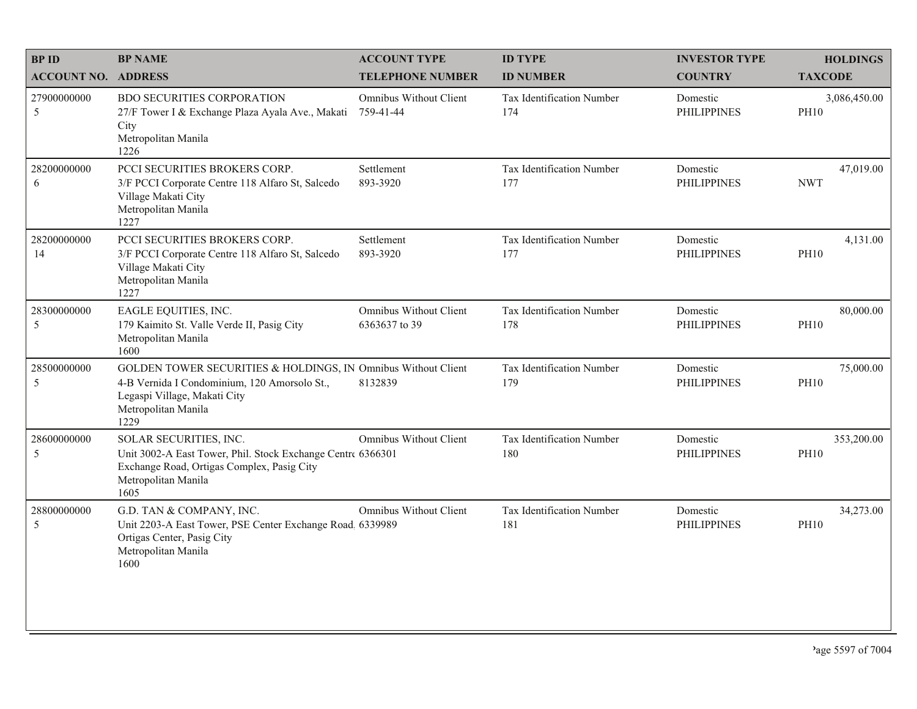| <b>BPID</b>                | <b>BP NAME</b>                                                                                                                                                               | <b>ACCOUNT TYPE</b>                            | <b>ID TYPE</b>                          | <b>INVESTOR TYPE</b>           | <b>HOLDINGS</b>             |
|----------------------------|------------------------------------------------------------------------------------------------------------------------------------------------------------------------------|------------------------------------------------|-----------------------------------------|--------------------------------|-----------------------------|
| <b>ACCOUNT NO. ADDRESS</b> |                                                                                                                                                                              | <b>TELEPHONE NUMBER</b>                        | <b>ID NUMBER</b>                        | <b>COUNTRY</b>                 | <b>TAXCODE</b>              |
| 27900000000<br>5           | <b>BDO SECURITIES CORPORATION</b><br>27/F Tower I & Exchange Plaza Ayala Ave., Makati<br>City<br>Metropolitan Manila<br>1226                                                 | Omnibus Without Client<br>759-41-44            | <b>Tax Identification Number</b><br>174 | Domestic<br><b>PHILIPPINES</b> | 3,086,450.00<br><b>PH10</b> |
| 28200000000<br>6           | PCCI SECURITIES BROKERS CORP.<br>3/F PCCI Corporate Centre 118 Alfaro St, Salcedo<br>Village Makati City<br>Metropolitan Manila<br>1227                                      | Settlement<br>893-3920                         | Tax Identification Number<br>177        | Domestic<br><b>PHILIPPINES</b> | 47,019.00<br><b>NWT</b>     |
| 28200000000<br>14          | PCCI SECURITIES BROKERS CORP.<br>3/F PCCI Corporate Centre 118 Alfaro St, Salcedo<br>Village Makati City<br>Metropolitan Manila<br>1227                                      | Settlement<br>893-3920                         | Tax Identification Number<br>177        | Domestic<br><b>PHILIPPINES</b> | 4,131.00<br><b>PH10</b>     |
| 28300000000<br>5           | EAGLE EQUITIES, INC.<br>179 Kaimito St. Valle Verde II, Pasig City<br>Metropolitan Manila<br>1600                                                                            | <b>Omnibus Without Client</b><br>6363637 to 39 | Tax Identification Number<br>178        | Domestic<br><b>PHILIPPINES</b> | 80,000.00<br><b>PH10</b>    |
| 28500000000<br>5           | GOLDEN TOWER SECURITIES & HOLDINGS, IN Omnibus Without Client<br>4-B Vernida I Condominium, 120 Amorsolo St.,<br>Legaspi Village, Makati City<br>Metropolitan Manila<br>1229 | 8132839                                        | Tax Identification Number<br>179        | Domestic<br><b>PHILIPPINES</b> | 75,000.00<br><b>PH10</b>    |
| 28600000000<br>5           | SOLAR SECURITIES, INC.<br>Unit 3002-A East Tower, Phil. Stock Exchange Centre 6366301<br>Exchange Road, Ortigas Complex, Pasig City<br>Metropolitan Manila<br>1605           | <b>Omnibus Without Client</b>                  | Tax Identification Number<br>180        | Domestic<br><b>PHILIPPINES</b> | 353,200.00<br><b>PH10</b>   |
| 28800000000<br>5           | G.D. TAN & COMPANY, INC.<br>Unit 2203-A East Tower, PSE Center Exchange Road. 6339989<br>Ortigas Center, Pasig City<br>Metropolitan Manila<br>1600                           | <b>Omnibus Without Client</b>                  | Tax Identification Number<br>181        | Domestic<br><b>PHILIPPINES</b> | 34,273.00<br><b>PH10</b>    |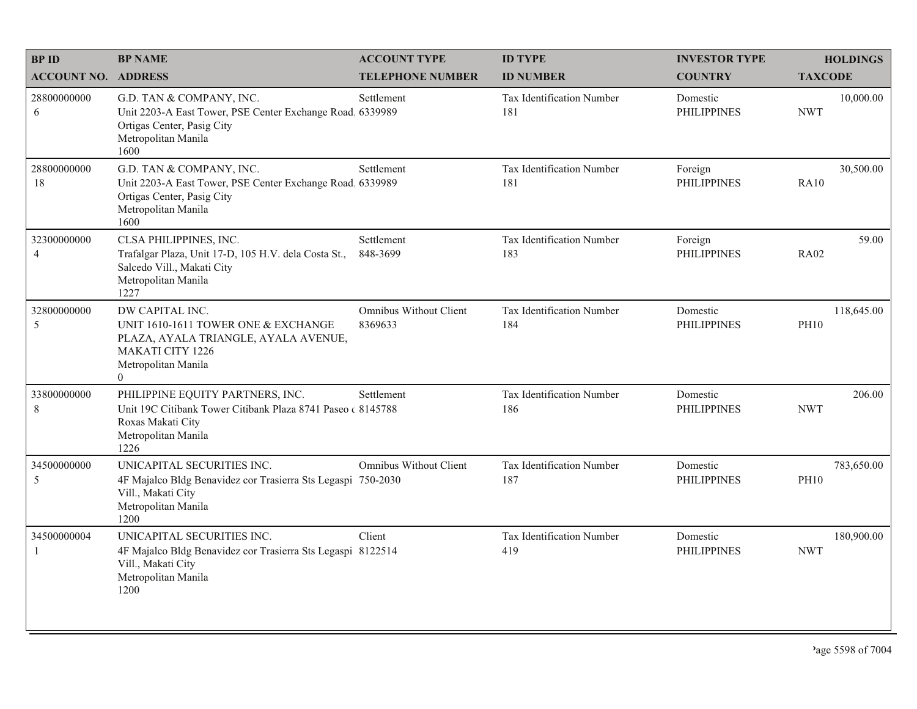| <b>BPID</b>                   | <b>BP NAME</b>                                                                                                                                                     | <b>ACCOUNT TYPE</b>                      | <b>ID TYPE</b>                          | <b>INVESTOR TYPE</b>           | <b>HOLDINGS</b>           |
|-------------------------------|--------------------------------------------------------------------------------------------------------------------------------------------------------------------|------------------------------------------|-----------------------------------------|--------------------------------|---------------------------|
| <b>ACCOUNT NO. ADDRESS</b>    |                                                                                                                                                                    | <b>TELEPHONE NUMBER</b>                  | <b>ID NUMBER</b>                        | <b>COUNTRY</b>                 | <b>TAXCODE</b>            |
| 28800000000<br>6              | G.D. TAN & COMPANY, INC.<br>Unit 2203-A East Tower, PSE Center Exchange Road. 6339989<br>Ortigas Center, Pasig City<br>Metropolitan Manila<br>1600                 | Settlement                               | <b>Tax Identification Number</b><br>181 | Domestic<br><b>PHILIPPINES</b> | 10,000.00<br><b>NWT</b>   |
| 28800000000<br>18             | G.D. TAN & COMPANY, INC.<br>Unit 2203-A East Tower, PSE Center Exchange Road, 6339989<br>Ortigas Center, Pasig City<br>Metropolitan Manila<br>1600                 | Settlement                               | Tax Identification Number<br>181        | Foreign<br><b>PHILIPPINES</b>  | 30,500.00<br><b>RA10</b>  |
| 32300000000<br>$\overline{4}$ | CLSA PHILIPPINES, INC.<br>Trafalgar Plaza, Unit 17-D, 105 H.V. dela Costa St.,<br>Salcedo Vill., Makati City<br>Metropolitan Manila<br>1227                        | Settlement<br>848-3699                   | Tax Identification Number<br>183        | Foreign<br><b>PHILIPPINES</b>  | 59.00<br><b>RA02</b>      |
| 32800000000<br>5              | DW CAPITAL INC.<br>UNIT 1610-1611 TOWER ONE & EXCHANGE<br>PLAZA, AYALA TRIANGLE, AYALA AVENUE,<br><b>MAKATI CITY 1226</b><br>Metropolitan Manila<br>$\overline{0}$ | <b>Omnibus Without Client</b><br>8369633 | Tax Identification Number<br>184        | Domestic<br><b>PHILIPPINES</b> | 118,645.00<br><b>PH10</b> |
| 33800000000<br>8              | PHILIPPINE EQUITY PARTNERS, INC.<br>Unit 19C Citibank Tower Citibank Plaza 8741 Paseo (8145788)<br>Roxas Makati City<br>Metropolitan Manila<br>1226                | Settlement                               | Tax Identification Number<br>186        | Domestic<br><b>PHILIPPINES</b> | 206.00<br><b>NWT</b>      |
| 34500000000<br>5              | UNICAPITAL SECURITIES INC.<br>4F Majalco Bldg Benavidez cor Trasierra Sts Legaspi 750-2030<br>Vill., Makati City<br>Metropolitan Manila<br>1200                    | <b>Omnibus Without Client</b>            | Tax Identification Number<br>187        | Domestic<br><b>PHILIPPINES</b> | 783,650.00<br><b>PH10</b> |
| 34500000004<br>1              | UNICAPITAL SECURITIES INC.<br>4F Majalco Bldg Benavidez cor Trasierra Sts Legaspi 8122514<br>Vill., Makati City<br>Metropolitan Manila<br>1200                     | Client                                   | Tax Identification Number<br>419        | Domestic<br><b>PHILIPPINES</b> | 180,900.00<br><b>NWT</b>  |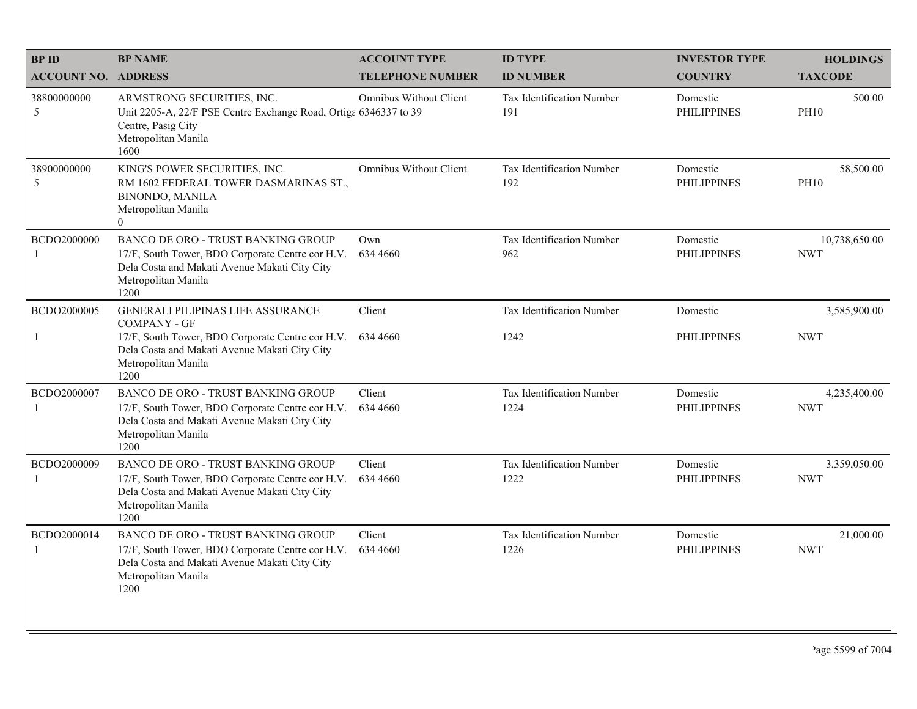| <b>BPID</b>                | <b>BP NAME</b>                                                                                                                                                         | <b>ACCOUNT TYPE</b>           | <b>ID TYPE</b>                          | <b>INVESTOR TYPE</b>           | <b>HOLDINGS</b>             |
|----------------------------|------------------------------------------------------------------------------------------------------------------------------------------------------------------------|-------------------------------|-----------------------------------------|--------------------------------|-----------------------------|
| <b>ACCOUNT NO. ADDRESS</b> |                                                                                                                                                                        | <b>TELEPHONE NUMBER</b>       | <b>ID NUMBER</b>                        | <b>COUNTRY</b>                 | <b>TAXCODE</b>              |
| 38800000000<br>5           | ARMSTRONG SECURITIES, INC.<br>Unit 2205-A, 22/F PSE Centre Exchange Road, Ortiga 6346337 to 39<br>Centre, Pasig City<br>Metropolitan Manila<br>1600                    | <b>Omnibus Without Client</b> | <b>Tax Identification Number</b><br>191 | Domestic<br><b>PHILIPPINES</b> | 500.00<br><b>PH10</b>       |
| 38900000000<br>5           | KING'S POWER SECURITIES, INC.<br>RM 1602 FEDERAL TOWER DASMARINAS ST.,<br><b>BINONDO, MANILA</b><br>Metropolitan Manila<br>$\Omega$                                    | Omnibus Without Client        | Tax Identification Number<br>192        | Domestic<br><b>PHILIPPINES</b> | 58,500.00<br><b>PH10</b>    |
| BCDO2000000<br>1           | BANCO DE ORO - TRUST BANKING GROUP<br>17/F, South Tower, BDO Corporate Centre cor H.V.<br>Dela Costa and Makati Avenue Makati City City<br>Metropolitan Manila<br>1200 | Own<br>634 4660               | Tax Identification Number<br>962        | Domestic<br><b>PHILIPPINES</b> | 10,738,650.00<br><b>NWT</b> |
| BCDO2000005                | <b>GENERALI PILIPINAS LIFE ASSURANCE</b><br><b>COMPANY - GF</b>                                                                                                        | Client                        | Tax Identification Number               | Domestic                       | 3,585,900.00                |
| $\mathbf{1}$               | 17/F, South Tower, BDO Corporate Centre cor H.V.<br>Dela Costa and Makati Avenue Makati City City<br>Metropolitan Manila<br>1200                                       | 634 4660                      | 1242                                    | <b>PHILIPPINES</b>             | <b>NWT</b>                  |
| BCDO2000007<br>1           | BANCO DE ORO - TRUST BANKING GROUP<br>17/F, South Tower, BDO Corporate Centre cor H.V.<br>Dela Costa and Makati Avenue Makati City City<br>Metropolitan Manila<br>1200 | Client<br>634 4660            | Tax Identification Number<br>1224       | Domestic<br><b>PHILIPPINES</b> | 4,235,400.00<br><b>NWT</b>  |
| BCDO2000009<br>1           | BANCO DE ORO - TRUST BANKING GROUP<br>17/F, South Tower, BDO Corporate Centre cor H.V.<br>Dela Costa and Makati Avenue Makati City City<br>Metropolitan Manila<br>1200 | Client<br>634 4660            | Tax Identification Number<br>1222       | Domestic<br><b>PHILIPPINES</b> | 3,359,050.00<br><b>NWT</b>  |
| BCDO2000014<br>1           | BANCO DE ORO - TRUST BANKING GROUP<br>17/F, South Tower, BDO Corporate Centre cor H.V.<br>Dela Costa and Makati Avenue Makati City City<br>Metropolitan Manila<br>1200 | Client<br>634 4660            | Tax Identification Number<br>1226       | Domestic<br><b>PHILIPPINES</b> | 21,000.00<br><b>NWT</b>     |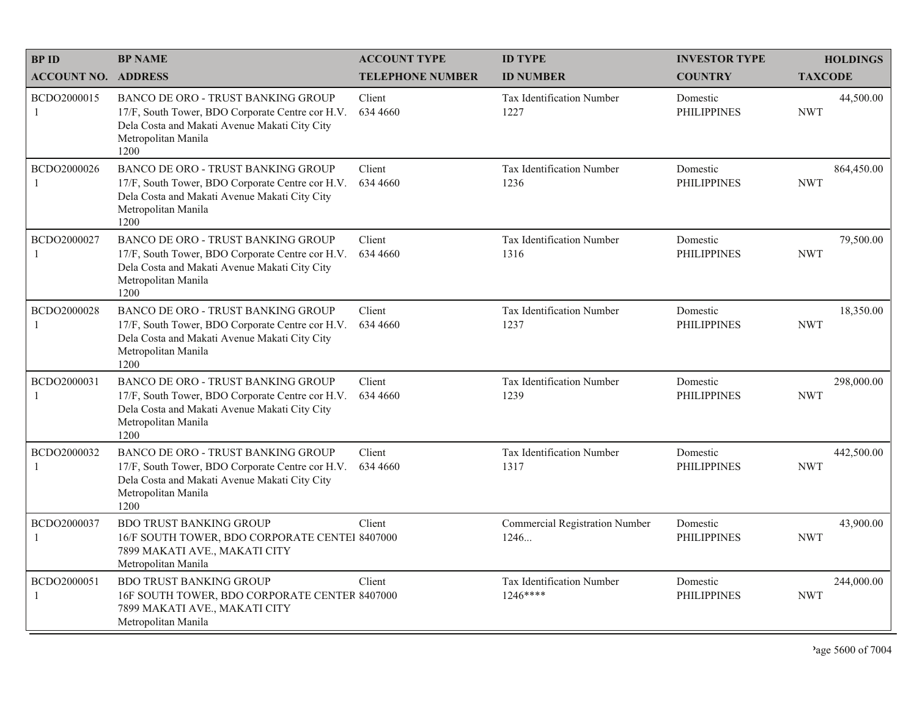| <b>BPID</b>                 | <b>BP NAME</b>                                                                                                                                                                | <b>ACCOUNT TYPE</b>     | <b>ID TYPE</b>                                | <b>INVESTOR TYPE</b>           | <b>HOLDINGS</b>          |
|-----------------------------|-------------------------------------------------------------------------------------------------------------------------------------------------------------------------------|-------------------------|-----------------------------------------------|--------------------------------|--------------------------|
| <b>ACCOUNT NO. ADDRESS</b>  |                                                                                                                                                                               | <b>TELEPHONE NUMBER</b> | <b>ID NUMBER</b>                              | <b>COUNTRY</b>                 | <b>TAXCODE</b>           |
| BCDO2000015<br>-1           | <b>BANCO DE ORO - TRUST BANKING GROUP</b><br>17/F, South Tower, BDO Corporate Centre cor H.V.<br>Dela Costa and Makati Avenue Makati City City<br>Metropolitan Manila<br>1200 | Client<br>634 4660      | <b>Tax Identification Number</b><br>1227      | Domestic<br><b>PHILIPPINES</b> | 44,500.00<br><b>NWT</b>  |
| BCDO2000026<br>1            | <b>BANCO DE ORO - TRUST BANKING GROUP</b><br>17/F, South Tower, BDO Corporate Centre cor H.V.<br>Dela Costa and Makati Avenue Makati City City<br>Metropolitan Manila<br>1200 | Client<br>634 4660      | Tax Identification Number<br>1236             | Domestic<br><b>PHILIPPINES</b> | 864,450.00<br><b>NWT</b> |
| BCDO2000027<br>-1           | <b>BANCO DE ORO - TRUST BANKING GROUP</b><br>17/F, South Tower, BDO Corporate Centre cor H.V.<br>Dela Costa and Makati Avenue Makati City City<br>Metropolitan Manila<br>1200 | Client<br>634 4660      | <b>Tax Identification Number</b><br>1316      | Domestic<br><b>PHILIPPINES</b> | 79,500.00<br><b>NWT</b>  |
| BCDO2000028<br>$\mathbf{1}$ | BANCO DE ORO - TRUST BANKING GROUP<br>17/F, South Tower, BDO Corporate Centre cor H.V.<br>Dela Costa and Makati Avenue Makati City City<br>Metropolitan Manila<br>1200        | Client<br>634 4660      | Tax Identification Number<br>1237             | Domestic<br><b>PHILIPPINES</b> | 18,350.00<br><b>NWT</b>  |
| BCDO2000031<br>1            | <b>BANCO DE ORO - TRUST BANKING GROUP</b><br>17/F, South Tower, BDO Corporate Centre cor H.V.<br>Dela Costa and Makati Avenue Makati City City<br>Metropolitan Manila<br>1200 | Client<br>634 4660      | Tax Identification Number<br>1239             | Domestic<br><b>PHILIPPINES</b> | 298,000.00<br><b>NWT</b> |
| BCDO2000032<br>$\mathbf{1}$ | <b>BANCO DE ORO - TRUST BANKING GROUP</b><br>17/F, South Tower, BDO Corporate Centre cor H.V.<br>Dela Costa and Makati Avenue Makati City City<br>Metropolitan Manila<br>1200 | Client<br>634 4660      | Tax Identification Number<br>1317             | Domestic<br><b>PHILIPPINES</b> | 442,500.00<br><b>NWT</b> |
| BCDO2000037<br>1            | <b>BDO TRUST BANKING GROUP</b><br>16/F SOUTH TOWER, BDO CORPORATE CENTEI 8407000<br>7899 MAKATI AVE., MAKATI CITY<br>Metropolitan Manila                                      | Client                  | <b>Commercial Registration Number</b><br>1246 | Domestic<br><b>PHILIPPINES</b> | 43,900.00<br><b>NWT</b>  |
| BCDO2000051<br>1            | <b>BDO TRUST BANKING GROUP</b><br>16F SOUTH TOWER, BDO CORPORATE CENTER 8407000<br>7899 MAKATI AVE., MAKATI CITY<br>Metropolitan Manila                                       | Client                  | Tax Identification Number<br>$1246***$        | Domestic<br><b>PHILIPPINES</b> | 244,000.00<br><b>NWT</b> |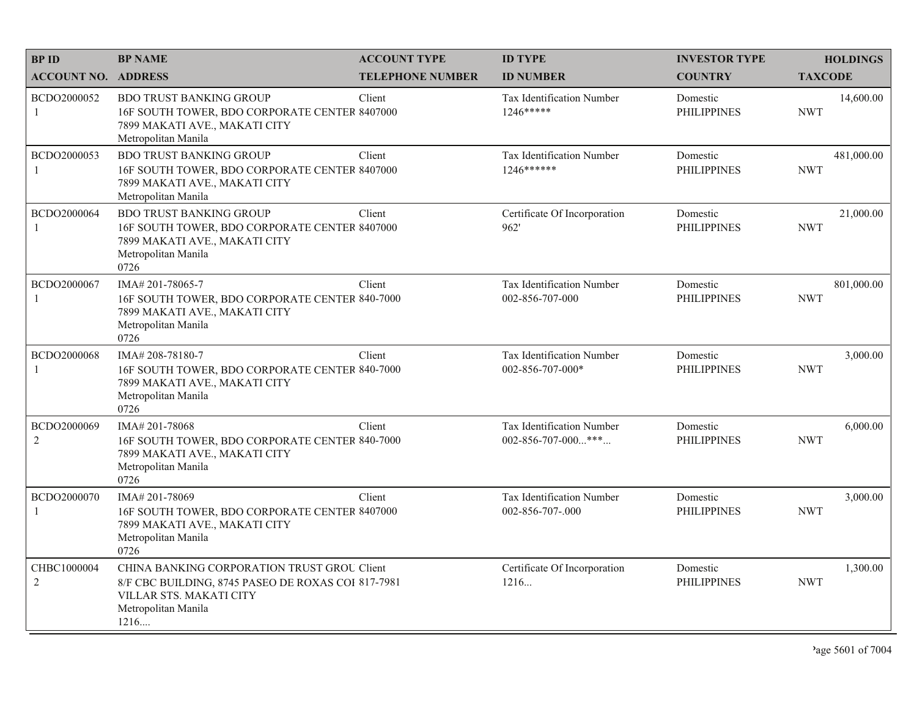| <b>BPID</b>                   | <b>BP NAME</b>                                                                                                                                              | <b>ACCOUNT TYPE</b>     | <b>ID TYPE</b>                                                  | <b>INVESTOR TYPE</b>           | <b>HOLDINGS</b>          |
|-------------------------------|-------------------------------------------------------------------------------------------------------------------------------------------------------------|-------------------------|-----------------------------------------------------------------|--------------------------------|--------------------------|
| <b>ACCOUNT NO. ADDRESS</b>    |                                                                                                                                                             | <b>TELEPHONE NUMBER</b> | <b>ID NUMBER</b>                                                | <b>COUNTRY</b>                 | <b>TAXCODE</b>           |
| BCDO2000052<br>1              | <b>BDO TRUST BANKING GROUP</b><br>16F SOUTH TOWER, BDO CORPORATE CENTER 8407000<br>7899 MAKATI AVE., MAKATI CITY<br>Metropolitan Manila                     | Client                  | <b>Tax Identification Number</b><br>$1246*****$                 | Domestic<br><b>PHILIPPINES</b> | 14,600.00<br><b>NWT</b>  |
| BCDO2000053<br>1              | <b>BDO TRUST BANKING GROUP</b><br>16F SOUTH TOWER, BDO CORPORATE CENTER 8407000<br>7899 MAKATI AVE., MAKATI CITY<br>Metropolitan Manila                     | Client                  | Tax Identification Number<br>$1246******$                       | Domestic<br><b>PHILIPPINES</b> | 481,000.00<br><b>NWT</b> |
| BCDO2000064<br>1              | <b>BDO TRUST BANKING GROUP</b><br>16F SOUTH TOWER, BDO CORPORATE CENTER 8407000<br>7899 MAKATI AVE., MAKATI CITY<br>Metropolitan Manila<br>0726             | Client                  | Certificate Of Incorporation<br>962'                            | Domestic<br><b>PHILIPPINES</b> | 21,000.00<br><b>NWT</b>  |
| BCDO2000067<br>1              | IMA# 201-78065-7<br>16F SOUTH TOWER, BDO CORPORATE CENTER 840-7000<br>7899 MAKATI AVE., MAKATI CITY<br>Metropolitan Manila<br>0726                          | Client                  | <b>Tax Identification Number</b><br>002-856-707-000             | Domestic<br><b>PHILIPPINES</b> | 801,000.00<br><b>NWT</b> |
| BCDO2000068<br>$\mathbf{1}$   | IMA#208-78180-7<br>16F SOUTH TOWER, BDO CORPORATE CENTER 840-7000<br>7899 MAKATI AVE., MAKATI CITY<br>Metropolitan Manila<br>0726                           | Client                  | Tax Identification Number<br>002-856-707-000*                   | Domestic<br><b>PHILIPPINES</b> | 3,000.00<br><b>NWT</b>   |
| BCDO2000069<br>$\overline{c}$ | IMA# 201-78068<br>16F SOUTH TOWER, BDO CORPORATE CENTER 840-7000<br>7899 MAKATI AVE., MAKATI CITY<br>Metropolitan Manila<br>0726                            | Client                  | <b>Tax Identification Number</b><br>$002 - 856 - 707 - 000$ *** | Domestic<br><b>PHILIPPINES</b> | 6,000.00<br><b>NWT</b>   |
| BCDO2000070<br>1              | IMA# 201-78069<br>16F SOUTH TOWER, BDO CORPORATE CENTER 8407000<br>7899 MAKATI AVE., MAKATI CITY<br>Metropolitan Manila<br>0726                             | Client                  | Tax Identification Number<br>002-856-707-.000                   | Domestic<br><b>PHILIPPINES</b> | 3,000.00<br><b>NWT</b>   |
| CHBC1000004<br>$\overline{2}$ | CHINA BANKING CORPORATION TRUST GROU Client<br>8/F CBC BUILDING, 8745 PASEO DE ROXAS COI 817-7981<br>VILLAR STS. MAKATI CITY<br>Metropolitan Manila<br>1216 |                         | Certificate Of Incorporation<br>1216                            | Domestic<br><b>PHILIPPINES</b> | 1,300.00<br><b>NWT</b>   |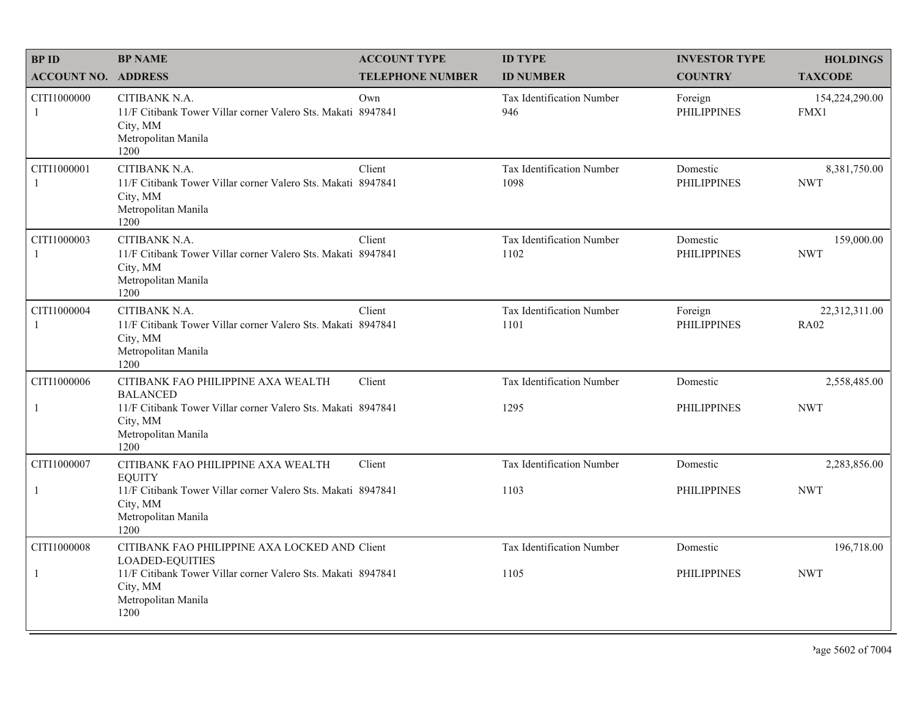| <b>BPID</b>                 | <b>BP NAME</b>                                                                                                           | <b>ACCOUNT TYPE</b>     | <b>ID TYPE</b>                           | <b>INVESTOR TYPE</b>           | <b>HOLDINGS</b>              |
|-----------------------------|--------------------------------------------------------------------------------------------------------------------------|-------------------------|------------------------------------------|--------------------------------|------------------------------|
| <b>ACCOUNT NO. ADDRESS</b>  |                                                                                                                          | <b>TELEPHONE NUMBER</b> | <b>ID NUMBER</b>                         | <b>COUNTRY</b>                 | <b>TAXCODE</b>               |
| CITI1000000<br>-1           | CITIBANK N.A.<br>11/F Citibank Tower Villar corner Valero Sts. Makati 8947841<br>City, MM<br>Metropolitan Manila<br>1200 | Own                     | <b>Tax Identification Number</b><br>946  | Foreign<br><b>PHILIPPINES</b>  | 154,224,290.00<br>FMX1       |
| CITI1000001<br>1            | CITIBANK N.A.<br>11/F Citibank Tower Villar corner Valero Sts. Makati 8947841<br>City, MM<br>Metropolitan Manila<br>1200 | Client                  | Tax Identification Number<br>1098        | Domestic<br><b>PHILIPPINES</b> | 8,381,750.00<br><b>NWT</b>   |
| CITI1000003<br>$\mathbf{1}$ | CITIBANK N.A.<br>11/F Citibank Tower Villar corner Valero Sts. Makati 8947841<br>City, MM<br>Metropolitan Manila<br>1200 | Client                  | <b>Tax Identification Number</b><br>1102 | Domestic<br><b>PHILIPPINES</b> | 159,000.00<br><b>NWT</b>     |
| CITI1000004<br>$\mathbf{1}$ | CITIBANK N.A.<br>11/F Citibank Tower Villar corner Valero Sts. Makati 8947841<br>City, MM<br>Metropolitan Manila<br>1200 | Client                  | Tax Identification Number<br>1101        | Foreign<br><b>PHILIPPINES</b>  | 22,312,311.00<br><b>RA02</b> |
| CITI1000006                 | CITIBANK FAO PHILIPPINE AXA WEALTH<br><b>BALANCED</b>                                                                    | Client                  | Tax Identification Number                | Domestic                       | 2,558,485.00                 |
| $\mathbf{1}$                | 11/F Citibank Tower Villar corner Valero Sts. Makati 8947841<br>City, MM<br>Metropolitan Manila<br>1200                  |                         | 1295                                     | <b>PHILIPPINES</b>             | <b>NWT</b>                   |
| CITI1000007                 | CITIBANK FAO PHILIPPINE AXA WEALTH<br><b>EOUITY</b>                                                                      | Client                  | Tax Identification Number                | Domestic                       | 2,283,856.00                 |
| $\mathbf{1}$                | 11/F Citibank Tower Villar corner Valero Sts. Makati 8947841<br>City, MM<br>Metropolitan Manila<br>1200                  |                         | 1103                                     | <b>PHILIPPINES</b>             | <b>NWT</b>                   |
| CITI1000008                 | CITIBANK FAO PHILIPPINE AXA LOCKED AND Client<br><b>LOADED-EQUITIES</b>                                                  |                         | Tax Identification Number                | Domestic                       | 196,718.00                   |
| 1                           | 11/F Citibank Tower Villar corner Valero Sts. Makati 8947841<br>City, MM<br>Metropolitan Manila<br>1200                  |                         | 1105                                     | <b>PHILIPPINES</b>             | <b>NWT</b>                   |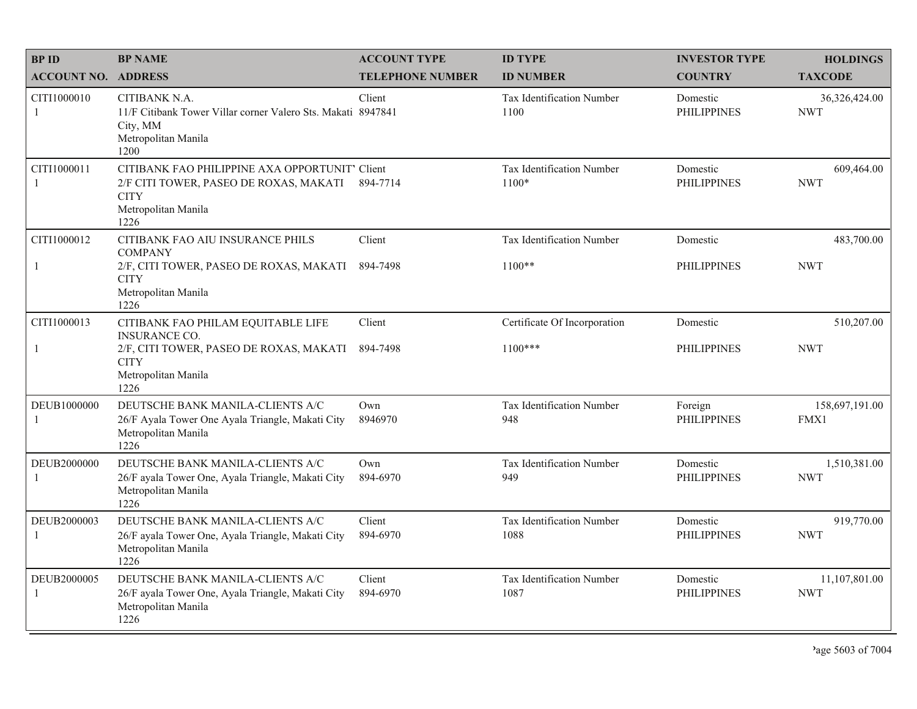| <b>BPID</b>                | <b>BP NAME</b>                                                                                                                         | <b>ACCOUNT TYPE</b>     | <b>ID TYPE</b>                           | <b>INVESTOR TYPE</b>           | <b>HOLDINGS</b>             |
|----------------------------|----------------------------------------------------------------------------------------------------------------------------------------|-------------------------|------------------------------------------|--------------------------------|-----------------------------|
| <b>ACCOUNT NO. ADDRESS</b> |                                                                                                                                        | <b>TELEPHONE NUMBER</b> | <b>ID NUMBER</b>                         | <b>COUNTRY</b>                 | <b>TAXCODE</b>              |
| CITI1000010<br>1           | CITIBANK N.A.<br>11/F Citibank Tower Villar corner Valero Sts. Makati 8947841<br>City, MM<br>Metropolitan Manila<br>1200               | Client                  | <b>Tax Identification Number</b><br>1100 | Domestic<br><b>PHILIPPINES</b> | 36,326,424.00<br><b>NWT</b> |
| CITI1000011<br>1           | CITIBANK FAO PHILIPPINE AXA OPPORTUNIT' Client<br>2/F CITI TOWER, PASEO DE ROXAS, MAKATI<br><b>CITY</b><br>Metropolitan Manila<br>1226 | 894-7714                | Tax Identification Number<br>$1100*$     | Domestic<br><b>PHILIPPINES</b> | 609,464.00<br><b>NWT</b>    |
| CITI1000012                | CITIBANK FAO AIU INSURANCE PHILS<br><b>COMPANY</b>                                                                                     | Client                  | <b>Tax Identification Number</b>         | Domestic                       | 483,700.00                  |
| 1                          | 2/F, CITI TOWER, PASEO DE ROXAS, MAKATI<br><b>CITY</b><br>Metropolitan Manila<br>1226                                                  | 894-7498                | $1100**$                                 | <b>PHILIPPINES</b>             | <b>NWT</b>                  |
| CITI1000013                | CITIBANK FAO PHILAM EQUITABLE LIFE<br><b>INSURANCE CO.</b>                                                                             | Client                  | Certificate Of Incorporation             | Domestic                       | 510,207.00                  |
| 1                          | 2/F, CITI TOWER, PASEO DE ROXAS, MAKATI<br><b>CITY</b><br>Metropolitan Manila<br>1226                                                  | 894-7498                | $1100***$                                | <b>PHILIPPINES</b>             | <b>NWT</b>                  |
| DEUB1000000<br>1           | DEUTSCHE BANK MANILA-CLIENTS A/C<br>26/F Ayala Tower One Ayala Triangle, Makati City<br>Metropolitan Manila<br>1226                    | Own<br>8946970          | Tax Identification Number<br>948         | Foreign<br><b>PHILIPPINES</b>  | 158,697,191.00<br>FMX1      |
| DEUB2000000<br>1           | DEUTSCHE BANK MANILA-CLIENTS A/C<br>26/F ayala Tower One, Ayala Triangle, Makati City<br>Metropolitan Manila<br>1226                   | Own<br>894-6970         | Tax Identification Number<br>949         | Domestic<br><b>PHILIPPINES</b> | 1,510,381.00<br><b>NWT</b>  |
| DEUB2000003<br>1           | DEUTSCHE BANK MANILA-CLIENTS A/C<br>26/F ayala Tower One, Ayala Triangle, Makati City<br>Metropolitan Manila<br>1226                   | Client<br>894-6970      | Tax Identification Number<br>1088        | Domestic<br><b>PHILIPPINES</b> | 919,770.00<br><b>NWT</b>    |
| DEUB2000005<br>1           | DEUTSCHE BANK MANILA-CLIENTS A/C<br>26/F ayala Tower One, Ayala Triangle, Makati City<br>Metropolitan Manila<br>1226                   | Client<br>894-6970      | Tax Identification Number<br>1087        | Domestic<br><b>PHILIPPINES</b> | 11,107,801.00<br><b>NWT</b> |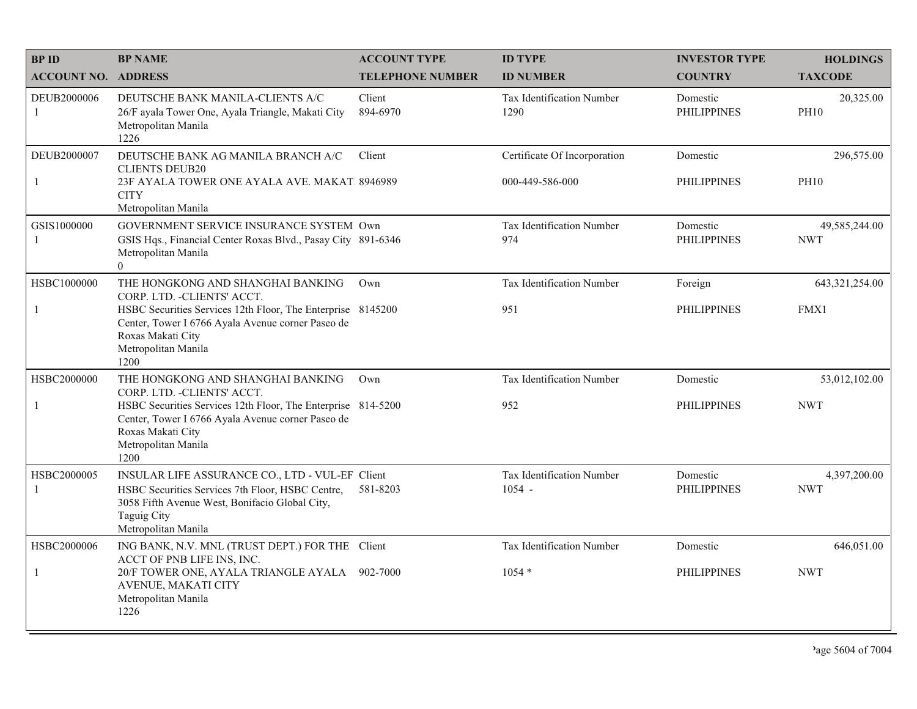| <b>BPID</b>                 | <b>BP NAME</b>                                                                                                                                                                                                                            | <b>ACCOUNT TYPE</b>     | <b>ID TYPE</b>                                  | <b>INVESTOR TYPE</b>           | <b>HOLDINGS</b>             |
|-----------------------------|-------------------------------------------------------------------------------------------------------------------------------------------------------------------------------------------------------------------------------------------|-------------------------|-------------------------------------------------|--------------------------------|-----------------------------|
| <b>ACCOUNT NO. ADDRESS</b>  |                                                                                                                                                                                                                                           | <b>TELEPHONE NUMBER</b> | <b>ID NUMBER</b>                                | <b>COUNTRY</b>                 | <b>TAXCODE</b>              |
| DEUB2000006<br>1            | DEUTSCHE BANK MANILA-CLIENTS A/C<br>26/F ayala Tower One, Ayala Triangle, Makati City<br>Metropolitan Manila<br>1226                                                                                                                      | Client<br>894-6970      | Tax Identification Number<br>1290               | Domestic<br><b>PHILIPPINES</b> | 20,325.00<br><b>PH10</b>    |
| DEUB2000007<br>$\mathbf{1}$ | DEUTSCHE BANK AG MANILA BRANCH A/C<br><b>CLIENTS DEUB20</b><br>23F AYALA TOWER ONE AYALA AVE, MAKAT 8946989<br><b>CITY</b><br>Metropolitan Manila                                                                                         | Client                  | Certificate Of Incorporation<br>000-449-586-000 | Domestic<br><b>PHILIPPINES</b> | 296,575.00<br><b>PH10</b>   |
| GSIS1000000<br>1            | GOVERNMENT SERVICE INSURANCE SYSTEM Own<br>GSIS Hqs., Financial Center Roxas Blvd., Pasay City 891-6346<br>Metropolitan Manila<br>$\overline{0}$                                                                                          |                         | Tax Identification Number<br>974                | Domestic<br><b>PHILIPPINES</b> | 49,585,244.00<br><b>NWT</b> |
| HSBC1000000<br>$\mathbf{1}$ | THE HONGKONG AND SHANGHAI BANKING<br>CORP. LTD. - CLIENTS' ACCT.<br>HSBC Securities Services 12th Floor, The Enterprise 8145200<br>Center, Tower I 6766 Ayala Avenue corner Paseo de<br>Roxas Makati City<br>Metropolitan Manila<br>1200  | Own                     | Tax Identification Number<br>951                | Foreign<br><b>PHILIPPINES</b>  | 643, 321, 254.00<br>FMX1    |
| HSBC2000000<br>1            | THE HONGKONG AND SHANGHAI BANKING<br>CORP. LTD. - CLIENTS' ACCT.<br>HSBC Securities Services 12th Floor, The Enterprise 814-5200<br>Center, Tower I 6766 Ayala Avenue corner Paseo de<br>Roxas Makati City<br>Metropolitan Manila<br>1200 | Own                     | Tax Identification Number<br>952                | Domestic<br><b>PHILIPPINES</b> | 53,012,102.00<br><b>NWT</b> |
| HSBC2000005<br>-1           | INSULAR LIFE ASSURANCE CO., LTD - VUL-EF Client<br>HSBC Securities Services 7th Floor, HSBC Centre,<br>3058 Fifth Avenue West, Bonifacio Global City,<br><b>Taguig City</b><br>Metropolitan Manila                                        | 581-8203                | Tax Identification Number<br>$1054 -$           | Domestic<br><b>PHILIPPINES</b> | 4,397,200.00<br><b>NWT</b>  |
| HSBC2000006<br>$\mathbf{1}$ | ING BANK, N.V. MNL (TRUST DEPT.) FOR THE Client<br>ACCT OF PNB LIFE INS, INC.<br>20/F TOWER ONE, AYALA TRIANGLE AYALA 902-7000<br>AVENUE, MAKATI CITY<br>Metropolitan Manila<br>1226                                                      |                         | Tax Identification Number<br>$1054*$            | Domestic<br><b>PHILIPPINES</b> | 646,051.00<br><b>NWT</b>    |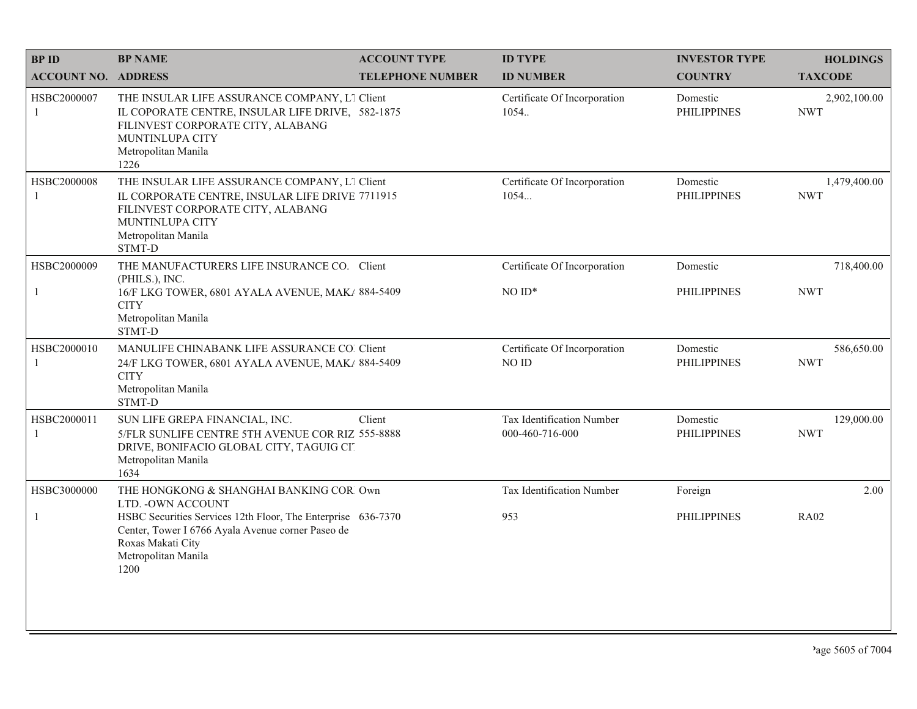| <b>BPID</b>                 | <b>BP NAME</b>                                                                                                                                                                            | <b>ACCOUNT TYPE</b>     | <b>ID TYPE</b>                               | <b>INVESTOR TYPE</b>           | <b>HOLDINGS</b>            |
|-----------------------------|-------------------------------------------------------------------------------------------------------------------------------------------------------------------------------------------|-------------------------|----------------------------------------------|--------------------------------|----------------------------|
| <b>ACCOUNT NO. ADDRESS</b>  |                                                                                                                                                                                           | <b>TELEPHONE NUMBER</b> | <b>ID NUMBER</b>                             | <b>COUNTRY</b>                 | <b>TAXCODE</b>             |
| HSBC2000007<br>1            | THE INSULAR LIFE ASSURANCE COMPANY, L1 Client<br>IL COPORATE CENTRE, INSULAR LIFE DRIVE, 582-1875<br>FILINVEST CORPORATE CITY, ALABANG<br>MUNTINLUPA CITY<br>Metropolitan Manila<br>1226  |                         | Certificate Of Incorporation<br>1054.        | Domestic<br><b>PHILIPPINES</b> | 2,902,100.00<br><b>NWT</b> |
| HSBC2000008<br>$\mathbf{1}$ | THE INSULAR LIFE ASSURANCE COMPANY, L1 Client<br>IL CORPORATE CENTRE, INSULAR LIFE DRIVE 7711915<br>FILINVEST CORPORATE CITY, ALABANG<br>MUNTINLUPA CITY<br>Metropolitan Manila<br>STMT-D |                         | Certificate Of Incorporation<br>1054         | Domestic<br><b>PHILIPPINES</b> | 1,479,400.00<br><b>NWT</b> |
| HSBC2000009                 | THE MANUFACTURERS LIFE INSURANCE CO. Client                                                                                                                                               |                         | Certificate Of Incorporation                 | Domestic                       | 718,400.00                 |
| $\mathbf{1}$                | (PHILS.), INC.<br>16/F LKG TOWER, 6801 AYALA AVENUE, MAK/ 884-5409<br><b>CITY</b><br>Metropolitan Manila<br>STMT-D                                                                        |                         | $NOID*$                                      | <b>PHILIPPINES</b>             | <b>NWT</b>                 |
| HSBC2000010<br>1            | MANULIFE CHINABANK LIFE ASSURANCE CO. Client<br>24/F LKG TOWER, 6801 AYALA AVENUE, MAK/ 884-5409<br><b>CITY</b><br>Metropolitan Manila<br>STMT-D                                          |                         | Certificate Of Incorporation<br>NO ID        | Domestic<br><b>PHILIPPINES</b> | 586,650.00<br><b>NWT</b>   |
| HSBC2000011<br>1            | SUN LIFE GREPA FINANCIAL, INC.<br>5/FLR SUNLIFE CENTRE 5TH AVENUE COR RIZ 555-8888<br>DRIVE, BONIFACIO GLOBAL CITY, TAGUIG CIT<br>Metropolitan Manila<br>1634                             | Client                  | Tax Identification Number<br>000-460-716-000 | Domestic<br><b>PHILIPPINES</b> | 129,000.00<br><b>NWT</b>   |
| HSBC3000000                 | THE HONGKONG & SHANGHAI BANKING COR Own<br>LTD. - OWN ACCOUNT                                                                                                                             |                         | Tax Identification Number                    | Foreign                        | 2.00                       |
| $\mathbf{1}$                | HSBC Securities Services 12th Floor, The Enterprise 636-7370<br>Center, Tower I 6766 Ayala Avenue corner Paseo de<br>Roxas Makati City<br>Metropolitan Manila<br>1200                     |                         | 953                                          | <b>PHILIPPINES</b>             | <b>RA02</b>                |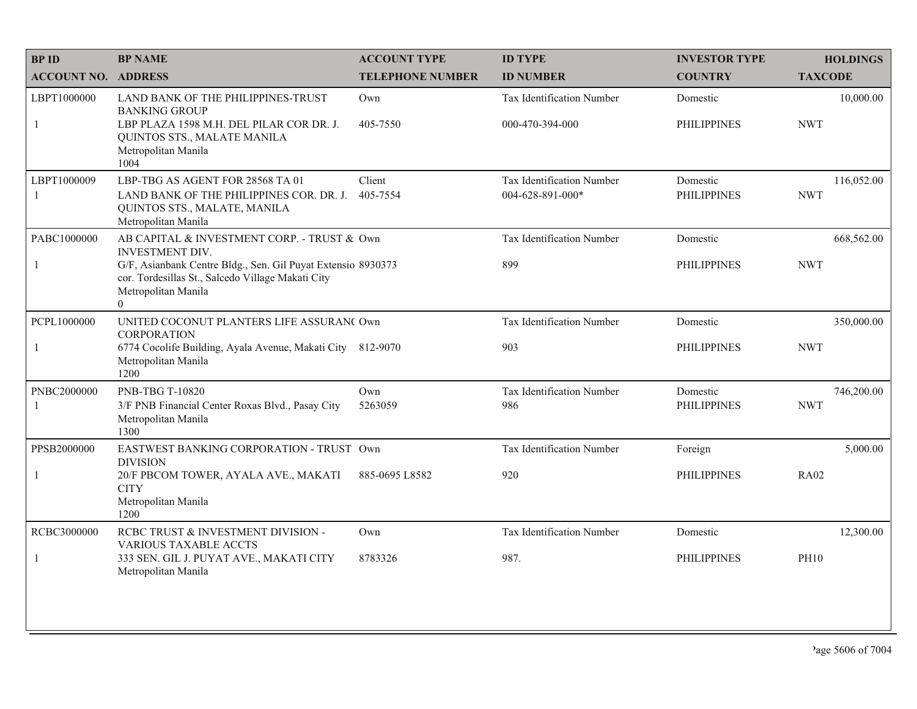| <b>BPID</b>                | <b>BP NAME</b>                                                                                                                                                                                                                | <b>ACCOUNT TYPE</b>     | <b>ID TYPE</b>                                | <b>INVESTOR TYPE</b>           | <b>HOLDINGS</b>          |
|----------------------------|-------------------------------------------------------------------------------------------------------------------------------------------------------------------------------------------------------------------------------|-------------------------|-----------------------------------------------|--------------------------------|--------------------------|
| <b>ACCOUNT NO. ADDRESS</b> |                                                                                                                                                                                                                               | <b>TELEPHONE NUMBER</b> | <b>ID NUMBER</b>                              | <b>COUNTRY</b>                 | <b>TAXCODE</b>           |
| LBPT1000000<br>1           | LAND BANK OF THE PHILIPPINES-TRUST<br><b>BANKING GROUP</b><br>LBP PLAZA 1598 M.H. DEL PILAR COR DR. J.<br>QUINTOS STS., MALATE MANILA<br>Metropolitan Manila<br>1004                                                          | Own<br>405-7550         | Tax Identification Number<br>000-470-394-000  | Domestic<br><b>PHILIPPINES</b> | 10,000.00<br><b>NWT</b>  |
| LBPT1000009<br>-1          | LBP-TBG AS AGENT FOR 28568 TA 01<br>LAND BANK OF THE PHILIPPINES COR. DR. J.<br>QUINTOS STS., MALATE, MANILA<br>Metropolitan Manila                                                                                           | Client<br>405-7554      | Tax Identification Number<br>004-628-891-000* | Domestic<br><b>PHILIPPINES</b> | 116,052.00<br><b>NWT</b> |
| PABC1000000<br>-1          | AB CAPITAL & INVESTMENT CORP. - TRUST & Own<br><b>INVESTMENT DIV.</b><br>G/F, Asianbank Centre Bldg., Sen. Gil Puyat Extensio 8930373<br>cor. Tordesillas St., Salcedo Village Makati City<br>Metropolitan Manila<br>$\theta$ |                         | <b>Tax Identification Number</b><br>899       | Domestic<br><b>PHILIPPINES</b> | 668,562.00<br><b>NWT</b> |
| PCPL1000000<br>-1          | UNITED COCONUT PLANTERS LIFE ASSURAN( Own<br><b>CORPORATION</b><br>6774 Cocolife Building, Ayala Avenue, Makati City<br>Metropolitan Manila<br>1200                                                                           | 812-9070                | Tax Identification Number<br>903              | Domestic<br><b>PHILIPPINES</b> | 350,000.00<br><b>NWT</b> |
| PNBC2000000<br>-1          | <b>PNB-TBG T-10820</b><br>3/F PNB Financial Center Roxas Blvd., Pasay City<br>Metropolitan Manila<br>1300                                                                                                                     | Own<br>5263059          | Tax Identification Number<br>986              | Domestic<br><b>PHILIPPINES</b> | 746,200.00<br><b>NWT</b> |
| PPSB2000000<br>-1          | EASTWEST BANKING CORPORATION - TRUST Own<br><b>DIVISION</b><br>20/F PBCOM TOWER, AYALA AVE., MAKATI<br><b>CITY</b><br>Metropolitan Manila<br>1200                                                                             | 885-0695 L8582          | Tax Identification Number<br>920              | Foreign<br><b>PHILIPPINES</b>  | 5,000.00<br><b>RA02</b>  |
| RCBC3000000<br>-1          | RCBC TRUST & INVESTMENT DIVISION -<br><b>VARIOUS TAXABLE ACCTS</b><br>333 SEN. GIL J. PUYAT AVE., MAKATI CITY<br>Metropolitan Manila                                                                                          | Own<br>8783326          | <b>Tax Identification Number</b><br>987.      | Domestic<br><b>PHILIPPINES</b> | 12,300.00<br><b>PH10</b> |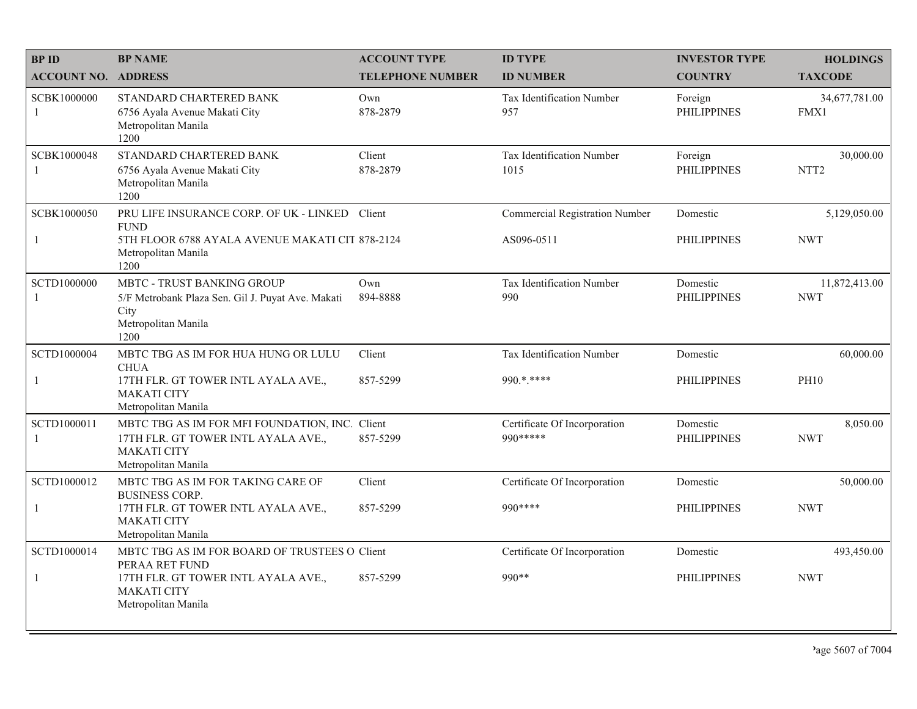| <b>BPID</b>                | <b>BP NAME</b>                                                                          | <b>ACCOUNT TYPE</b>     | <b>ID TYPE</b>                        | <b>INVESTOR TYPE</b>           | <b>HOLDINGS</b>               |
|----------------------------|-----------------------------------------------------------------------------------------|-------------------------|---------------------------------------|--------------------------------|-------------------------------|
| <b>ACCOUNT NO. ADDRESS</b> |                                                                                         | <b>TELEPHONE NUMBER</b> | <b>ID NUMBER</b>                      | <b>COUNTRY</b>                 | <b>TAXCODE</b>                |
| SCBK1000000<br>1           | STANDARD CHARTERED BANK<br>6756 Ayala Avenue Makati City<br>Metropolitan Manila<br>1200 | Own<br>878-2879         | Tax Identification Number<br>957      | Foreign<br><b>PHILIPPINES</b>  | 34,677,781.00<br>FMX1         |
| SCBK1000048<br>1           | STANDARD CHARTERED BANK<br>6756 Ayala Avenue Makati City<br>Metropolitan Manila<br>1200 | Client<br>878-2879      | Tax Identification Number<br>1015     | Foreign<br><b>PHILIPPINES</b>  | 30,000.00<br>NTT <sub>2</sub> |
| SCBK1000050                | PRU LIFE INSURANCE CORP. OF UK - LINKED Client<br><b>FUND</b>                           |                         | <b>Commercial Registration Number</b> | Domestic                       | 5,129,050.00                  |
| -1                         | 5TH FLOOR 6788 AYALA AVENUE MAKATI CIT 878-2124<br>Metropolitan Manila<br>1200          |                         | AS096-0511                            | <b>PHILIPPINES</b>             | <b>NWT</b>                    |
| <b>SCTD1000000</b>         | MBTC - TRUST BANKING GROUP<br>5/F Metrobank Plaza Sen. Gil J. Puyat Ave. Makati         | Own<br>894-8888         | Tax Identification Number<br>990      | Domestic<br><b>PHILIPPINES</b> | 11,872,413.00<br><b>NWT</b>   |
| 1                          | City<br>Metropolitan Manila<br>1200                                                     |                         |                                       |                                |                               |
| SCTD1000004                | MBTC TBG AS IM FOR HUA HUNG OR LULU<br><b>CHUA</b>                                      | Client                  | <b>Tax Identification Number</b>      | Domestic                       | 60,000.00                     |
| $\mathbf{1}$               | 17TH FLR. GT TOWER INTL AYALA AVE.,<br><b>MAKATI CITY</b><br>Metropolitan Manila        | 857-5299                | 990.*.****                            | <b>PHILIPPINES</b>             | <b>PH10</b>                   |
| SCTD1000011                | MBTC TBG AS IM FOR MFI FOUNDATION, INC. Client                                          |                         | Certificate Of Incorporation          | Domestic                       | 8,050.00                      |
| 1                          | 17TH FLR. GT TOWER INTL AYALA AVE.,<br><b>MAKATI CITY</b><br>Metropolitan Manila        | 857-5299                | 990 *****                             | <b>PHILIPPINES</b>             | <b>NWT</b>                    |
| SCTD1000012                | MBTC TBG AS IM FOR TAKING CARE OF<br><b>BUSINESS CORP.</b>                              | Client                  | Certificate Of Incorporation          | Domestic                       | 50,000.00                     |
| $\mathbf{1}$               | 17TH FLR. GT TOWER INTL AYALA AVE.,<br><b>MAKATI CITY</b><br>Metropolitan Manila        | 857-5299                | 990 ****                              | <b>PHILIPPINES</b>             | <b>NWT</b>                    |
| SCTD1000014                | MBTC TBG AS IM FOR BOARD OF TRUSTEES O Client<br>PERAA RET FUND                         |                         | Certificate Of Incorporation          | Domestic                       | 493,450.00                    |
| $\mathbf{1}$               | 17TH FLR. GT TOWER INTL AYALA AVE.,<br><b>MAKATI CITY</b><br>Metropolitan Manila        | 857-5299                | 990**                                 | <b>PHILIPPINES</b>             | <b>NWT</b>                    |